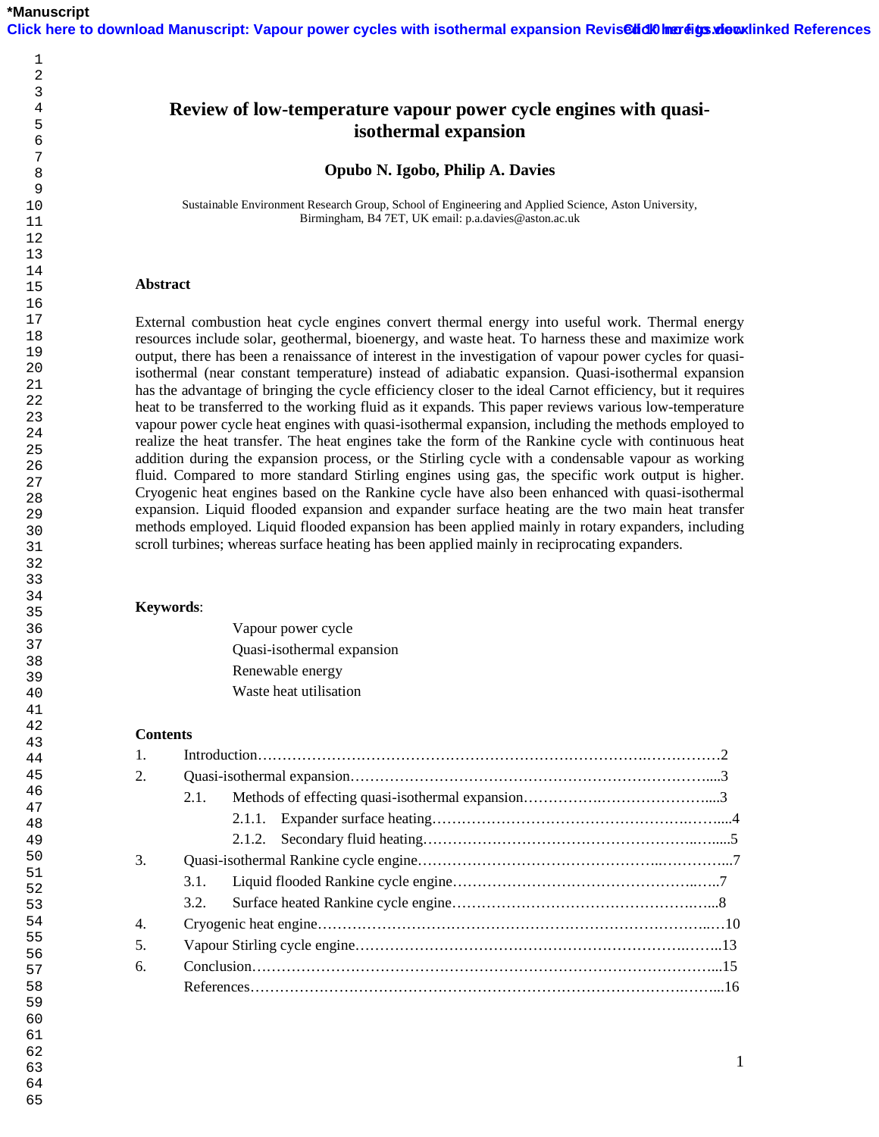## 

# **Review of low-temperature vapour power cycle engines with quasiisothermal expansion**

**Opubo N. Igobo, Philip A. Davies** 

Sustainable Environment Research Group, School of Engineering and Applied Science, Aston University, Birmingham, B4 7ET, UK email: p.a.davies@aston.ac.uk

## **Abstract**

External combustion heat cycle engines convert thermal energy into useful work. Thermal energy resources include solar, geothermal, bioenergy, and waste heat. To harness these and maximize work output, there has been a renaissance of interest in the investigation of vapour power cycles for quasiisothermal (near constant temperature) instead of adiabatic expansion. Quasi-isothermal expansion has the advantage of bringing the cycle efficiency closer to the ideal Carnot efficiency, but it requires heat to be transferred to the working fluid as it expands. This paper reviews various low-temperature vapour power cycle heat engines with quasi-isothermal expansion, including the methods employed to realize the heat transfer. The heat engines take the form of the Rankine cycle with continuous heat addition during the expansion process, or the Stirling cycle with a condensable vapour as working fluid. Compared to more standard Stirling engines using gas, the specific work output is higher. Cryogenic heat engines based on the Rankine cycle have also been enhanced with quasi-isothermal expansion. Liquid flooded expansion and expander surface heating are the two main heat transfer methods employed. Liquid flooded expansion has been applied mainly in rotary expanders, including scroll turbines; whereas surface heating has been applied mainly in reciprocating expanders.

## **Keywords**:

Vapour power cycle Quasi-isothermal expansion Renewable energy Waste heat utilisation

## **Contents**

| $\overline{2}$ |      |  |  |
|----------------|------|--|--|
|                | 2.1. |  |  |
|                |      |  |  |
|                |      |  |  |
| 3.             |      |  |  |
|                | 3.1. |  |  |
|                | 3.2  |  |  |
| 4.             |      |  |  |
| .5.            |      |  |  |
| 6.             |      |  |  |
|                |      |  |  |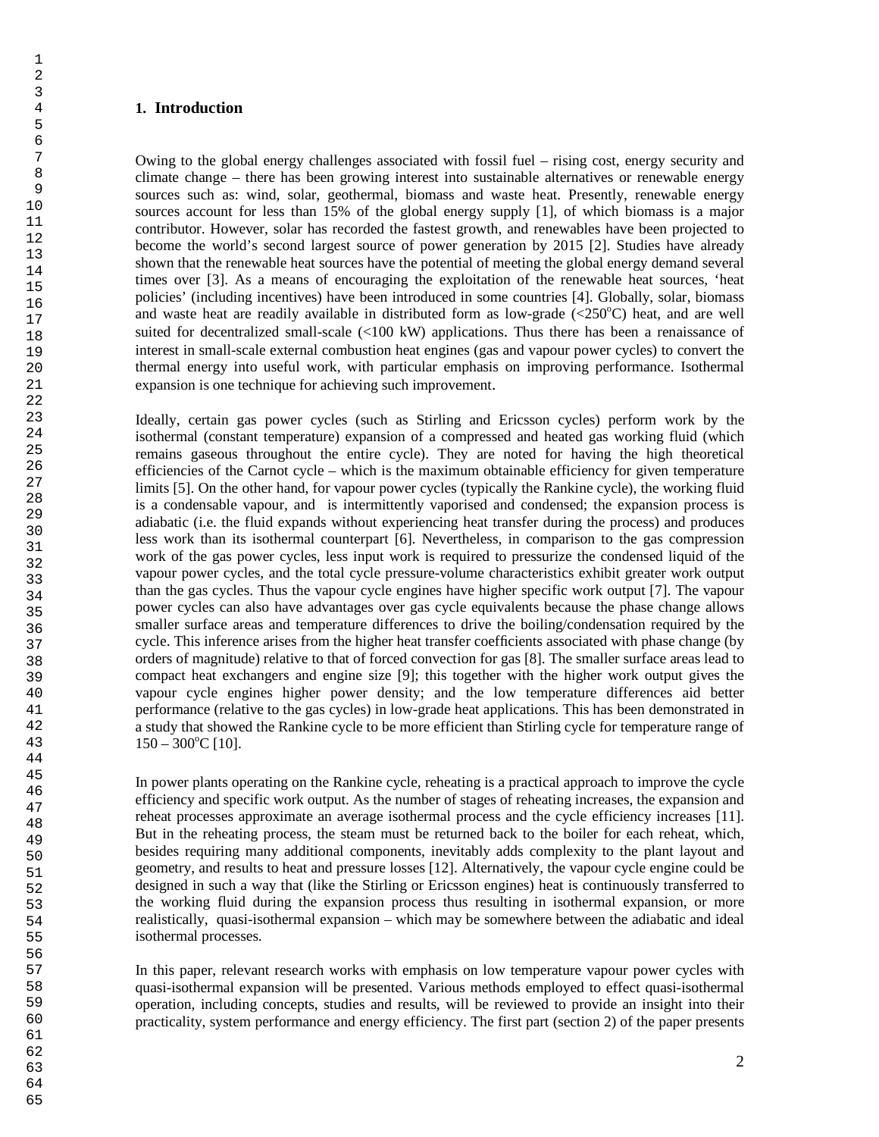## **1. Introduction**

Owing to the global energy challenges associated with fossil fuel – rising cost, energy security and climate change – there has been growing interest into sustainable alternatives or renewable energy sources such as: wind, solar, geothermal, biomass and waste heat. Presently, renewable energy sources account for less than 15% of the global energy supply [1], of which biomass is a major contributor. However, solar has recorded the fastest growth, and renewables have been projected to become the world's second largest source of power generation by 2015 [2]. Studies have already shown that the renewable heat sources have the potential of meeting the global energy demand several times over [3]. As a means of encouraging the exploitation of the renewable heat sources, 'heat policies' (including incentives) have been introduced in some countries [4]. Globally, solar, biomass and waste heat are readily available in distributed form as low-grade  $\langle\langle 250^{\circ}\text{C}\rangle$  heat, and are well suited for decentralized small-scale (<100 kW) applications. Thus there has been a renaissance of interest in small-scale external combustion heat engines (gas and vapour power cycles) to convert the thermal energy into useful work, with particular emphasis on improving performance. Isothermal expansion is one technique for achieving such improvement.

Ideally, certain gas power cycles (such as Stirling and Ericsson cycles) perform work by the isothermal (constant temperature) expansion of a compressed and heated gas working fluid (which remains gaseous throughout the entire cycle). They are noted for having the high theoretical efficiencies of the Carnot cycle – which is the maximum obtainable efficiency for given temperature limits [5]. On the other hand, for vapour power cycles (typically the Rankine cycle), the working fluid is a condensable vapour, and is intermittently vaporised and condensed; the expansion process is adiabatic (i.e. the fluid expands without experiencing heat transfer during the process) and produces less work than its isothermal counterpart [6]. Nevertheless, in comparison to the gas compression work of the gas power cycles, less input work is required to pressurize the condensed liquid of the vapour power cycles, and the total cycle pressure-volume characteristics exhibit greater work output than the gas cycles. Thus the vapour cycle engines have higher specific work output [7]. The vapour power cycles can also have advantages over gas cycle equivalents because the phase change allows smaller surface areas and temperature differences to drive the boiling/condensation required by the cycle. This inference arises from the higher heat transfer coefficients associated with phase change (by orders of magnitude) relative to that of forced convection for gas [8]. The smaller surface areas lead to compact heat exchangers and engine size [9]; this together with the higher work output gives the vapour cycle engines higher power density; and the low temperature differences aid better performance (relative to the gas cycles) in low-grade heat applications. This has been demonstrated in a study that showed the Rankine cycle to be more efficient than Stirling cycle for temperature range of  $150 - 300^{\circ}$ C [10].

In power plants operating on the Rankine cycle, reheating is a practical approach to improve the cycle efficiency and specific work output. As the number of stages of reheating increases, the expansion and reheat processes approximate an average isothermal process and the cycle efficiency increases [11]. But in the reheating process, the steam must be returned back to the boiler for each reheat, which, besides requiring many additional components, inevitably adds complexity to the plant layout and geometry, and results to heat and pressure losses [12]. Alternatively, the vapour cycle engine could be designed in such a way that (like the Stirling or Ericsson engines) heat is continuously transferred to the working fluid during the expansion process thus resulting in isothermal expansion, or more realistically, quasi-isothermal expansion – which may be somewhere between the adiabatic and ideal isothermal processes.

In this paper, relevant research works with emphasis on low temperature vapour power cycles with quasi-isothermal expansion will be presented. Various methods employed to effect quasi-isothermal operation, including concepts, studies and results, will be reviewed to provide an insight into their practicality, system performance and energy efficiency. The first part (section 2) of the paper presents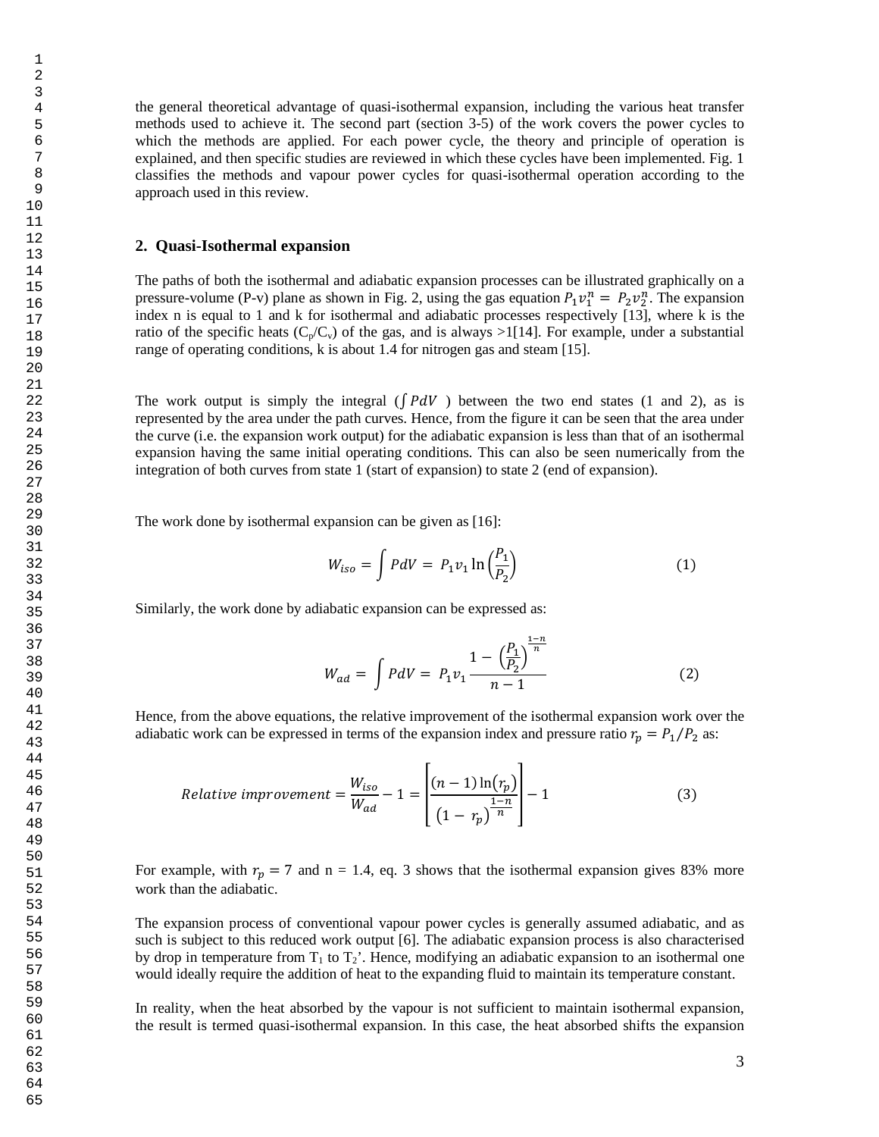the general theoretical advantage of quasi-isothermal expansion, including the various heat transfer methods used to achieve it. The second part (section 3-5) of the work covers the power cycles to which the methods are applied. For each power cycle, the theory and principle of operation is explained, and then specific studies are reviewed in which these cycles have been implemented. Fig. 1 classifies the methods and vapour power cycles for quasi-isothermal operation according to the approach used in this review.

## **2. Quasi-Isothermal expansion**

The paths of both the isothermal and adiabatic expansion processes can be illustrated graphically on a pressure-volume (P-v) plane as shown in Fig. 2, using the gas equation  $P_1v_1^n = P_2v_2^n$ . The expansion index n is equal to 1 and k for isothermal and adiabatic processes respectively [13], where k is the ratio of the specific heats ( $C_p/C_v$ ) of the gas, and is always >1[14]. For example, under a substantial range of operating conditions, k is about 1.4 for nitrogen gas and steam [15].

The work output is simply the integral  $(\int P dV)$  between the two end states (1 and 2), as is represented by the area under the path curves. Hence, from the figure it can be seen that the area under the curve (i.e. the expansion work output) for the adiabatic expansion is less than that of an isothermal expansion having the same initial operating conditions. This can also be seen numerically from the integration of both curves from state 1 (start of expansion) to state 2 (end of expansion).

The work done by isothermal expansion can be given as [16]:

$$
W_{iso} = \int P dV = P_1 v_1 \ln \left( \frac{P_1}{P_2} \right) \tag{1}
$$

Similarly, the work done by adiabatic expansion can be expressed as:

$$
W_{ad} = \int PdV = P_1v_1 \frac{1 - \left(\frac{P_1}{P_2}\right)^{\frac{1-n}{n}}}{n-1}
$$
 (2)

Hence, from the above equations, the relative improvement of the isothermal expansion work over the adiabatic work can be expressed in terms of the expansion index and pressure ratio  $r_p = P_1/P_2$  as:

Relative improvement 
$$
=\frac{W_{iso}}{W_{ad}} - 1 = \left[\frac{(n-1)\ln(r_p)}{(1-r_p)^{\frac{1-n}{n}}}\right] - 1
$$
 (3)

For example, with  $r_p = 7$  and n = 1.4, eq. 3 shows that the isothermal expansion gives 83% more work than the adiabatic.

The expansion process of conventional vapour power cycles is generally assumed adiabatic, and as such is subject to this reduced work output [6]. The adiabatic expansion process is also characterised by drop in temperature from  $T_1$  to  $T_2$ '. Hence, modifying an adiabatic expansion to an isothermal one would ideally require the addition of heat to the expanding fluid to maintain its temperature constant.

In reality, when the heat absorbed by the vapour is not sufficient to maintain isothermal expansion, the result is termed quasi-isothermal expansion. In this case, the heat absorbed shifts the expansion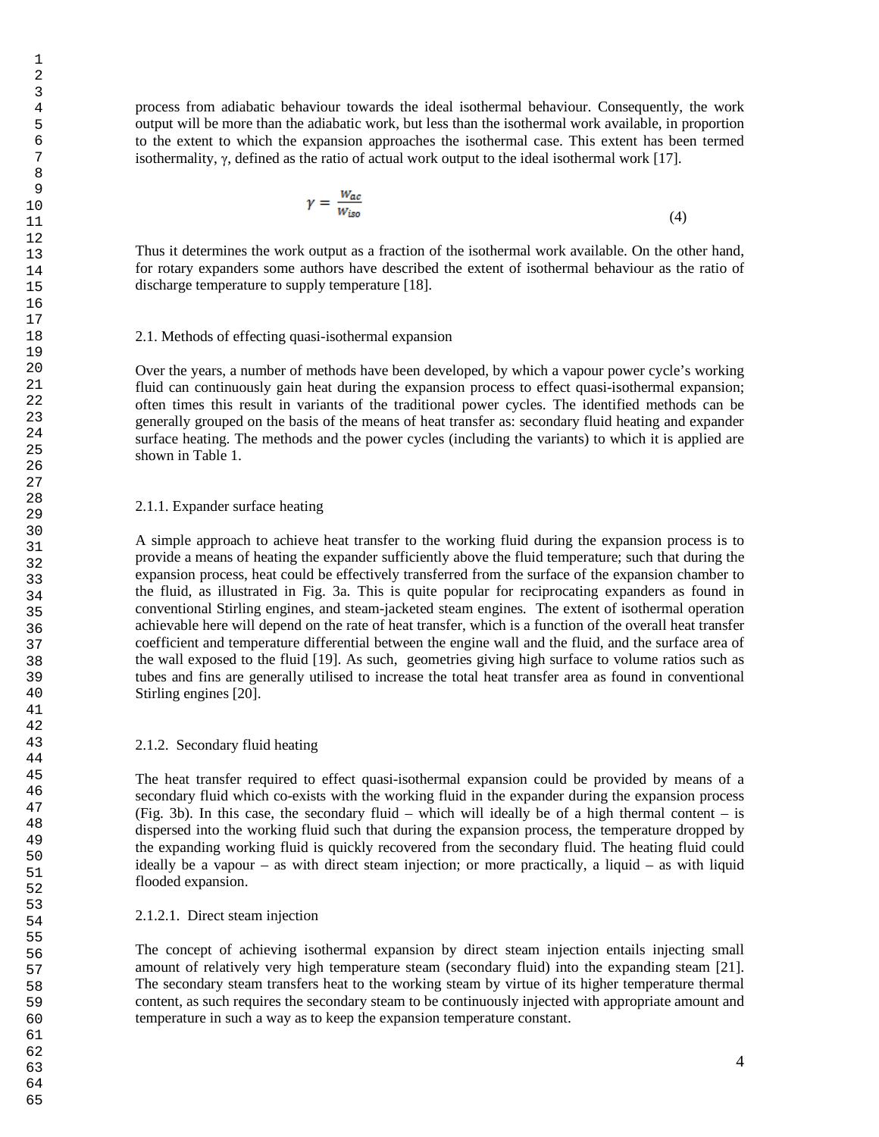process from adiabatic behaviour towards the ideal isothermal behaviour. Consequently, the work output will be more than the adiabatic work, but less than the isothermal work available, in proportion to the extent to which the expansion approaches the isothermal case. This extent has been termed isothermality,  $\gamma$ , defined as the ratio of actual work output to the ideal isothermal work [17].

$$
\gamma = \frac{W_{ac}}{W_{iso}}\tag{4}
$$

Thus it determines the work output as a fraction of the isothermal work available. On the other hand, for rotary expanders some authors have described the extent of isothermal behaviour as the ratio of discharge temperature to supply temperature [18].

## 2.1. Methods of effecting quasi-isothermal expansion

Over the years, a number of methods have been developed, by which a vapour power cycle's working fluid can continuously gain heat during the expansion process to effect quasi-isothermal expansion; often times this result in variants of the traditional power cycles. The identified methods can be generally grouped on the basis of the means of heat transfer as: secondary fluid heating and expander surface heating. The methods and the power cycles (including the variants) to which it is applied are shown in Table 1.

## 2.1.1. Expander surface heating

A simple approach to achieve heat transfer to the working fluid during the expansion process is to provide a means of heating the expander sufficiently above the fluid temperature; such that during the expansion process, heat could be effectively transferred from the surface of the expansion chamber to the fluid, as illustrated in Fig. 3a. This is quite popular for reciprocating expanders as found in conventional Stirling engines, and steam-jacketed steam engines. The extent of isothermal operation achievable here will depend on the rate of heat transfer, which is a function of the overall heat transfer coefficient and temperature differential between the engine wall and the fluid, and the surface area of the wall exposed to the fluid [19]. As such, geometries giving high surface to volume ratios such as tubes and fins are generally utilised to increase the total heat transfer area as found in conventional Stirling engines [20].

## 2.1.2. Secondary fluid heating

The heat transfer required to effect quasi-isothermal expansion could be provided by means of a secondary fluid which co-exists with the working fluid in the expander during the expansion process (Fig. 3b). In this case, the secondary fluid – which will ideally be of a high thermal content – is dispersed into the working fluid such that during the expansion process, the temperature dropped by the expanding working fluid is quickly recovered from the secondary fluid. The heating fluid could ideally be a vapour – as with direct steam injection; or more practically, a liquid – as with liquid flooded expansion.

## 2.1.2.1. Direct steam injection

The concept of achieving isothermal expansion by direct steam injection entails injecting small amount of relatively very high temperature steam (secondary fluid) into the expanding steam [21]. The secondary steam transfers heat to the working steam by virtue of its higher temperature thermal content, as such requires the secondary steam to be continuously injected with appropriate amount and temperature in such a way as to keep the expansion temperature constant.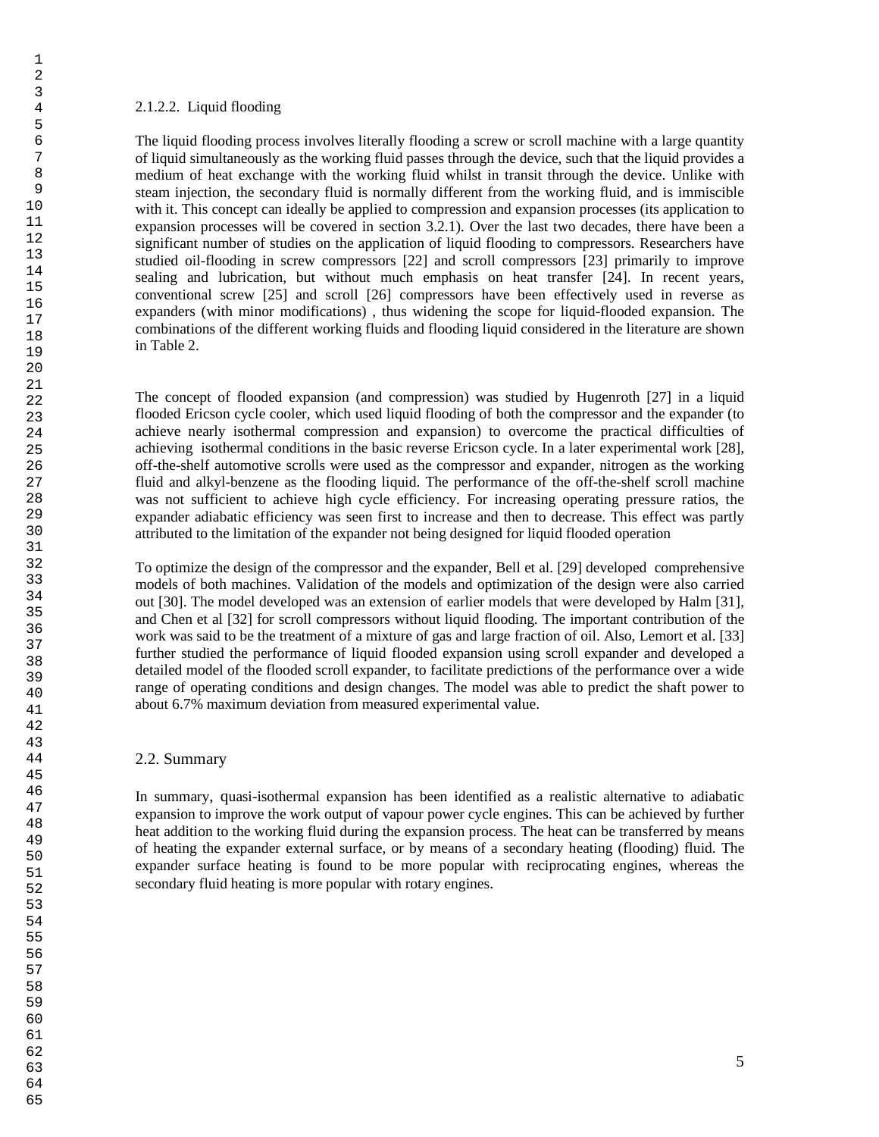### 2.1.2.2. Liquid flooding

The liquid flooding process involves literally flooding a screw or scroll machine with a large quantity of liquid simultaneously as the working fluid passes through the device, such that the liquid provides a medium of heat exchange with the working fluid whilst in transit through the device. Unlike with steam injection, the secondary fluid is normally different from the working fluid, and is immiscible with it. This concept can ideally be applied to compression and expansion processes (its application to expansion processes will be covered in section 3.2.1). Over the last two decades, there have been a significant number of studies on the application of liquid flooding to compressors. Researchers have studied oil-flooding in screw compressors [22] and scroll compressors [23] primarily to improve sealing and lubrication, but without much emphasis on heat transfer [24]. In recent years, conventional screw [25] and scroll [26] compressors have been effectively used in reverse as expanders (with minor modifications) , thus widening the scope for liquid-flooded expansion. The combinations of the different working fluids and flooding liquid considered in the literature are shown in Table 2.

The concept of flooded expansion (and compression) was studied by Hugenroth [27] in a liquid flooded Ericson cycle cooler, which used liquid flooding of both the compressor and the expander (to achieve nearly isothermal compression and expansion) to overcome the practical difficulties of achieving isothermal conditions in the basic reverse Ericson cycle. In a later experimental work [28], off-the-shelf automotive scrolls were used as the compressor and expander, nitrogen as the working fluid and alkyl-benzene as the flooding liquid. The performance of the off-the-shelf scroll machine was not sufficient to achieve high cycle efficiency. For increasing operating pressure ratios, the expander adiabatic efficiency was seen first to increase and then to decrease. This effect was partly attributed to the limitation of the expander not being designed for liquid flooded operation

To optimize the design of the compressor and the expander, Bell et al. [29] developed comprehensive models of both machines. Validation of the models and optimization of the design were also carried out [30]. The model developed was an extension of earlier models that were developed by Halm [31], and Chen et al [32] for scroll compressors without liquid flooding. The important contribution of the work was said to be the treatment of a mixture of gas and large fraction of oil. Also, Lemort et al. [33] further studied the performance of liquid flooded expansion using scroll expander and developed a detailed model of the flooded scroll expander, to facilitate predictions of the performance over a wide range of operating conditions and design changes. The model was able to predict the shaft power to about 6.7% maximum deviation from measured experimental value.

## 2.2. Summary

In summary, quasi-isothermal expansion has been identified as a realistic alternative to adiabatic expansion to improve the work output of vapour power cycle engines. This can be achieved by further heat addition to the working fluid during the expansion process. The heat can be transferred by means of heating the expander external surface, or by means of a secondary heating (flooding) fluid. The expander surface heating is found to be more popular with reciprocating engines, whereas the secondary fluid heating is more popular with rotary engines.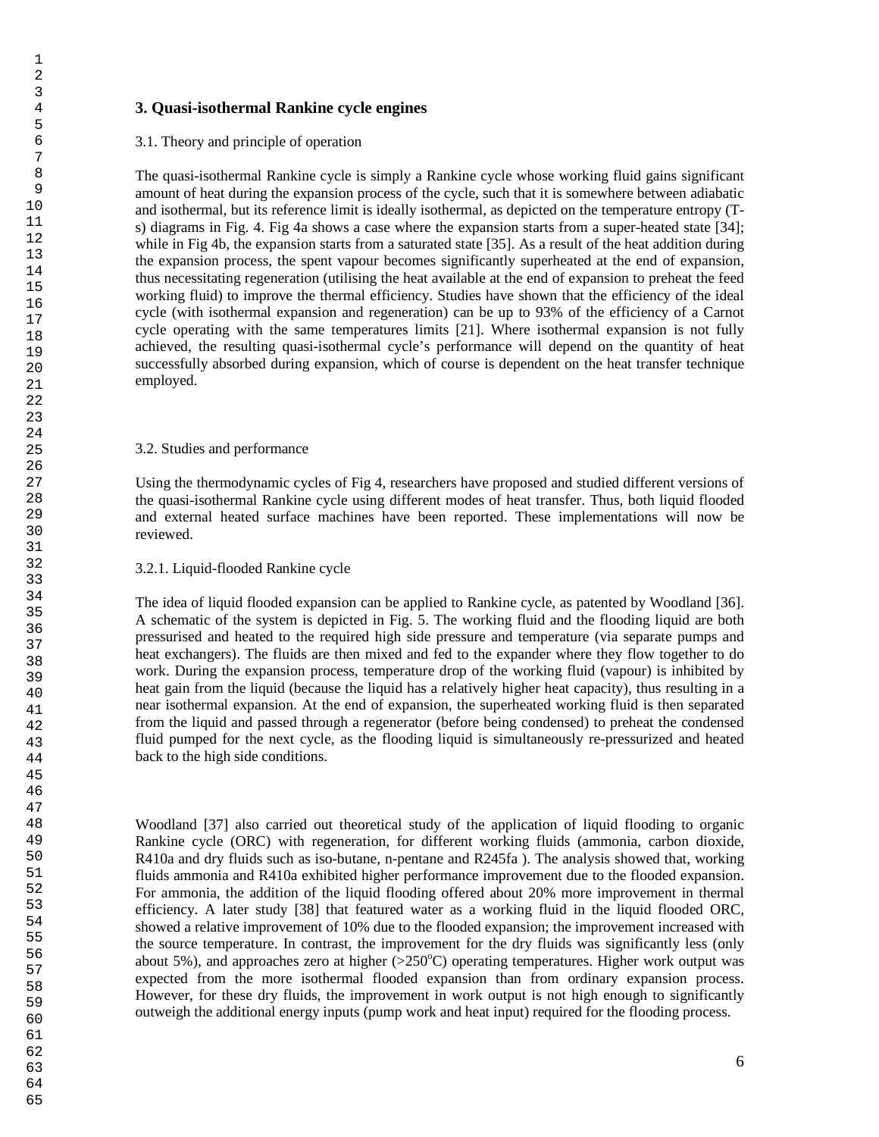## **3. Quasi-isothermal Rankine cycle engines**

## 3.1. Theory and principle of operation

The quasi-isothermal Rankine cycle is simply a Rankine cycle whose working fluid gains significant amount of heat during the expansion process of the cycle, such that it is somewhere between adiabatic and isothermal, but its reference limit is ideally isothermal, as depicted on the temperature entropy (Ts) diagrams in Fig. 4. Fig 4a shows a case where the expansion starts from a super-heated state [34]; while in Fig 4b, the expansion starts from a saturated state [35]. As a result of the heat addition during the expansion process, the spent vapour becomes significantly superheated at the end of expansion, thus necessitating regeneration (utilising the heat available at the end of expansion to preheat the feed working fluid) to improve the thermal efficiency. Studies have shown that the efficiency of the ideal cycle (with isothermal expansion and regeneration) can be up to 93% of the efficiency of a Carnot cycle operating with the same temperatures limits [21]. Where isothermal expansion is not fully achieved, the resulting quasi-isothermal cycle's performance will depend on the quantity of heat successfully absorbed during expansion, which of course is dependent on the heat transfer technique employed.

## 3.2. Studies and performance

Using the thermodynamic cycles of Fig 4, researchers have proposed and studied different versions of the quasi-isothermal Rankine cycle using different modes of heat transfer. Thus, both liquid flooded and external heated surface machines have been reported. These implementations will now be reviewed.

## 3.2.1. Liquid-flooded Rankine cycle

The idea of liquid flooded expansion can be applied to Rankine cycle, as patented by Woodland [36]. A schematic of the system is depicted in Fig. 5. The working fluid and the flooding liquid are both pressurised and heated to the required high side pressure and temperature (via separate pumps and heat exchangers). The fluids are then mixed and fed to the expander where they flow together to do work. During the expansion process, temperature drop of the working fluid (vapour) is inhibited by heat gain from the liquid (because the liquid has a relatively higher heat capacity), thus resulting in a near isothermal expansion. At the end of expansion, the superheated working fluid is then separated from the liquid and passed through a regenerator (before being condensed) to preheat the condensed fluid pumped for the next cycle, as the flooding liquid is simultaneously re-pressurized and heated back to the high side conditions.

Woodland [37] also carried out theoretical study of the application of liquid flooding to organic Rankine cycle (ORC) with regeneration, for different working fluids (ammonia, carbon dioxide, R410a and dry fluids such as iso-butane, n-pentane and R245fa ). The analysis showed that, working fluids ammonia and R410a exhibited higher performance improvement due to the flooded expansion. For ammonia, the addition of the liquid flooding offered about 20% more improvement in thermal efficiency. A later study [38] that featured water as a working fluid in the liquid flooded ORC, showed a relative improvement of 10% due to the flooded expansion; the improvement increased with the source temperature. In contrast, the improvement for the dry fluids was significantly less (only about 5%), and approaches zero at higher  $(>250^{\circ}C)$  operating temperatures. Higher work output was expected from the more isothermal flooded expansion than from ordinary expansion process. However, for these dry fluids, the improvement in work output is not high enough to significantly outweigh the additional energy inputs (pump work and heat input) required for the flooding process.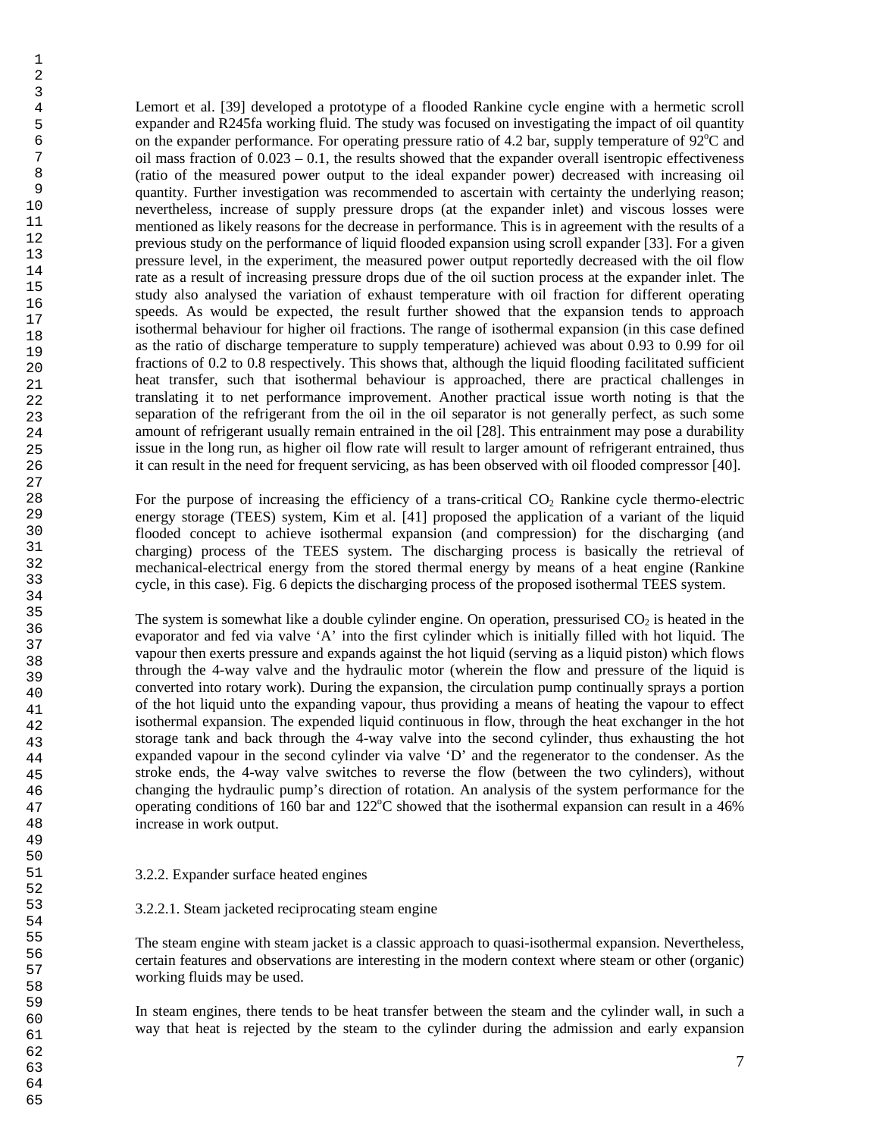Lemort et al. [39] developed a prototype of a flooded Rankine cycle engine with a hermetic scroll expander and R245fa working fluid. The study was focused on investigating the impact of oil quantity on the expander performance. For operating pressure ratio of 4.2 bar, supply temperature of  $92^{\circ}$ C and oil mass fraction of  $0.023 - 0.1$ , the results showed that the expander overall isentropic effectiveness (ratio of the measured power output to the ideal expander power) decreased with increasing oil quantity. Further investigation was recommended to ascertain with certainty the underlying reason; nevertheless, increase of supply pressure drops (at the expander inlet) and viscous losses were mentioned as likely reasons for the decrease in performance. This is in agreement with the results of a previous study on the performance of liquid flooded expansion using scroll expander [33]. For a given pressure level, in the experiment, the measured power output reportedly decreased with the oil flow rate as a result of increasing pressure drops due of the oil suction process at the expander inlet. The study also analysed the variation of exhaust temperature with oil fraction for different operating speeds. As would be expected, the result further showed that the expansion tends to approach isothermal behaviour for higher oil fractions. The range of isothermal expansion (in this case defined as the ratio of discharge temperature to supply temperature) achieved was about 0.93 to 0.99 for oil fractions of 0.2 to 0.8 respectively. This shows that, although the liquid flooding facilitated sufficient heat transfer, such that isothermal behaviour is approached, there are practical challenges in translating it to net performance improvement. Another practical issue worth noting is that the separation of the refrigerant from the oil in the oil separator is not generally perfect, as such some amount of refrigerant usually remain entrained in the oil [28]. This entrainment may pose a durability issue in the long run, as higher oil flow rate will result to larger amount of refrigerant entrained, thus it can result in the need for frequent servicing, as has been observed with oil flooded compressor [40]. For the purpose of increasing the efficiency of a trans-critical CO<sub>2</sub> Rankine cycle thermo-electric

energy storage (TEES) system, Kim et al. [41] proposed the application of a variant of the liquid flooded concept to achieve isothermal expansion (and compression) for the discharging (and charging) process of the TEES system. The discharging process is basically the retrieval of mechanical-electrical energy from the stored thermal energy by means of a heat engine (Rankine cycle, in this case). Fig. 6 depicts the discharging process of the proposed isothermal TEES system.

The system is somewhat like a double cylinder engine. On operation, pressurised  $CO<sub>2</sub>$  is heated in the evaporator and fed via valve 'A' into the first cylinder which is initially filled with hot liquid. The vapour then exerts pressure and expands against the hot liquid (serving as a liquid piston) which flows through the 4-way valve and the hydraulic motor (wherein the flow and pressure of the liquid is converted into rotary work). During the expansion, the circulation pump continually sprays a portion of the hot liquid unto the expanding vapour, thus providing a means of heating the vapour to effect isothermal expansion. The expended liquid continuous in flow, through the heat exchanger in the hot storage tank and back through the 4-way valve into the second cylinder, thus exhausting the hot expanded vapour in the second cylinder via valve 'D' and the regenerator to the condenser. As the stroke ends, the 4-way valve switches to reverse the flow (between the two cylinders), without changing the hydraulic pump's direction of rotation. An analysis of the system performance for the operating conditions of 160 bar and  $122^{\circ}$ C showed that the isothermal expansion can result in a 46% increase in work output.

3.2.2. Expander surface heated engines

3.2.2.1. Steam jacketed reciprocating steam engine

The steam engine with steam jacket is a classic approach to quasi-isothermal expansion. Nevertheless, certain features and observations are interesting in the modern context where steam or other (organic) working fluids may be used.

In steam engines, there tends to be heat transfer between the steam and the cylinder wall, in such a way that heat is rejected by the steam to the cylinder during the admission and early expansion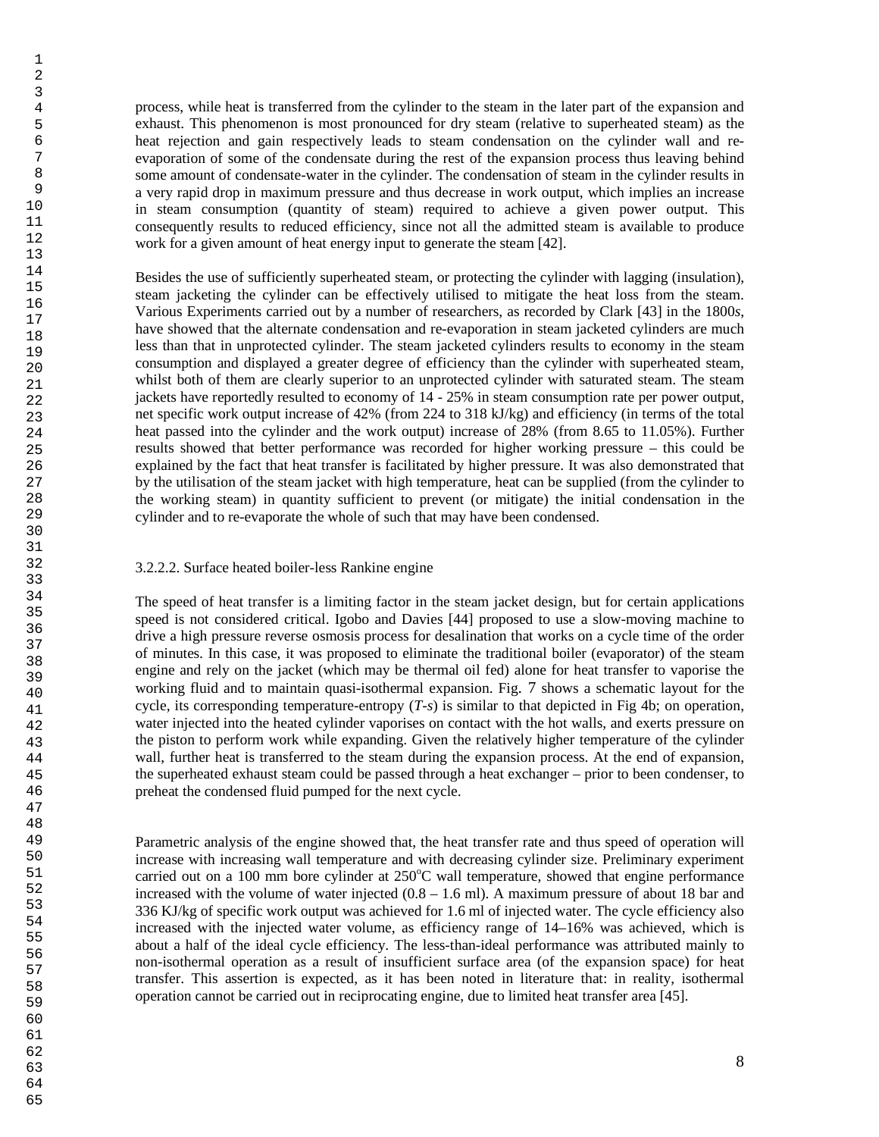process, while heat is transferred from the cylinder to the steam in the later part of the expansion and exhaust. This phenomenon is most pronounced for dry steam (relative to superheated steam) as the heat rejection and gain respectively leads to steam condensation on the cylinder wall and reevaporation of some of the condensate during the rest of the expansion process thus leaving behind some amount of condensate-water in the cylinder. The condensation of steam in the cylinder results in a very rapid drop in maximum pressure and thus decrease in work output, which implies an increase in steam consumption (quantity of steam) required to achieve a given power output. This consequently results to reduced efficiency, since not all the admitted steam is available to produce work for a given amount of heat energy input to generate the steam [42].

Besides the use of sufficiently superheated steam, or protecting the cylinder with lagging (insulation), steam jacketing the cylinder can be effectively utilised to mitigate the heat loss from the steam. Various Experiments carried out by a number of researchers, as recorded by Clark [43] in the 1800*s*, have showed that the alternate condensation and re-evaporation in steam jacketed cylinders are much less than that in unprotected cylinder. The steam jacketed cylinders results to economy in the steam consumption and displayed a greater degree of efficiency than the cylinder with superheated steam, whilst both of them are clearly superior to an unprotected cylinder with saturated steam. The steam jackets have reportedly resulted to economy of 14 - 25% in steam consumption rate per power output, net specific work output increase of 42% (from 224 to 318 kJ/kg) and efficiency (in terms of the total heat passed into the cylinder and the work output) increase of 28% (from 8.65 to 11.05%). Further results showed that better performance was recorded for higher working pressure – this could be explained by the fact that heat transfer is facilitated by higher pressure. It was also demonstrated that by the utilisation of the steam jacket with high temperature, heat can be supplied (from the cylinder to the working steam) in quantity sufficient to prevent (or mitigate) the initial condensation in the cylinder and to re-evaporate the whole of such that may have been condensed.

## 3.2.2.2. Surface heated boiler-less Rankine engine

The speed of heat transfer is a limiting factor in the steam jacket design, but for certain applications speed is not considered critical. Igobo and Davies [44] proposed to use a slow-moving machine to drive a high pressure reverse osmosis process for desalination that works on a cycle time of the order of minutes. In this case, it was proposed to eliminate the traditional boiler (evaporator) of the steam engine and rely on the jacket (which may be thermal oil fed) alone for heat transfer to vaporise the working fluid and to maintain quasi-isothermal expansion. Fig. 7 shows a schematic layout for the cycle, its corresponding temperature-entropy (*T-s*) is similar to that depicted in Fig 4b; on operation, water injected into the heated cylinder vaporises on contact with the hot walls, and exerts pressure on the piston to perform work while expanding. Given the relatively higher temperature of the cylinder wall, further heat is transferred to the steam during the expansion process. At the end of expansion, the superheated exhaust steam could be passed through a heat exchanger – prior to been condenser, to preheat the condensed fluid pumped for the next cycle.

Parametric analysis of the engine showed that, the heat transfer rate and thus speed of operation will increase with increasing wall temperature and with decreasing cylinder size. Preliminary experiment carried out on a 100 mm bore cylinder at  $250^{\circ}$ C wall temperature, showed that engine performance increased with the volume of water injected  $(0.8 - 1.6 \text{ ml})$ . A maximum pressure of about 18 bar and 336 KJ/kg of specific work output was achieved for 1.6 ml of injected water. The cycle efficiency also increased with the injected water volume, as efficiency range of 14–16% was achieved, which is about a half of the ideal cycle efficiency. The less-than-ideal performance was attributed mainly to non-isothermal operation as a result of insufficient surface area (of the expansion space) for heat transfer. This assertion is expected, as it has been noted in literature that: in reality, isothermal operation cannot be carried out in reciprocating engine, due to limited heat transfer area [45].

64 65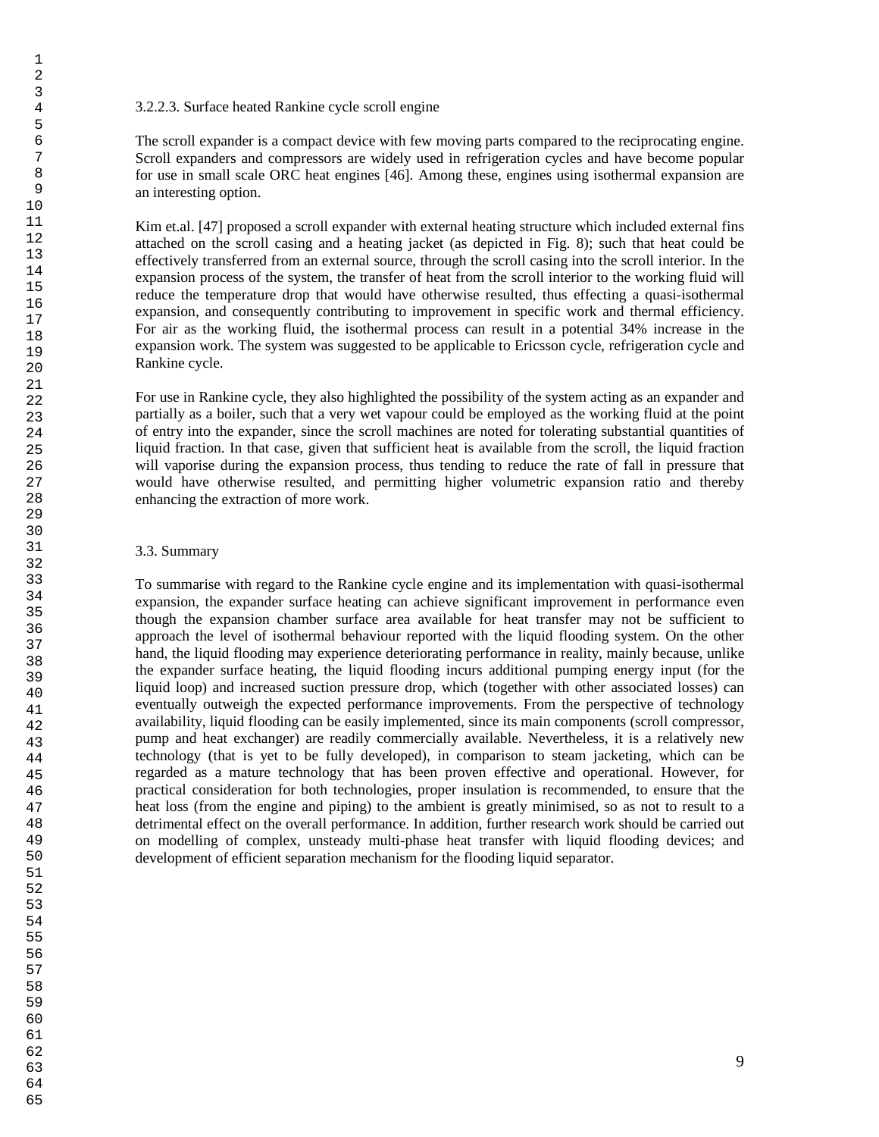## 3.2.2.3. Surface heated Rankine cycle scroll engine

The scroll expander is a compact device with few moving parts compared to the reciprocating engine. Scroll expanders and compressors are widely used in refrigeration cycles and have become popular for use in small scale ORC heat engines [46]. Among these, engines using isothermal expansion are an interesting option.

Kim et.al. [47] proposed a scroll expander with external heating structure which included external fins attached on the scroll casing and a heating jacket (as depicted in Fig. 8); such that heat could be effectively transferred from an external source, through the scroll casing into the scroll interior. In the expansion process of the system, the transfer of heat from the scroll interior to the working fluid will reduce the temperature drop that would have otherwise resulted, thus effecting a quasi-isothermal expansion, and consequently contributing to improvement in specific work and thermal efficiency. For air as the working fluid, the isothermal process can result in a potential 34% increase in the expansion work. The system was suggested to be applicable to Ericsson cycle, refrigeration cycle and Rankine cycle.

For use in Rankine cycle, they also highlighted the possibility of the system acting as an expander and partially as a boiler, such that a very wet vapour could be employed as the working fluid at the point of entry into the expander, since the scroll machines are noted for tolerating substantial quantities of liquid fraction. In that case, given that sufficient heat is available from the scroll, the liquid fraction will vaporise during the expansion process, thus tending to reduce the rate of fall in pressure that would have otherwise resulted, and permitting higher volumetric expansion ratio and thereby enhancing the extraction of more work.

## 3.3. Summary

To summarise with regard to the Rankine cycle engine and its implementation with quasi-isothermal expansion, the expander surface heating can achieve significant improvement in performance even though the expansion chamber surface area available for heat transfer may not be sufficient to approach the level of isothermal behaviour reported with the liquid flooding system. On the other hand, the liquid flooding may experience deteriorating performance in reality, mainly because, unlike the expander surface heating, the liquid flooding incurs additional pumping energy input (for the liquid loop) and increased suction pressure drop, which (together with other associated losses) can eventually outweigh the expected performance improvements. From the perspective of technology availability, liquid flooding can be easily implemented, since its main components (scroll compressor, pump and heat exchanger) are readily commercially available. Nevertheless, it is a relatively new technology (that is yet to be fully developed), in comparison to steam jacketing, which can be regarded as a mature technology that has been proven effective and operational. However, for practical consideration for both technologies, proper insulation is recommended, to ensure that the heat loss (from the engine and piping) to the ambient is greatly minimised, so as not to result to a detrimental effect on the overall performance. In addition, further research work should be carried out on modelling of complex, unsteady multi-phase heat transfer with liquid flooding devices; and development of efficient separation mechanism for the flooding liquid separator.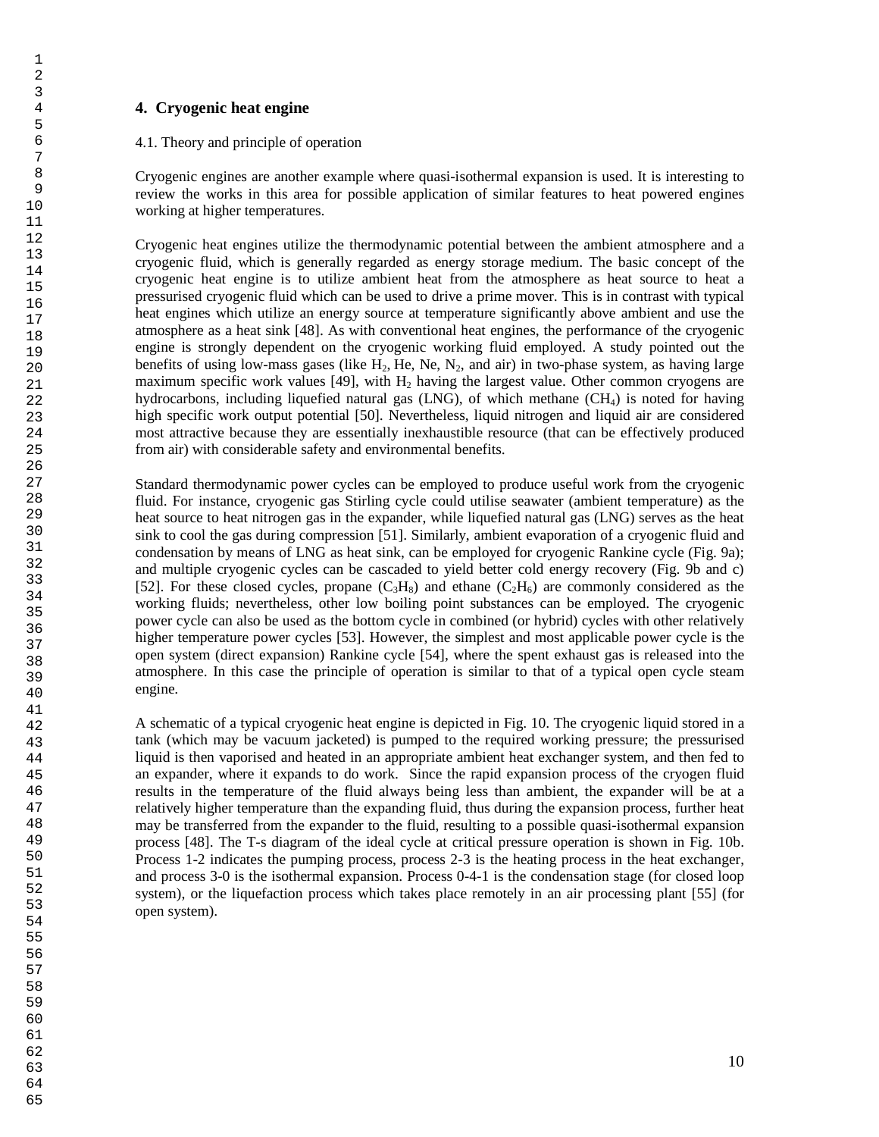## **4. Cryogenic heat engine**

## 4.1. Theory and principle of operation

Cryogenic engines are another example where quasi-isothermal expansion is used. It is interesting to review the works in this area for possible application of similar features to heat powered engines working at higher temperatures.

Cryogenic heat engines utilize the thermodynamic potential between the ambient atmosphere and a cryogenic fluid, which is generally regarded as energy storage medium. The basic concept of the cryogenic heat engine is to utilize ambient heat from the atmosphere as heat source to heat a pressurised cryogenic fluid which can be used to drive a prime mover. This is in contrast with typical heat engines which utilize an energy source at temperature significantly above ambient and use the atmosphere as a heat sink [48]. As with conventional heat engines, the performance of the cryogenic engine is strongly dependent on the cryogenic working fluid employed. A study pointed out the benefits of using low-mass gases (like  $H_2$ , He, Ne, N<sub>2</sub>, and air) in two-phase system, as having large maximum specific work values [49], with  $H_2$  having the largest value. Other common cryogens are hydrocarbons, including liquefied natural gas  $(LNG)$ , of which methane  $(CH<sub>4</sub>)$  is noted for having high specific work output potential [50]. Nevertheless, liquid nitrogen and liquid air are considered most attractive because they are essentially inexhaustible resource (that can be effectively produced from air) with considerable safety and environmental benefits.

Standard thermodynamic power cycles can be employed to produce useful work from the cryogenic fluid. For instance, cryogenic gas Stirling cycle could utilise seawater (ambient temperature) as the heat source to heat nitrogen gas in the expander, while liquefied natural gas (LNG) serves as the heat sink to cool the gas during compression [51]. Similarly, ambient evaporation of a cryogenic fluid and condensation by means of LNG as heat sink, can be employed for cryogenic Rankine cycle (Fig. 9a); and multiple cryogenic cycles can be cascaded to yield better cold energy recovery (Fig. 9b and c) [52]. For these closed cycles, propane  $(C_3H_8)$  and ethane  $(C_2H_6)$  are commonly considered as the working fluids; nevertheless, other low boiling point substances can be employed. The cryogenic power cycle can also be used as the bottom cycle in combined (or hybrid) cycles with other relatively higher temperature power cycles [53]. However, the simplest and most applicable power cycle is the open system (direct expansion) Rankine cycle [54], where the spent exhaust gas is released into the atmosphere. In this case the principle of operation is similar to that of a typical open cycle steam engine.

A schematic of a typical cryogenic heat engine is depicted in Fig. 10. The cryogenic liquid stored in a tank (which may be vacuum jacketed) is pumped to the required working pressure; the pressurised liquid is then vaporised and heated in an appropriate ambient heat exchanger system, and then fed to an expander, where it expands to do work. Since the rapid expansion process of the cryogen fluid results in the temperature of the fluid always being less than ambient, the expander will be at a relatively higher temperature than the expanding fluid, thus during the expansion process, further heat may be transferred from the expander to the fluid, resulting to a possible quasi-isothermal expansion process [48]. The T-s diagram of the ideal cycle at critical pressure operation is shown in Fig. 10b. Process 1-2 indicates the pumping process, process 2-3 is the heating process in the heat exchanger, and process 3-0 is the isothermal expansion. Process 0-4-1 is the condensation stage (for closed loop system), or the liquefaction process which takes place remotely in an air processing plant [55] (for open system).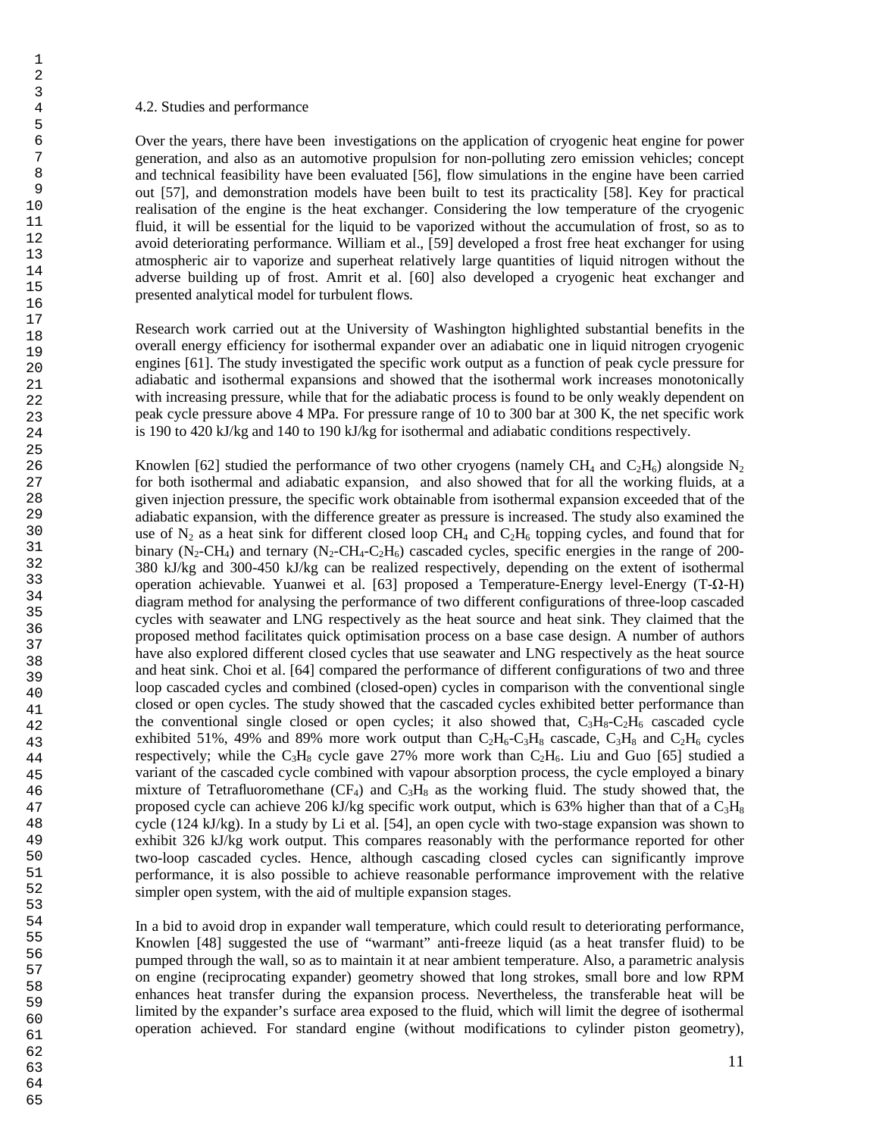#### 4.2. Studies and performance

Over the years, there have been investigations on the application of cryogenic heat engine for power generation, and also as an automotive propulsion for non-polluting zero emission vehicles; concept and technical feasibility have been evaluated [56], flow simulations in the engine have been carried out [57], and demonstration models have been built to test its practicality [58]. Key for practical realisation of the engine is the heat exchanger. Considering the low temperature of the cryogenic fluid, it will be essential for the liquid to be vaporized without the accumulation of frost, so as to avoid deteriorating performance. William et al., [59] developed a frost free heat exchanger for using atmospheric air to vaporize and superheat relatively large quantities of liquid nitrogen without the adverse building up of frost. Amrit et al. [60] also developed a cryogenic heat exchanger and presented analytical model for turbulent flows.

Research work carried out at the University of Washington highlighted substantial benefits in the overall energy efficiency for isothermal expander over an adiabatic one in liquid nitrogen cryogenic engines [61]. The study investigated the specific work output as a function of peak cycle pressure for adiabatic and isothermal expansions and showed that the isothermal work increases monotonically with increasing pressure, while that for the adiabatic process is found to be only weakly dependent on peak cycle pressure above 4 MPa. For pressure range of 10 to 300 bar at 300 K, the net specific work is 190 to 420 kJ/kg and 140 to 190 kJ/kg for isothermal and adiabatic conditions respectively.

Knowlen [62] studied the performance of two other cryogens (namely  $CH_4$  and  $C_2H_6$ ) alongside N<sub>2</sub> for both isothermal and adiabatic expansion, and also showed that for all the working fluids, at a given injection pressure, the specific work obtainable from isothermal expansion exceeded that of the adiabatic expansion, with the difference greater as pressure is increased. The study also examined the use of  $N_2$  as a heat sink for different closed loop CH<sub>4</sub> and C<sub>2</sub>H<sub>6</sub> topping cycles, and found that for binary (N<sub>2</sub>-CH<sub>4</sub>) and ternary (N<sub>2</sub>-CH<sub>4</sub>-C<sub>2</sub>H<sub>6</sub>) cascaded cycles, specific energies in the range of 200-380 kJ/kg and 300-450 kJ/kg can be realized respectively, depending on the extent of isothermal operation achievable. Yuanwei et al. [63] proposed a Temperature-Energy level-Energy (T-Ω-H) diagram method for analysing the performance of two different configurations of three-loop cascaded cycles with seawater and LNG respectively as the heat source and heat sink. They claimed that the proposed method facilitates quick optimisation process on a base case design. A number of authors have also explored different closed cycles that use seawater and LNG respectively as the heat source and heat sink. Choi et al. [64] compared the performance of different configurations of two and three loop cascaded cycles and combined (closed-open) cycles in comparison with the conventional single closed or open cycles. The study showed that the cascaded cycles exhibited better performance than the conventional single closed or open cycles; it also showed that,  $C_3H_8-C_2H_6$  cascaded cycle exhibited 51%, 49% and 89% more work output than  $C_2H_6-C_3H_8$  cascade,  $C_3H_8$  and  $C_2H_6$  cycles respectively; while the  $C_3H_8$  cycle gave 27% more work than  $C_2H_6$ . Liu and Guo [65] studied a variant of the cascaded cycle combined with vapour absorption process, the cycle employed a binary mixture of Tetrafluoromethane ( $CF_4$ ) and  $C_3H_8$  as the working fluid. The study showed that, the proposed cycle can achieve 206 kJ/kg specific work output, which is 63% higher than that of a  $C_3H_8$ cycle (124 kJ/kg). In a study by Li et al. [54], an open cycle with two-stage expansion was shown to exhibit 326 kJ/kg work output. This compares reasonably with the performance reported for other two-loop cascaded cycles. Hence, although cascading closed cycles can significantly improve performance, it is also possible to achieve reasonable performance improvement with the relative simpler open system, with the aid of multiple expansion stages.

In a bid to avoid drop in expander wall temperature, which could result to deteriorating performance, Knowlen [48] suggested the use of "warmant" anti-freeze liquid (as a heat transfer fluid) to be pumped through the wall, so as to maintain it at near ambient temperature. Also, a parametric analysis on engine (reciprocating expander) geometry showed that long strokes, small bore and low RPM enhances heat transfer during the expansion process. Nevertheless, the transferable heat will be limited by the expander's surface area exposed to the fluid, which will limit the degree of isothermal operation achieved. For standard engine (without modifications to cylinder piston geometry),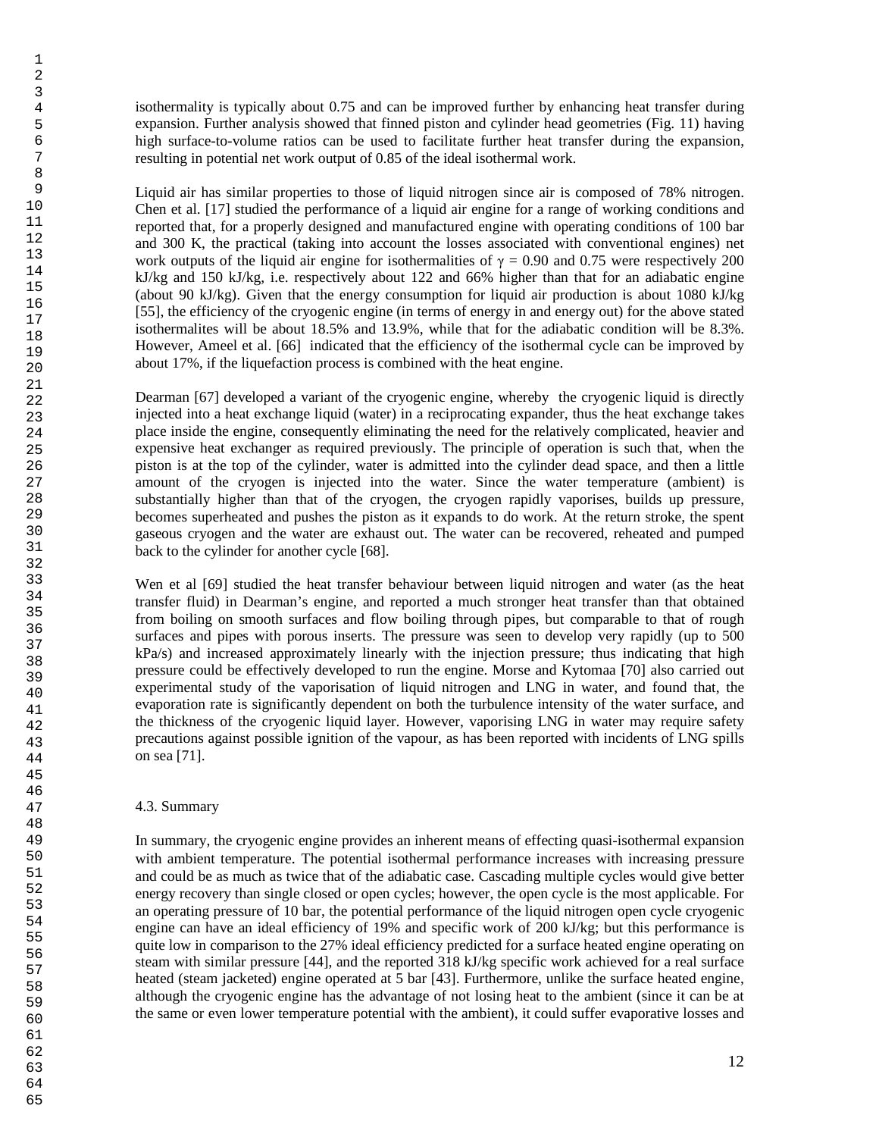isothermality is typically about 0.75 and can be improved further by enhancing heat transfer during expansion. Further analysis showed that finned piston and cylinder head geometries (Fig. 11) having high surface-to-volume ratios can be used to facilitate further heat transfer during the expansion, resulting in potential net work output of 0.85 of the ideal isothermal work.

Liquid air has similar properties to those of liquid nitrogen since air is composed of 78% nitrogen. Chen et al. [17] studied the performance of a liquid air engine for a range of working conditions and reported that, for a properly designed and manufactured engine with operating conditions of 100 bar and 300 K, the practical (taking into account the losses associated with conventional engines) net work outputs of the liquid air engine for isothermalities of  $\gamma = 0.90$  and 0.75 were respectively 200 kJ/kg and 150 kJ/kg, i.e. respectively about 122 and 66% higher than that for an adiabatic engine (about 90 kJ/kg). Given that the energy consumption for liquid air production is about 1080 kJ/kg [55], the efficiency of the cryogenic engine (in terms of energy in and energy out) for the above stated isothermalites will be about 18.5% and 13.9%, while that for the adiabatic condition will be 8.3%. However, Ameel et al. [66] indicated that the efficiency of the isothermal cycle can be improved by about 17%, if the liquefaction process is combined with the heat engine.

Dearman [67] developed a variant of the cryogenic engine, whereby the cryogenic liquid is directly injected into a heat exchange liquid (water) in a reciprocating expander, thus the heat exchange takes place inside the engine, consequently eliminating the need for the relatively complicated, heavier and expensive heat exchanger as required previously. The principle of operation is such that, when the piston is at the top of the cylinder, water is admitted into the cylinder dead space, and then a little amount of the cryogen is injected into the water. Since the water temperature (ambient) is substantially higher than that of the cryogen, the cryogen rapidly vaporises, builds up pressure, becomes superheated and pushes the piston as it expands to do work. At the return stroke, the spent gaseous cryogen and the water are exhaust out. The water can be recovered, reheated and pumped back to the cylinder for another cycle [68].

Wen et al [69] studied the heat transfer behaviour between liquid nitrogen and water (as the heat transfer fluid) in Dearman's engine, and reported a much stronger heat transfer than that obtained from boiling on smooth surfaces and flow boiling through pipes, but comparable to that of rough surfaces and pipes with porous inserts. The pressure was seen to develop very rapidly (up to 500 kPa/s) and increased approximately linearly with the injection pressure; thus indicating that high pressure could be effectively developed to run the engine. Morse and Kytomaa [70] also carried out experimental study of the vaporisation of liquid nitrogen and LNG in water, and found that, the evaporation rate is significantly dependent on both the turbulence intensity of the water surface, and the thickness of the cryogenic liquid layer. However, vaporising LNG in water may require safety precautions against possible ignition of the vapour, as has been reported with incidents of LNG spills on sea [71].

## 4.3. Summary

In summary, the cryogenic engine provides an inherent means of effecting quasi-isothermal expansion with ambient temperature. The potential isothermal performance increases with increasing pressure and could be as much as twice that of the adiabatic case. Cascading multiple cycles would give better energy recovery than single closed or open cycles; however, the open cycle is the most applicable. For an operating pressure of 10 bar, the potential performance of the liquid nitrogen open cycle cryogenic engine can have an ideal efficiency of 19% and specific work of 200 kJ/kg; but this performance is quite low in comparison to the 27% ideal efficiency predicted for a surface heated engine operating on steam with similar pressure [44], and the reported 318 kJ/kg specific work achieved for a real surface heated (steam jacketed) engine operated at 5 bar [43]. Furthermore, unlike the surface heated engine, although the cryogenic engine has the advantage of not losing heat to the ambient (since it can be at the same or even lower temperature potential with the ambient), it could suffer evaporative losses and

64 65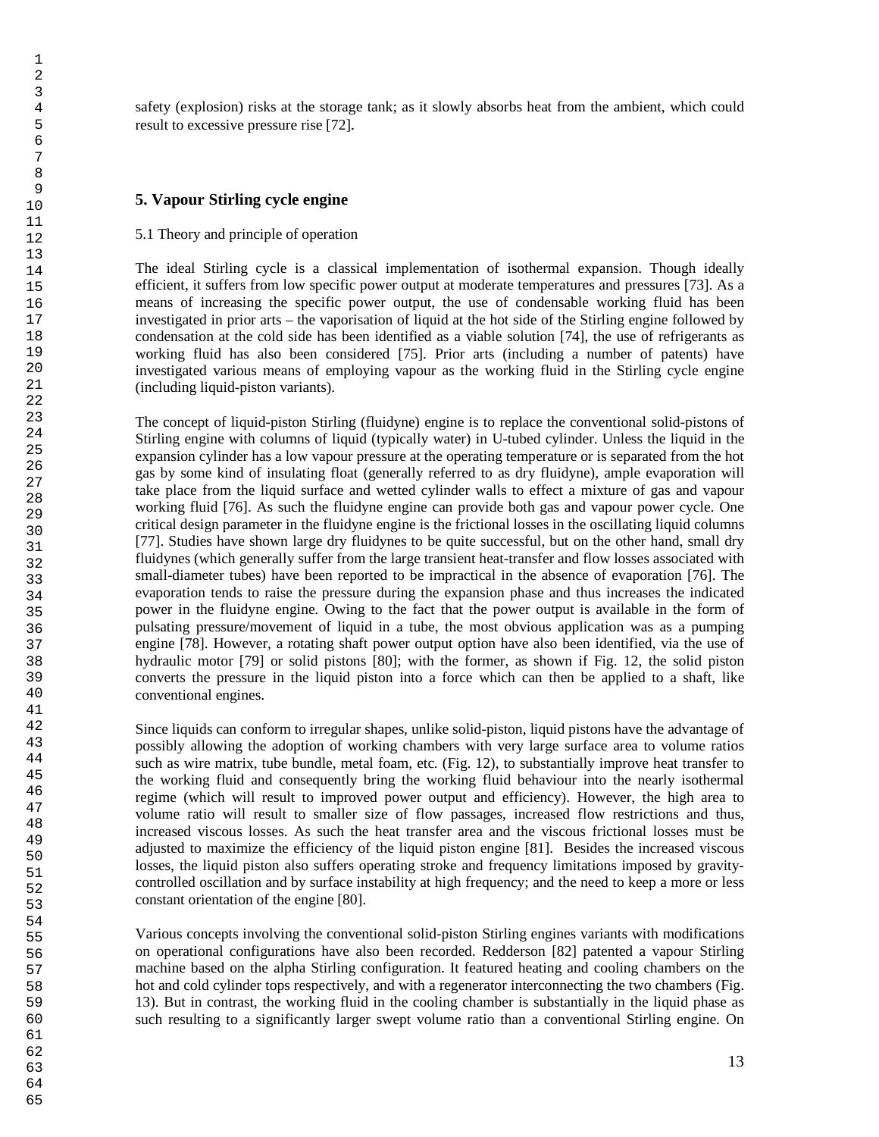safety (explosion) risks at the storage tank; as it slowly absorbs heat from the ambient, which could result to excessive pressure rise [72].

## **5. Vapour Stirling cycle engine**

## 5.1 Theory and principle of operation

The ideal Stirling cycle is a classical implementation of isothermal expansion. Though ideally efficient, it suffers from low specific power output at moderate temperatures and pressures [73]. As a means of increasing the specific power output, the use of condensable working fluid has been investigated in prior arts – the vaporisation of liquid at the hot side of the Stirling engine followed by condensation at the cold side has been identified as a viable solution [74], the use of refrigerants as working fluid has also been considered [75]. Prior arts (including a number of patents) have investigated various means of employing vapour as the working fluid in the Stirling cycle engine (including liquid-piston variants).

The concept of liquid-piston Stirling (fluidyne) engine is to replace the conventional solid-pistons of Stirling engine with columns of liquid (typically water) in U-tubed cylinder. Unless the liquid in the expansion cylinder has a low vapour pressure at the operating temperature or is separated from the hot gas by some kind of insulating float (generally referred to as dry fluidyne), ample evaporation will take place from the liquid surface and wetted cylinder walls to effect a mixture of gas and vapour working fluid [76]. As such the fluidyne engine can provide both gas and vapour power cycle. One critical design parameter in the fluidyne engine is the frictional losses in the oscillating liquid columns [77]. Studies have shown large dry fluidynes to be quite successful, but on the other hand, small dry fluidynes (which generally suffer from the large transient heat-transfer and flow losses associated with small-diameter tubes) have been reported to be impractical in the absence of evaporation [76]. The evaporation tends to raise the pressure during the expansion phase and thus increases the indicated power in the fluidyne engine. Owing to the fact that the power output is available in the form of pulsating pressure/movement of liquid in a tube, the most obvious application was as a pumping engine [78]. However, a rotating shaft power output option have also been identified, via the use of hydraulic motor [79] or solid pistons [80]; with the former, as shown if Fig. 12, the solid piston converts the pressure in the liquid piston into a force which can then be applied to a shaft, like conventional engines.

Since liquids can conform to irregular shapes, unlike solid-piston, liquid pistons have the advantage of possibly allowing the adoption of working chambers with very large surface area to volume ratios such as wire matrix, tube bundle, metal foam, etc. (Fig. 12), to substantially improve heat transfer to the working fluid and consequently bring the working fluid behaviour into the nearly isothermal regime (which will result to improved power output and efficiency). However, the high area to volume ratio will result to smaller size of flow passages, increased flow restrictions and thus, increased viscous losses. As such the heat transfer area and the viscous frictional losses must be adjusted to maximize the efficiency of the liquid piston engine [81]. Besides the increased viscous losses, the liquid piston also suffers operating stroke and frequency limitations imposed by gravitycontrolled oscillation and by surface instability at high frequency; and the need to keep a more or less constant orientation of the engine [80].

Various concepts involving the conventional solid-piston Stirling engines variants with modifications on operational configurations have also been recorded. Redderson [82] patented a vapour Stirling machine based on the alpha Stirling configuration. It featured heating and cooling chambers on the hot and cold cylinder tops respectively, and with a regenerator interconnecting the two chambers (Fig. 13). But in contrast, the working fluid in the cooling chamber is substantially in the liquid phase as such resulting to a significantly larger swept volume ratio than a conventional Stirling engine. On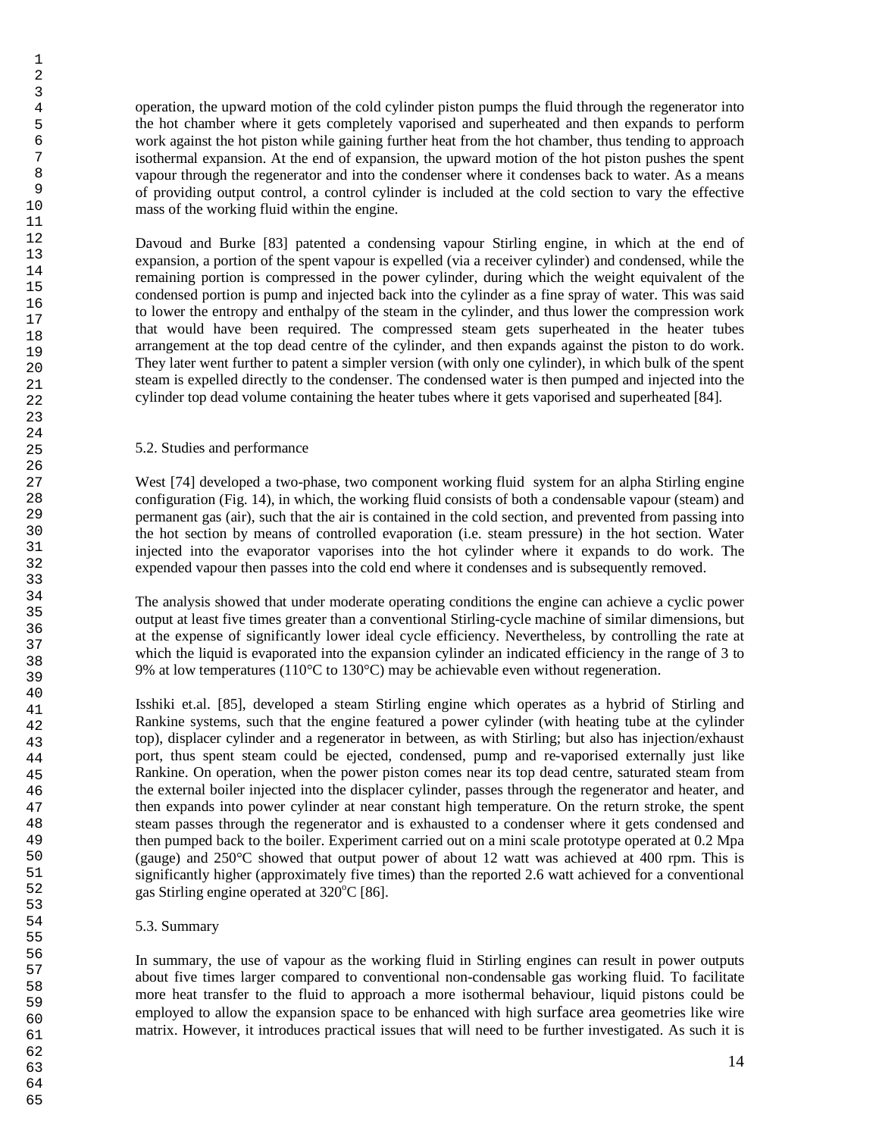operation, the upward motion of the cold cylinder piston pumps the fluid through the regenerator into the hot chamber where it gets completely vaporised and superheated and then expands to perform work against the hot piston while gaining further heat from the hot chamber, thus tending to approach isothermal expansion. At the end of expansion, the upward motion of the hot piston pushes the spent vapour through the regenerator and into the condenser where it condenses back to water. As a means of providing output control, a control cylinder is included at the cold section to vary the effective mass of the working fluid within the engine.

Davoud and Burke [83] patented a condensing vapour Stirling engine, in which at the end of expansion, a portion of the spent vapour is expelled (via a receiver cylinder) and condensed, while the remaining portion is compressed in the power cylinder, during which the weight equivalent of the condensed portion is pump and injected back into the cylinder as a fine spray of water. This was said to lower the entropy and enthalpy of the steam in the cylinder, and thus lower the compression work that would have been required. The compressed steam gets superheated in the heater tubes arrangement at the top dead centre of the cylinder, and then expands against the piston to do work. They later went further to patent a simpler version (with only one cylinder), in which bulk of the spent steam is expelled directly to the condenser. The condensed water is then pumped and injected into the cylinder top dead volume containing the heater tubes where it gets vaporised and superheated [84]*.*

## 5.2. Studies and performance

West [74] developed a two-phase, two component working fluid system for an alpha Stirling engine configuration (Fig. 14), in which, the working fluid consists of both a condensable vapour (steam) and permanent gas (air), such that the air is contained in the cold section, and prevented from passing into the hot section by means of controlled evaporation (i.e. steam pressure) in the hot section. Water injected into the evaporator vaporises into the hot cylinder where it expands to do work. The expended vapour then passes into the cold end where it condenses and is subsequently removed.

The analysis showed that under moderate operating conditions the engine can achieve a cyclic power output at least five times greater than a conventional Stirling-cycle machine of similar dimensions, but at the expense of significantly lower ideal cycle efficiency. Nevertheless, by controlling the rate at which the liquid is evaporated into the expansion cylinder an indicated efficiency in the range of 3 to 9% at low temperatures (110°C to 130°C) may be achievable even without regeneration.

Isshiki et.al. [85], developed a steam Stirling engine which operates as a hybrid of Stirling and Rankine systems, such that the engine featured a power cylinder (with heating tube at the cylinder top), displacer cylinder and a regenerator in between, as with Stirling; but also has injection/exhaust port, thus spent steam could be ejected, condensed, pump and re-vaporised externally just like Rankine. On operation, when the power piston comes near its top dead centre, saturated steam from the external boiler injected into the displacer cylinder, passes through the regenerator and heater, and then expands into power cylinder at near constant high temperature. On the return stroke, the spent steam passes through the regenerator and is exhausted to a condenser where it gets condensed and then pumped back to the boiler. Experiment carried out on a mini scale prototype operated at 0.2 Mpa (gauge) and 250°C showed that output power of about 12 watt was achieved at 400 rpm. This is significantly higher (approximately five times) than the reported 2.6 watt achieved for a conventional gas Stirling engine operated at  $320^{\circ}$ C [86].

## 5.3. Summary

In summary, the use of vapour as the working fluid in Stirling engines can result in power outputs about five times larger compared to conventional non-condensable gas working fluid. To facilitate more heat transfer to the fluid to approach a more isothermal behaviour, liquid pistons could be employed to allow the expansion space to be enhanced with high surface area geometries like wire matrix. However, it introduces practical issues that will need to be further investigated. As such it is

64 65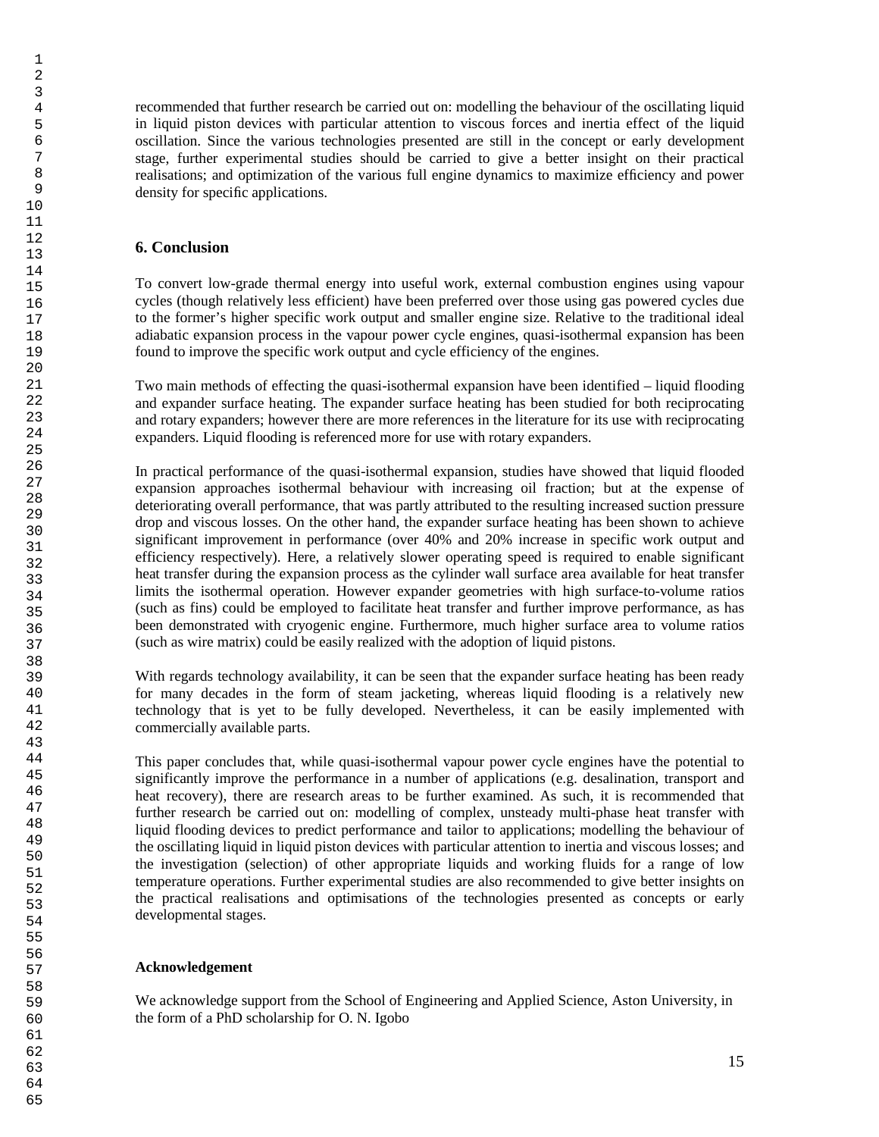recommended that further research be carried out on: modelling the behaviour of the oscillating liquid in liquid piston devices with particular attention to viscous forces and inertia effect of the liquid oscillation. Since the various technologies presented are still in the concept or early development stage, further experimental studies should be carried to give a better insight on their practical realisations; and optimization of the various full engine dynamics to maximize efficiency and power density for specific applications.

## **6. Conclusion**

To convert low-grade thermal energy into useful work, external combustion engines using vapour cycles (though relatively less efficient) have been preferred over those using gas powered cycles due to the former's higher specific work output and smaller engine size. Relative to the traditional ideal adiabatic expansion process in the vapour power cycle engines, quasi-isothermal expansion has been found to improve the specific work output and cycle efficiency of the engines.

Two main methods of effecting the quasi-isothermal expansion have been identified – liquid flooding and expander surface heating. The expander surface heating has been studied for both reciprocating and rotary expanders; however there are more references in the literature for its use with reciprocating expanders. Liquid flooding is referenced more for use with rotary expanders.

In practical performance of the quasi-isothermal expansion, studies have showed that liquid flooded expansion approaches isothermal behaviour with increasing oil fraction; but at the expense of deteriorating overall performance, that was partly attributed to the resulting increased suction pressure drop and viscous losses. On the other hand, the expander surface heating has been shown to achieve significant improvement in performance (over 40% and 20% increase in specific work output and efficiency respectively). Here, a relatively slower operating speed is required to enable significant heat transfer during the expansion process as the cylinder wall surface area available for heat transfer limits the isothermal operation. However expander geometries with high surface-to-volume ratios (such as fins) could be employed to facilitate heat transfer and further improve performance, as has been demonstrated with cryogenic engine. Furthermore, much higher surface area to volume ratios (such as wire matrix) could be easily realized with the adoption of liquid pistons.

With regards technology availability, it can be seen that the expander surface heating has been ready for many decades in the form of steam jacketing, whereas liquid flooding is a relatively new technology that is yet to be fully developed. Nevertheless, it can be easily implemented with commercially available parts.

This paper concludes that, while quasi-isothermal vapour power cycle engines have the potential to significantly improve the performance in a number of applications (e.g. desalination, transport and heat recovery), there are research areas to be further examined. As such, it is recommended that further research be carried out on: modelling of complex, unsteady multi-phase heat transfer with liquid flooding devices to predict performance and tailor to applications; modelling the behaviour of the oscillating liquid in liquid piston devices with particular attention to inertia and viscous losses; and the investigation (selection) of other appropriate liquids and working fluids for a range of low temperature operations. Further experimental studies are also recommended to give better insights on the practical realisations and optimisations of the technologies presented as concepts or early developmental stages.

## **Acknowledgement**

We acknowledge support from the School of Engineering and Applied Science, Aston University, in the form of a PhD scholarship for O. N. Igobo

65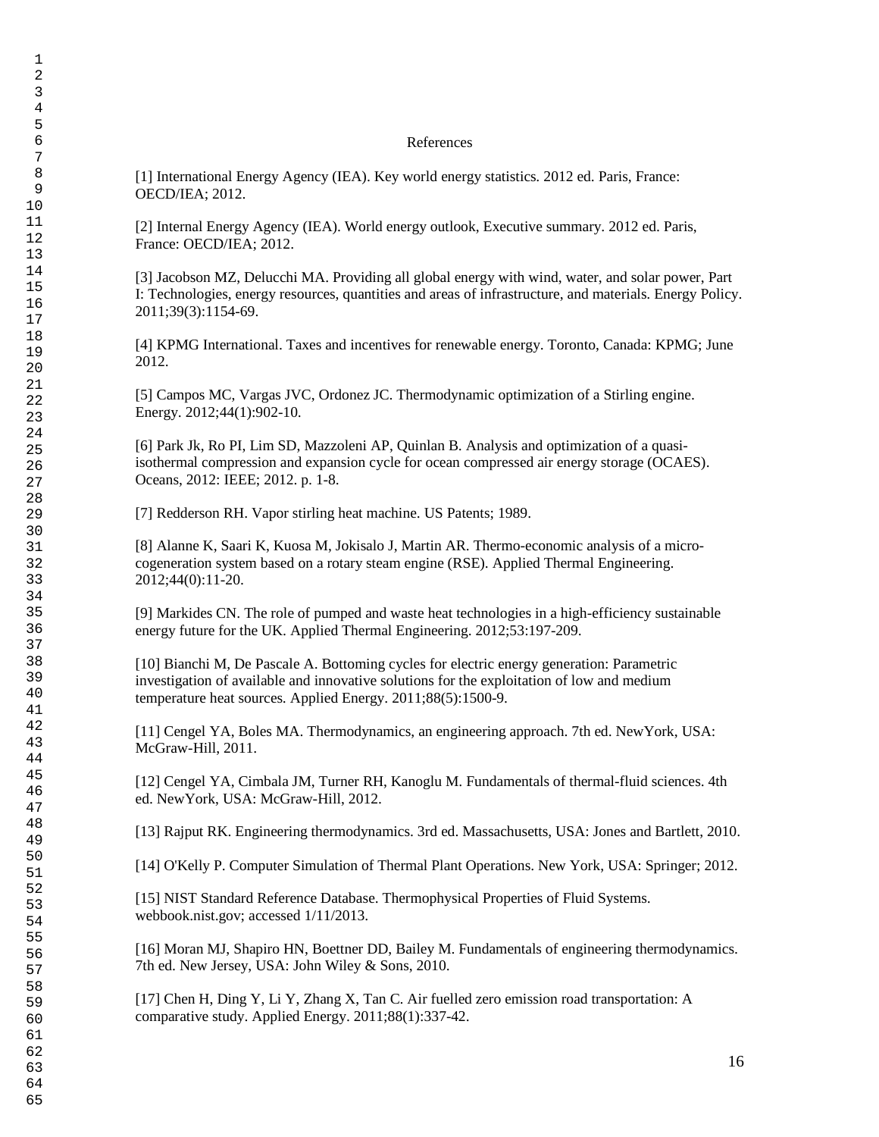### References

[1] International Energy Agency (IEA). Key world energy statistics. 2012 ed. Paris, France: OECD/IEA; 2012.

[2] Internal Energy Agency (IEA). World energy outlook, Executive summary. 2012 ed. Paris, France: OECD/IEA; 2012.

[3] Jacobson MZ, Delucchi MA. Providing all global energy with wind, water, and solar power, Part I: Technologies, energy resources, quantities and areas of infrastructure, and materials. Energy Policy. 2011;39(3):1154-69.

[4] KPMG International. Taxes and incentives for renewable energy. Toronto, Canada: KPMG; June 2012.

[5] Campos MC, Vargas JVC, Ordonez JC. Thermodynamic optimization of a Stirling engine. Energy. 2012;44(1):902-10.

[6] Park Jk, Ro PI, Lim SD, Mazzoleni AP, Quinlan B. Analysis and optimization of a quasiisothermal compression and expansion cycle for ocean compressed air energy storage (OCAES). Oceans, 2012: IEEE; 2012. p. 1-8.

[7] Redderson RH. Vapor stirling heat machine. US Patents; 1989.

[8] Alanne K, Saari K, Kuosa M, Jokisalo J, Martin AR. Thermo-economic analysis of a microcogeneration system based on a rotary steam engine (RSE). Applied Thermal Engineering. 2012;44(0):11-20.

[9] Markides CN. The role of pumped and waste heat technologies in a high-efficiency sustainable energy future for the UK. Applied Thermal Engineering. 2012;53:197-209.

[10] Bianchi M, De Pascale A. Bottoming cycles for electric energy generation: Parametric investigation of available and innovative solutions for the exploitation of low and medium temperature heat sources. Applied Energy. 2011;88(5):1500-9.

[11] Cengel YA, Boles MA. Thermodynamics, an engineering approach. 7th ed. NewYork, USA: McGraw-Hill, 2011.

[12] Cengel YA, Cimbala JM, Turner RH, Kanoglu M. Fundamentals of thermal-fluid sciences. 4th ed. NewYork, USA: McGraw-Hill, 2012.

[13] Rajput RK. Engineering thermodynamics. 3rd ed. Massachusetts, USA: Jones and Bartlett, 2010.

[14] O'Kelly P. Computer Simulation of Thermal Plant Operations. New York, USA: Springer; 2012.

[15] NIST Standard Reference Database. Thermophysical Properties of Fluid Systems. webbook.nist.gov; accessed 1/11/2013.

[16] Moran MJ, Shapiro HN, Boettner DD, Bailey M. Fundamentals of engineering thermodynamics. 7th ed. New Jersey, USA: John Wiley & Sons, 2010.

[17] Chen H, Ding Y, Li Y, Zhang X, Tan C. Air fuelled zero emission road transportation: A comparative study. Applied Energy. 2011;88(1):337-42.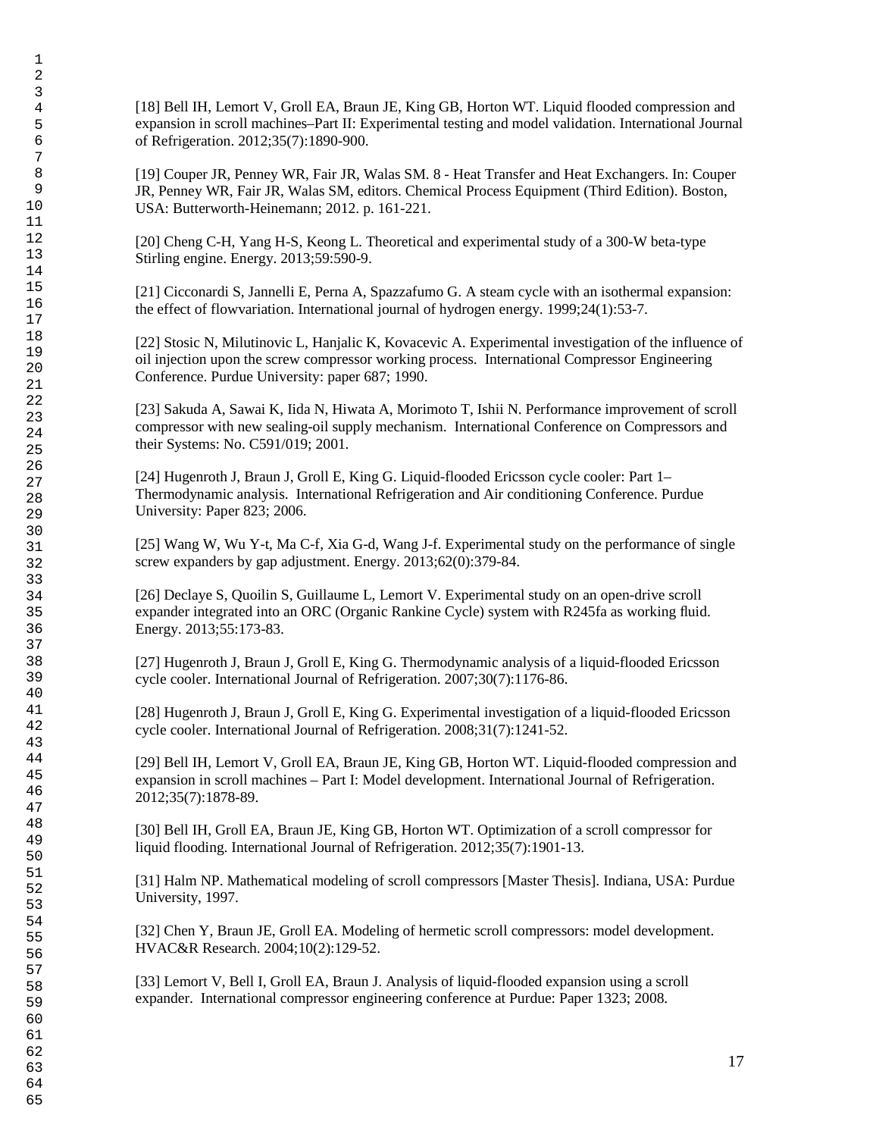[18] Bell IH, Lemort V, Groll EA, Braun JE, King GB, Horton WT. Liquid flooded compression and expansion in scroll machines–Part II: Experimental testing and model validation. International Journal of Refrigeration. 2012;35(7):1890-900.

[19] Couper JR, Penney WR, Fair JR, Walas SM. 8 - Heat Transfer and Heat Exchangers. In: Couper JR, Penney WR, Fair JR, Walas SM, editors. Chemical Process Equipment (Third Edition). Boston, USA: Butterworth-Heinemann; 2012. p. 161-221.

[20] Cheng C-H, Yang H-S, Keong L. Theoretical and experimental study of a 300-W beta-type Stirling engine. Energy. 2013;59:590-9.

[21] Cicconardi S, Jannelli E, Perna A, Spazzafumo G. A steam cycle with an isothermal expansion: the effect of flowvariation. International journal of hydrogen energy. 1999;24(1):53-7.

[22] Stosic N, Milutinovic L, Hanjalic K, Kovacevic A. Experimental investigation of the influence of oil injection upon the screw compressor working process. International Compressor Engineering Conference. Purdue University: paper 687; 1990.

[23] Sakuda A, Sawai K, Iida N, Hiwata A, Morimoto T, Ishii N. Performance improvement of scroll compressor with new sealing-oil supply mechanism. International Conference on Compressors and their Systems: No. C591/019; 2001.

[24] Hugenroth J, Braun J, Groll E, King G. Liquid-flooded Ericsson cycle cooler: Part 1– Thermodynamic analysis. International Refrigeration and Air conditioning Conference. Purdue University: Paper 823; 2006.

[25] Wang W, Wu Y-t, Ma C-f, Xia G-d, Wang J-f. Experimental study on the performance of single screw expanders by gap adjustment. Energy. 2013;62(0):379-84.

[26] Declaye S, Quoilin S, Guillaume L, Lemort V. Experimental study on an open-drive scroll expander integrated into an ORC (Organic Rankine Cycle) system with R245fa as working fluid. Energy. 2013;55:173-83.

[27] Hugenroth J, Braun J, Groll E, King G. Thermodynamic analysis of a liquid-flooded Ericsson cycle cooler. International Journal of Refrigeration. 2007;30(7):1176-86.

[28] Hugenroth J, Braun J, Groll E, King G. Experimental investigation of a liquid-flooded Ericsson cycle cooler. International Journal of Refrigeration. 2008;31(7):1241-52.

[29] Bell IH, Lemort V, Groll EA, Braun JE, King GB, Horton WT. Liquid-flooded compression and expansion in scroll machines – Part I: Model development. International Journal of Refrigeration. 2012;35(7):1878-89.

[30] Bell IH, Groll EA, Braun JE, King GB, Horton WT. Optimization of a scroll compressor for liquid flooding. International Journal of Refrigeration. 2012;35(7):1901-13.

[31] Halm NP. Mathematical modeling of scroll compressors [Master Thesis]. Indiana, USA: Purdue University, 1997.

[32] Chen Y, Braun JE, Groll EA. Modeling of hermetic scroll compressors: model development. HVAC&R Research. 2004;10(2):129-52.

[33] Lemort V, Bell I, Groll EA, Braun J. Analysis of liquid-flooded expansion using a scroll expander. International compressor engineering conference at Purdue: Paper 1323; 2008.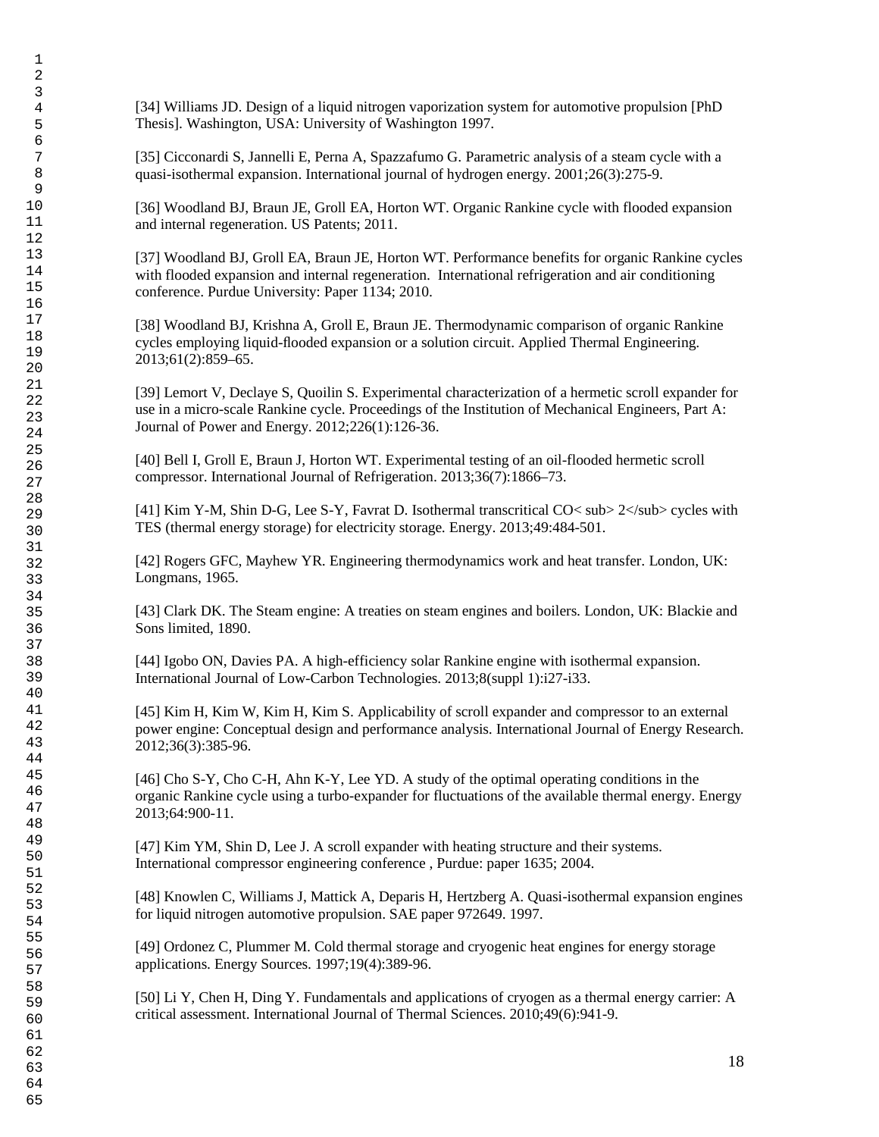[34] Williams JD. Design of a liquid nitrogen vaporization system for automotive propulsion [PhD Thesis]. Washington, USA: University of Washington 1997.

[35] Cicconardi S, Jannelli E, Perna A, Spazzafumo G. Parametric analysis of a steam cycle with a quasi-isothermal expansion. International journal of hydrogen energy. 2001;26(3):275-9.

[36] Woodland BJ, Braun JE, Groll EA, Horton WT. Organic Rankine cycle with flooded expansion and internal regeneration. US Patents; 2011.

[37] Woodland BJ, Groll EA, Braun JE, Horton WT. Performance benefits for organic Rankine cycles with flooded expansion and internal regeneration. International refrigeration and air conditioning conference. Purdue University: Paper 1134; 2010.

[38] Woodland BJ, Krishna A, Groll E, Braun JE. Thermodynamic comparison of organic Rankine cycles employing liquid-flooded expansion or a solution circuit. Applied Thermal Engineering. 2013;61(2):859–65.

[39] Lemort V, Declaye S, Quoilin S. Experimental characterization of a hermetic scroll expander for use in a micro-scale Rankine cycle. Proceedings of the Institution of Mechanical Engineers, Part A: Journal of Power and Energy. 2012;226(1):126-36.

[40] Bell I, Groll E, Braun J, Horton WT. Experimental testing of an oil-flooded hermetic scroll compressor. International Journal of Refrigeration. 2013;36(7):1866–73.

[41] Kim Y-M, Shin D-G, Lee S-Y, Favrat D. Isothermal transcritical CO $<$  sub $>$  2 $\lt$ /sub $>$  cycles with TES (thermal energy storage) for electricity storage. Energy. 2013;49:484-501.

[42] Rogers GFC, Mayhew YR. Engineering thermodynamics work and heat transfer. London, UK: Longmans, 1965.

[43] Clark DK. The Steam engine: A treaties on steam engines and boilers. London, UK: Blackie and Sons limited, 1890.

[44] Igobo ON, Davies PA. A high-efficiency solar Rankine engine with isothermal expansion. International Journal of Low-Carbon Technologies. 2013;8(suppl 1):i27-i33.

[45] Kim H, Kim W, Kim H, Kim S. Applicability of scroll expander and compressor to an external power engine: Conceptual design and performance analysis. International Journal of Energy Research. 2012;36(3):385-96.

[46] Cho S-Y, Cho C-H, Ahn K-Y, Lee YD. A study of the optimal operating conditions in the organic Rankine cycle using a turbo-expander for fluctuations of the available thermal energy. Energy 2013;64:900-11.

[47] Kim YM, Shin D, Lee J. A scroll expander with heating structure and their systems. International compressor engineering conference , Purdue: paper 1635; 2004.

[48] Knowlen C, Williams J, Mattick A, Deparis H, Hertzberg A. Quasi-isothermal expansion engines for liquid nitrogen automotive propulsion. SAE paper 972649. 1997.

[49] Ordonez C, Plummer M. Cold thermal storage and cryogenic heat engines for energy storage applications. Energy Sources. 1997;19(4):389-96.

[50] Li Y, Chen H, Ding Y. Fundamentals and applications of cryogen as a thermal energy carrier: A critical assessment. International Journal of Thermal Sciences. 2010;49(6):941-9.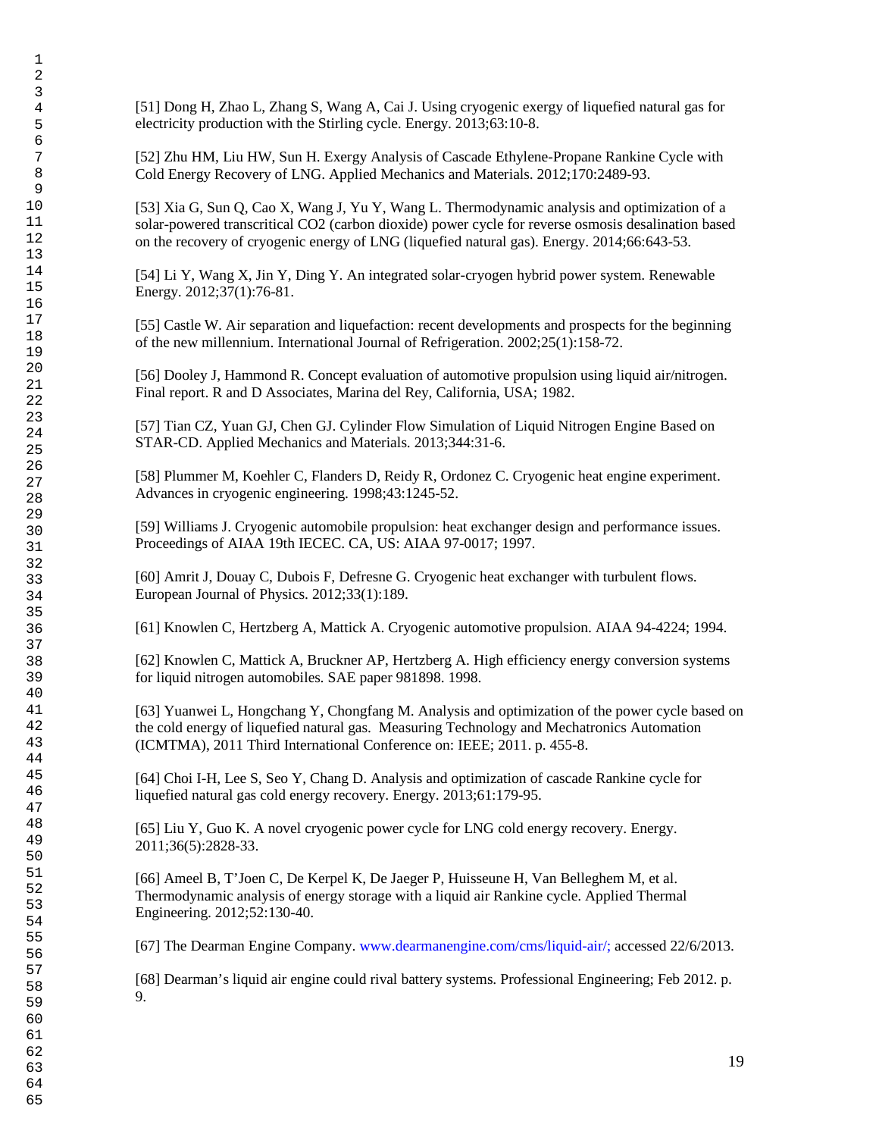[51] Dong H, Zhao L, Zhang S, Wang A, Cai J. Using cryogenic exergy of liquefied natural gas for electricity production with the Stirling cycle. Energy. 2013;63:10-8.

[52] Zhu HM, Liu HW, Sun H. Exergy Analysis of Cascade Ethylene-Propane Rankine Cycle with Cold Energy Recovery of LNG. Applied Mechanics and Materials. 2012;170:2489-93.

[53] Xia G, Sun Q, Cao X, Wang J, Yu Y, Wang L. Thermodynamic analysis and optimization of a solar-powered transcritical CO2 (carbon dioxide) power cycle for reverse osmosis desalination based on the recovery of cryogenic energy of LNG (liquefied natural gas). Energy. 2014;66:643-53.

[54] Li Y, Wang X, Jin Y, Ding Y. An integrated solar-cryogen hybrid power system. Renewable Energy. 2012;37(1):76-81.

[55] Castle W. Air separation and liquefaction: recent developments and prospects for the beginning of the new millennium. International Journal of Refrigeration. 2002;25(1):158-72.

[56] Dooley J, Hammond R. Concept evaluation of automotive propulsion using liquid air/nitrogen. Final report. R and D Associates, Marina del Rey, California, USA; 1982.

[57] Tian CZ, Yuan GJ, Chen GJ. Cylinder Flow Simulation of Liquid Nitrogen Engine Based on STAR-CD. Applied Mechanics and Materials. 2013;344:31-6.

[58] Plummer M, Koehler C, Flanders D, Reidy R, Ordonez C. Cryogenic heat engine experiment. Advances in cryogenic engineering. 1998;43:1245-52.

[59] Williams J. Cryogenic automobile propulsion: heat exchanger design and performance issues. Proceedings of AIAA 19th IECEC. CA, US: AIAA 97-0017; 1997.

[60] Amrit J, Douay C, Dubois F, Defresne G. Cryogenic heat exchanger with turbulent flows. European Journal of Physics. 2012;33(1):189.

[61] Knowlen C, Hertzberg A, Mattick A. Cryogenic automotive propulsion. AIAA 94-4224; 1994.

[62] Knowlen C, Mattick A, Bruckner AP, Hertzberg A. High efficiency energy conversion systems for liquid nitrogen automobiles. SAE paper 981898. 1998.

[63] Yuanwei L, Hongchang Y, Chongfang M. Analysis and optimization of the power cycle based on the cold energy of liquefied natural gas. Measuring Technology and Mechatronics Automation (ICMTMA), 2011 Third International Conference on: IEEE; 2011. p. 455-8.

[64] Choi I-H, Lee S, Seo Y, Chang D. Analysis and optimization of cascade Rankine cycle for liquefied natural gas cold energy recovery. Energy. 2013;61:179-95.

[65] Liu Y, Guo K. A novel cryogenic power cycle for LNG cold energy recovery. Energy. 2011;36(5):2828-33.

[66] Ameel B, T'Joen C, De Kerpel K, De Jaeger P, Huisseune H, Van Belleghem M, et al. Thermodynamic analysis of energy storage with a liquid air Rankine cycle. Applied Thermal Engineering. 2012;52:130-40.

[67] The Dearman Engine Company. www.dearmanengine.com/cms/liquid-air/; accessed 22/6/2013.

[68] Dearman's liquid air engine could rival battery systems. Professional Engineering; Feb 2012. p. 9.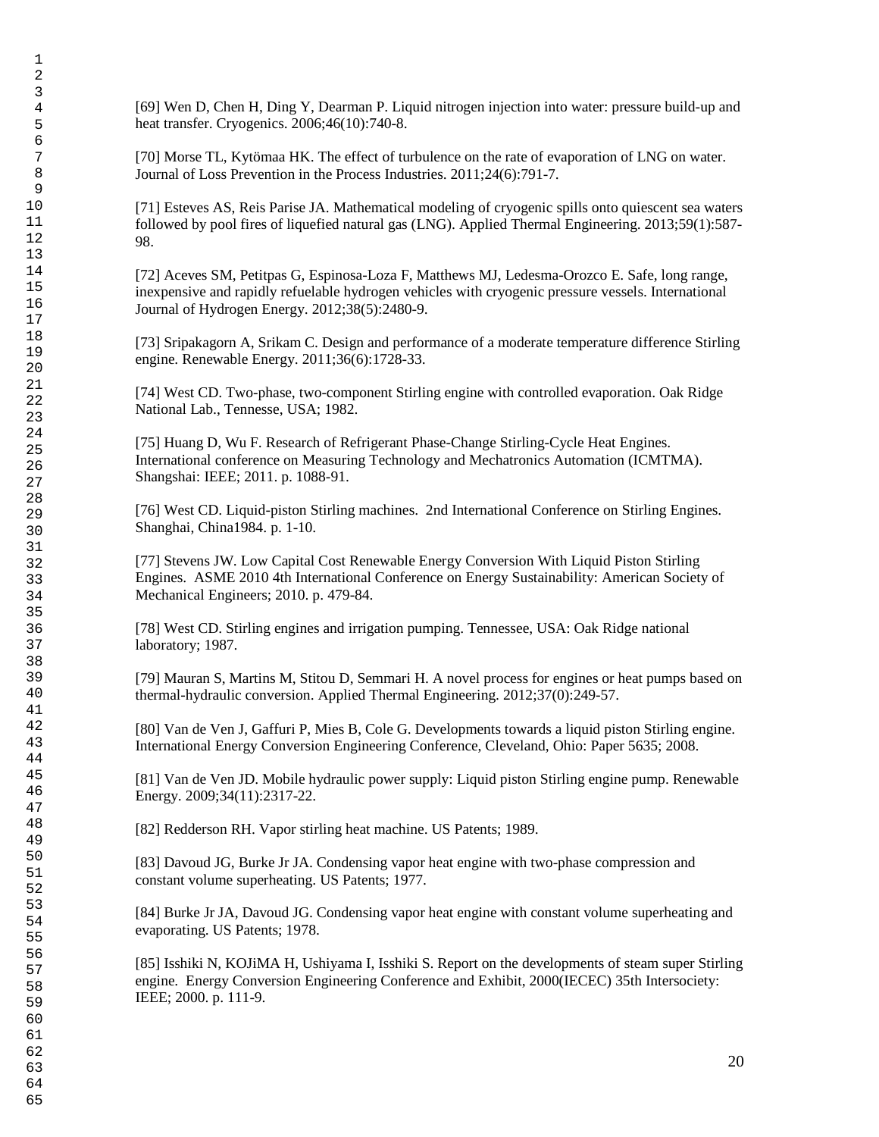[69] Wen D, Chen H, Ding Y, Dearman P. Liquid nitrogen injection into water: pressure build-up and heat transfer. Cryogenics. 2006;46(10):740-8.

[70] Morse TL, Kytömaa HK. The effect of turbulence on the rate of evaporation of LNG on water. Journal of Loss Prevention in the Process Industries. 2011;24(6):791-7.

[71] Esteves AS, Reis Parise JA. Mathematical modeling of cryogenic spills onto quiescent sea waters followed by pool fires of liquefied natural gas (LNG). Applied Thermal Engineering. 2013;59(1):587- 98.

[72] Aceves SM, Petitpas G, Espinosa-Loza F, Matthews MJ, Ledesma-Orozco E. Safe, long range, inexpensive and rapidly refuelable hydrogen vehicles with cryogenic pressure vessels. International Journal of Hydrogen Energy. 2012;38(5):2480-9.

[73] Sripakagorn A, Srikam C. Design and performance of a moderate temperature difference Stirling engine. Renewable Energy. 2011;36(6):1728-33.

[74] West CD. Two-phase, two-component Stirling engine with controlled evaporation. Oak Ridge National Lab., Tennesse, USA; 1982.

[75] Huang D, Wu F. Research of Refrigerant Phase-Change Stirling-Cycle Heat Engines. International conference on Measuring Technology and Mechatronics Automation (ICMTMA). Shangshai: IEEE; 2011. p. 1088-91.

[76] West CD. Liquid-piston Stirling machines. 2nd International Conference on Stirling Engines. Shanghai, China1984. p. 1-10.

[77] Stevens JW. Low Capital Cost Renewable Energy Conversion With Liquid Piston Stirling Engines. ASME 2010 4th International Conference on Energy Sustainability: American Society of Mechanical Engineers; 2010. p. 479-84.

[78] West CD. Stirling engines and irrigation pumping. Tennessee, USA: Oak Ridge national laboratory; 1987.

[79] Mauran S, Martins M, Stitou D, Semmari H. A novel process for engines or heat pumps based on thermal-hydraulic conversion. Applied Thermal Engineering. 2012;37(0):249-57.

[80] Van de Ven J, Gaffuri P, Mies B, Cole G. Developments towards a liquid piston Stirling engine. International Energy Conversion Engineering Conference, Cleveland, Ohio: Paper 5635; 2008.

[81] Van de Ven JD. Mobile hydraulic power supply: Liquid piston Stirling engine pump. Renewable Energy. 2009;34(11):2317-22.

[82] Redderson RH. Vapor stirling heat machine. US Patents; 1989.

[83] Davoud JG, Burke Jr JA. Condensing vapor heat engine with two-phase compression and constant volume superheating. US Patents; 1977.

[84] Burke Jr JA, Davoud JG. Condensing vapor heat engine with constant volume superheating and evaporating. US Patents; 1978.

[85] Isshiki N, KOJiMA H, Ushiyama I, Isshiki S. Report on the developments of steam super Stirling engine. Energy Conversion Engineering Conference and Exhibit, 2000(IECEC) 35th Intersociety: IEEE; 2000. p. 111-9.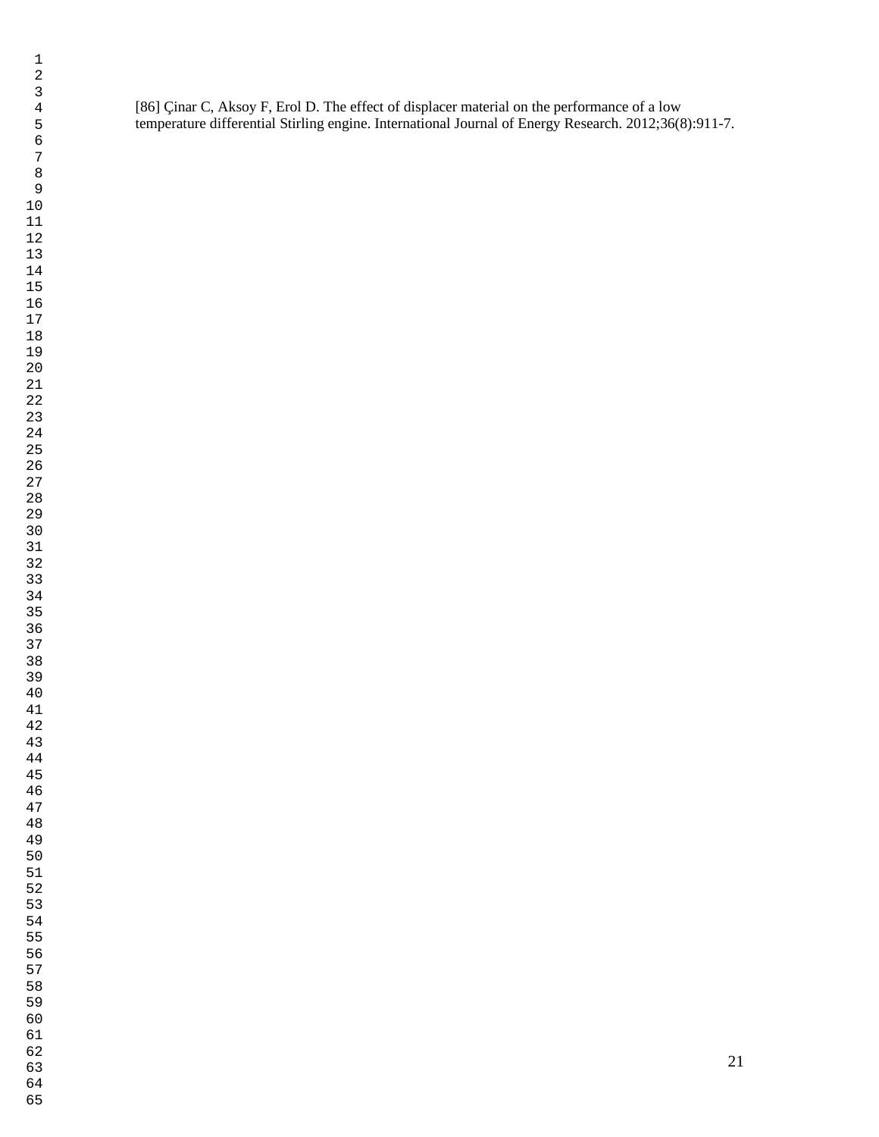[86] Çinar C, Aksoy F, Erol D. The effect of displacer material on the performance of a low temperature differential Stirling engine. International Journal of Energy Research. 2012;36(8):911-7.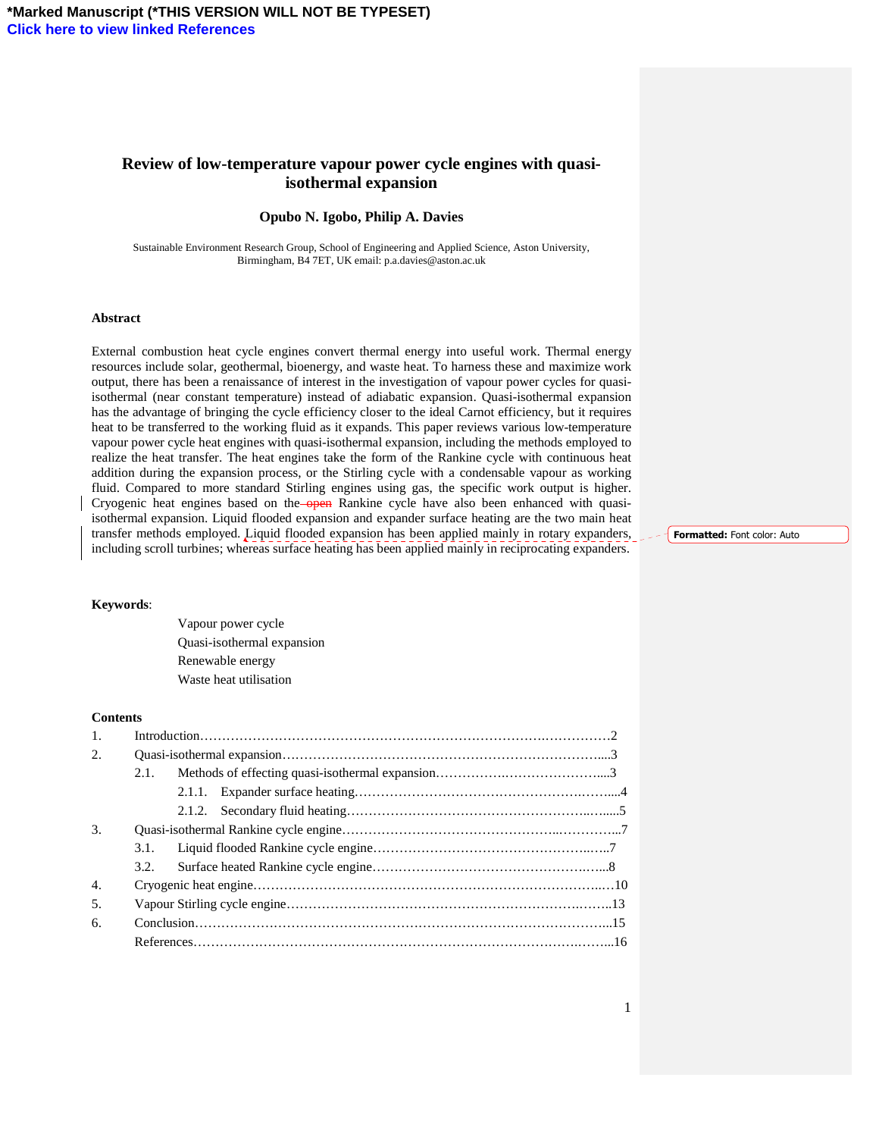## **Review of low-temperature vapour power cycle engines with quasiisothermal expansion**

#### **Opubo N. Igobo, Philip A. Davies**

Sustainable Environment Research Group, School of Engineering and Applied Science, Aston University, Birmingham, B4 7ET, UK email: p.a.davies@aston.ac.uk

#### **Abstract**

External combustion heat cycle engines convert thermal energy into useful work. Thermal energy resources include solar, geothermal, bioenergy, and waste heat. To harness these and maximize work output, there has been a renaissance of interest in the investigation of vapour power cycles for quasiisothermal (near constant temperature) instead of adiabatic expansion. Quasi-isothermal expansion has the advantage of bringing the cycle efficiency closer to the ideal Carnot efficiency, but it requires heat to be transferred to the working fluid as it expands. This paper reviews various low-temperature vapour power cycle heat engines with quasi-isothermal expansion, including the methods employed to realize the heat transfer. The heat engines take the form of the Rankine cycle with continuous heat addition during the expansion process, or the Stirling cycle with a condensable vapour as working fluid. Compared to more standard Stirling engines using gas, the specific work output is higher. Cryogenic heat engines based on the **open** Rankine cycle have also been enhanced with quasiisothermal expansion. Liquid flooded expansion and expander surface heating are the two main heat transfer methods employed. Liquid flooded expansion has been applied mainly in rotary expanders, including scroll turbines; whereas surface heating has been applied mainly in reciprocating expanders.

### Formatted: Font color: Auto

#### **Keywords**:

Vapour power cycle Quasi-isothermal expansion Renewable energy Waste heat utilisation

#### **Contents**

| 1.               |      |  |  |
|------------------|------|--|--|
| 2.               |      |  |  |
|                  | 2.1. |  |  |
|                  |      |  |  |
|                  |      |  |  |
| 3.               |      |  |  |
|                  | 3.1. |  |  |
|                  | 3.2. |  |  |
| $\overline{4}$ . |      |  |  |
| 5.               |      |  |  |
| 6.               |      |  |  |
|                  |      |  |  |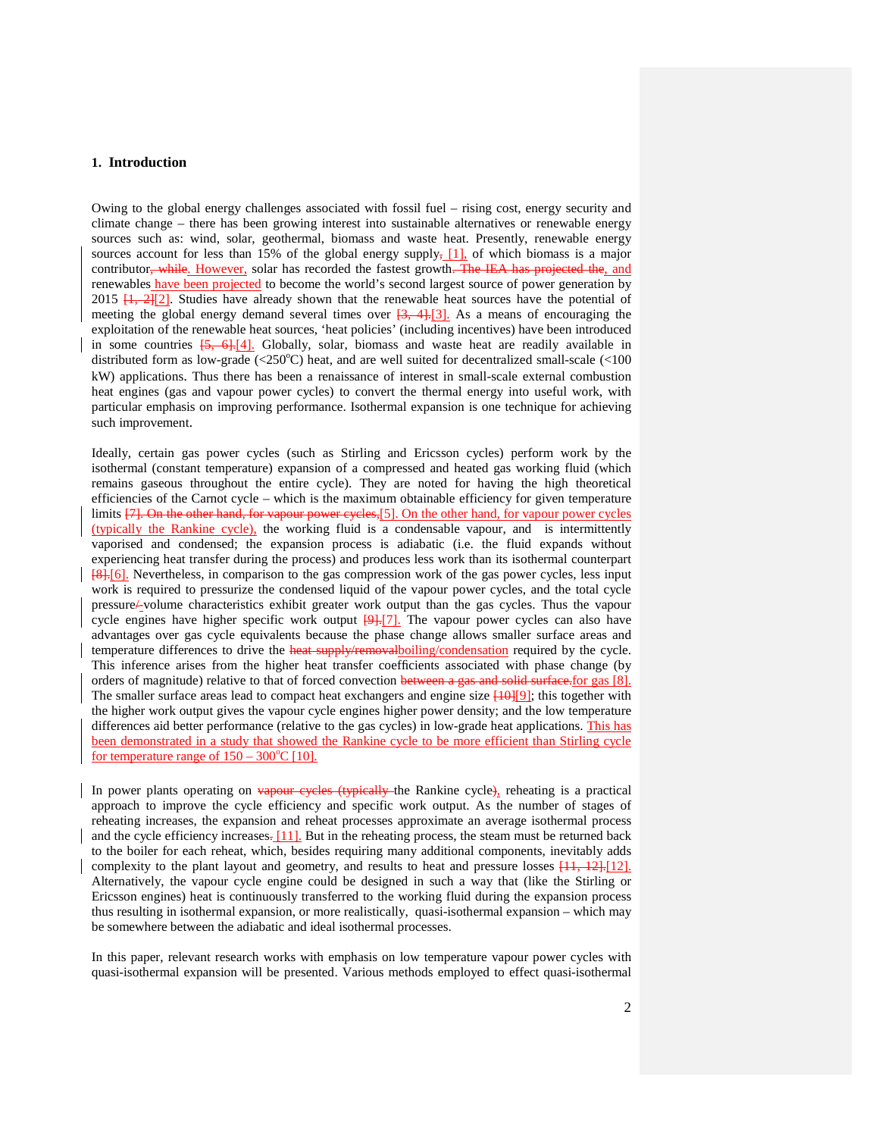#### **1. Introduction**

Owing to the global energy challenges associated with fossil fuel – rising cost, energy security and climate change – there has been growing interest into sustainable alternatives or renewable energy sources such as: wind, solar, geothermal, biomass and waste heat. Presently, renewable energy sources account for less than 15% of the global energy supply,  $[1]$ , of which biomass is a major contributor, while. However, solar has recorded the fastest growth. The IEA has projected the, and renewables have been projected to become the world's second largest source of power generation by 2015  $[1, 2][2]$ . Studies have already shown that the renewable heat sources have the potential of meeting the global energy demand several times over  $\frac{3}{3}$ ,  $\frac{4}{1}$ . As a means of encouraging the exploitation of the renewable heat sources, 'heat policies' (including incentives) have been introduced in some countries  $\overline{5, 6}$ .  $\overline{6}$ . Globally, solar, biomass and waste heat are readily available in distributed form as low-grade ( $\langle 250^{\circ}$ C) heat, and are well suited for decentralized small-scale ( $\langle 100$ ) kW) applications. Thus there has been a renaissance of interest in small-scale external combustion heat engines (gas and vapour power cycles) to convert the thermal energy into useful work, with particular emphasis on improving performance. Isothermal expansion is one technique for achieving such improvement.

Ideally, certain gas power cycles (such as Stirling and Ericsson cycles) perform work by the isothermal (constant temperature) expansion of a compressed and heated gas working fluid (which remains gaseous throughout the entire cycle). They are noted for having the high theoretical efficiencies of the Carnot cycle – which is the maximum obtainable efficiency for given temperature limits [7]. On the other hand, for vapour power cycles,[5]. On the other hand, for vapour power cycles (typically the Rankine cycle), the working fluid is a condensable vapour, and is intermittently vaporised and condensed; the expansion process is adiabatic (i.e. the fluid expands without experiencing heat transfer during the process) and produces less work than its isothermal counterpart [8].[6]. Nevertheless, in comparison to the gas compression work of the gas power cycles, less input work is required to pressurize the condensed liquid of the vapour power cycles, and the total cycle pressure/-volume characteristics exhibit greater work output than the gas cycles. Thus the vapour cycle engines have higher specific work output  $[9]$ . The vapour power cycles can also have advantages over gas cycle equivalents because the phase change allows smaller surface areas and temperature differences to drive the heat supply/removal boiling/condensation required by the cycle. This inference arises from the higher heat transfer coefficients associated with phase change (by orders of magnitude) relative to that of forced convection between a gas and solid surface. [or gas [8]. The smaller surface areas lead to compact heat exchangers and engine size  $\frac{10}{19}$ ; this together with the higher work output gives the vapour cycle engines higher power density; and the low temperature differences aid better performance (relative to the gas cycles) in low-grade heat applications. This has been demonstrated in a study that showed the Rankine cycle to be more efficient than Stirling cycle for temperature range of  $150 - 300^{\circ}C$  [10].

In power plants operating on vapour cycles (typically the Rankine cycle), reheating is a practical approach to improve the cycle efficiency and specific work output. As the number of stages of reheating increases, the expansion and reheat processes approximate an average isothermal process and the cycle efficiency increases.  $[11]$ . But in the reheating process, the steam must be returned back to the boiler for each reheat, which, besides requiring many additional components, inevitably adds complexity to the plant layout and geometry, and results to heat and pressure losses  $\frac{[11, 12] \cdot [12]}{[12]}$ . Alternatively, the vapour cycle engine could be designed in such a way that (like the Stirling or Ericsson engines) heat is continuously transferred to the working fluid during the expansion process thus resulting in isothermal expansion, or more realistically, quasi-isothermal expansion – which may be somewhere between the adiabatic and ideal isothermal processes.

In this paper, relevant research works with emphasis on low temperature vapour power cycles with quasi-isothermal expansion will be presented. Various methods employed to effect quasi-isothermal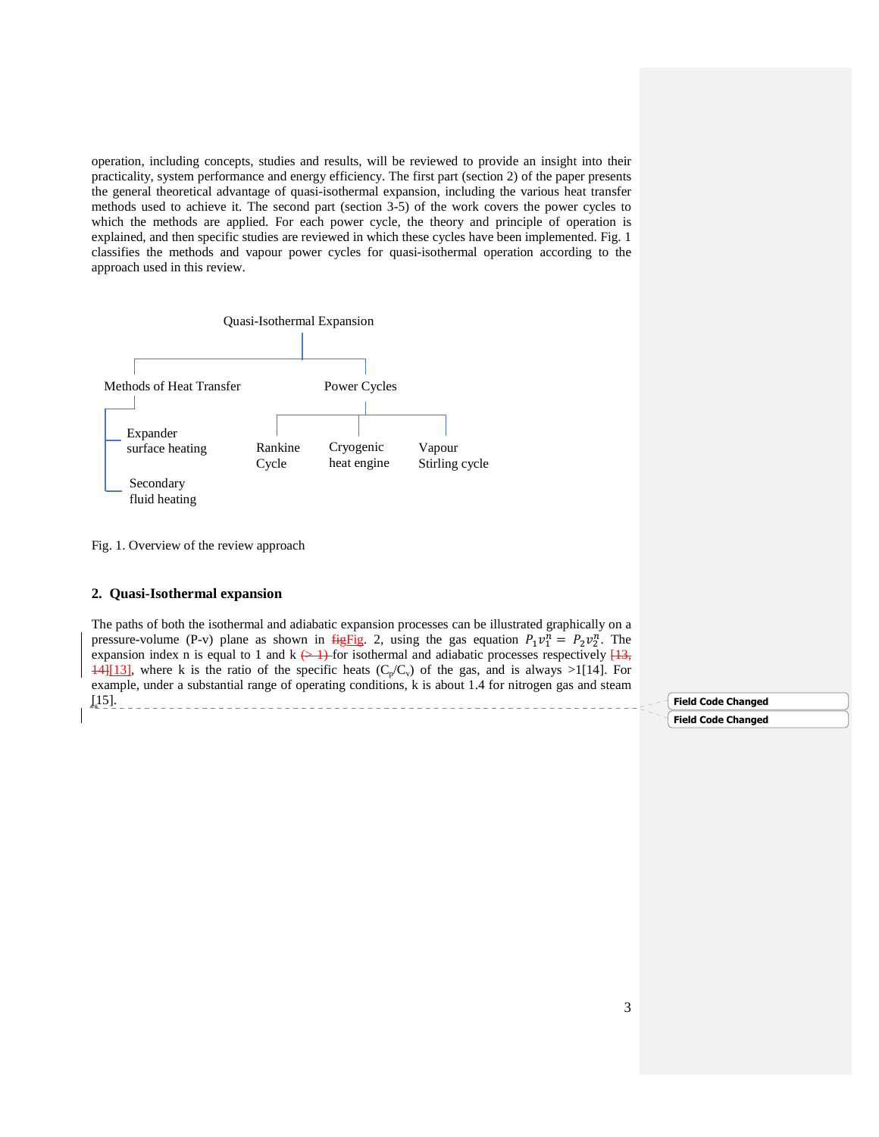operation, including concepts, studies and results, will be reviewed to provide an insight into their practicality, system performance and energy efficiency. The first part (section 2) of the paper presents the general theoretical advantage of quasi-isothermal expansion, including the various heat transfer methods used to achieve it. The second part (section 3-5) of the work covers the power cycles to which the methods are applied. For each power cycle, the theory and principle of operation is explained, and then specific studies are reviewed in which these cycles have been implemented. Fig. 1 classifies the methods and vapour power cycles for quasi-isothermal operation according to the approach used in this review.



Fig. 1. Overview of the review approach

#### **2. Quasi-Isothermal expansion**

The paths of both the isothermal and adiabatic expansion processes can be illustrated graphically on a pressure-volume (P-v) plane as shown in  $f{HgFig. 2}$ , using the gas equation  $P_1v_1^n = P_2v_2^n$ . The expansion index n is equal to 1 and k  $\leftrightarrow$  1) for isothermal and adiabatic processes respectively  $[13, 12]$  $14$ ][13], where k is the ratio of the specific heats (C<sub>p</sub>/C<sub>v</sub>) of the gas, and is always >1[14]. For example, under a substantial range of operating conditions, k is about 1.4 for nitrogen gas and steam [15]. 

Field Code Changed

Field Code Changed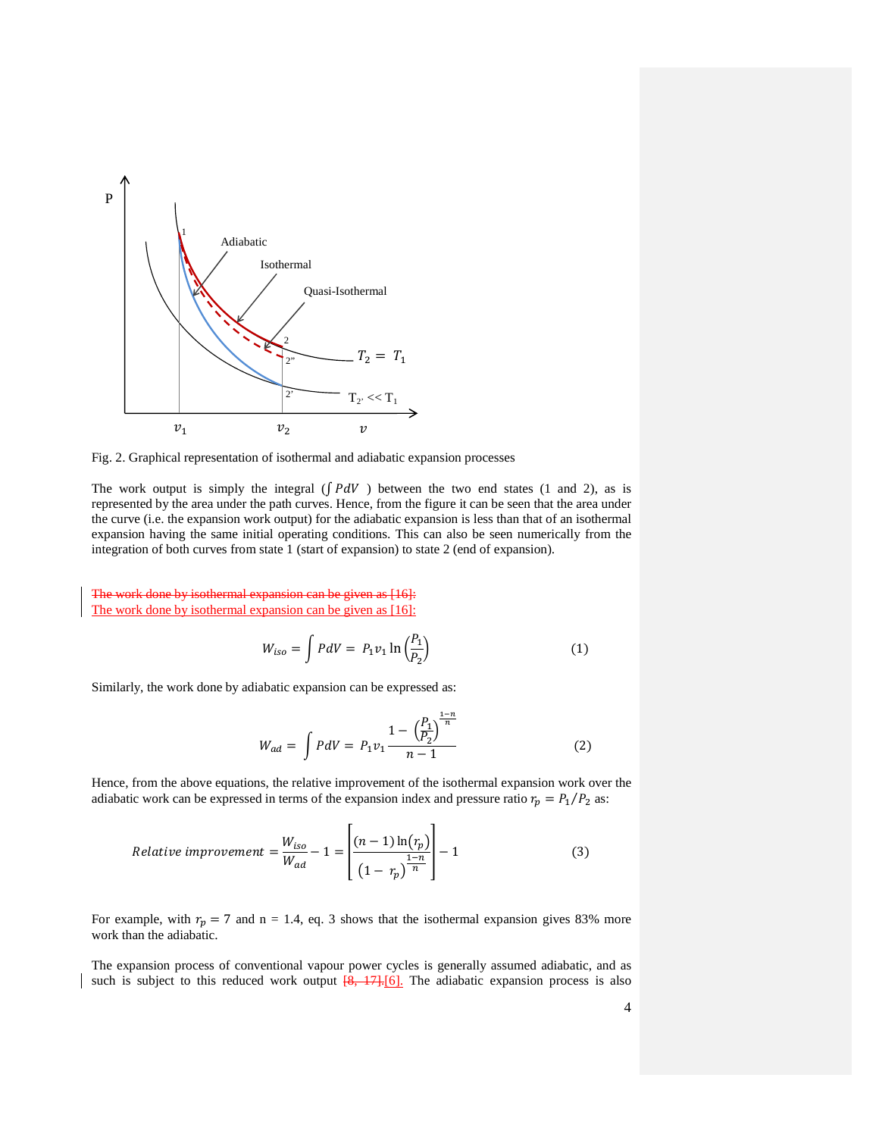

Fig. 2. Graphical representation of isothermal and adiabatic expansion processes

The work output is simply the integral ( $\int P dV$ ) between the two end states (1 and 2), as is represented by the area under the path curves. Hence, from the figure it can be seen that the area under the curve (i.e. the expansion work output) for the adiabatic expansion is less than that of an isothermal expansion having the same initial operating conditions. This can also be seen numerically from the integration of both curves from state 1 (start of expansion) to state 2 (end of expansion).

The work done by isothermal expansion can be given as [16]: The work done by isothermal expansion can be given as [16]:

$$
W_{iso} = \int PdV = P_1v_1 \ln\left(\frac{P_1}{P_2}\right) \tag{1}
$$

Similarly, the work done by adiabatic expansion can be expressed as:

$$
W_{ad} = \int PdV = P_1 v_1 \frac{1 - \left(\frac{P_1}{P_2}\right)^{\frac{1-n}{n}}}{n-1}
$$
 (2)

Hence, from the above equations, the relative improvement of the isothermal expansion work over the adiabatic work can be expressed in terms of the expansion index and pressure ratio  $r_p = P_1/P_2$  as:

Relative improvement 
$$
=\frac{W_{iso}}{W_{ad}} - 1 = \left[ \frac{(n-1)\ln(r_p)}{\left(1 - r_p\right)^{\frac{1-n}{n}}} \right] - 1
$$
 (3)

For example, with  $r_p = 7$  and n = 1.4, eq. 3 shows that the isothermal expansion gives 83% more work than the adiabatic.

The expansion process of conventional vapour power cycles is generally assumed adiabatic, and as such is subject to this reduced work output  $[8, 17]$ . The adiabatic expansion process is also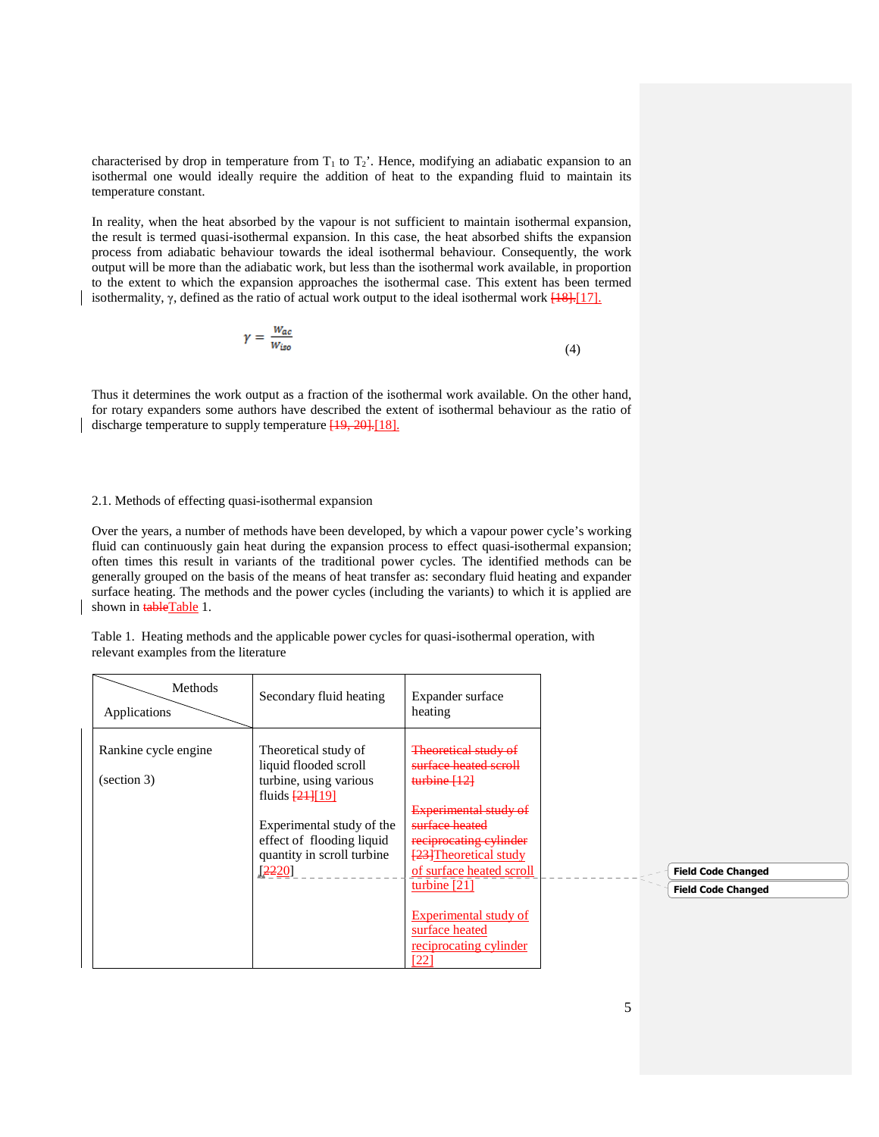characterised by drop in temperature from  $T_1$  to  $T_2$ '. Hence, modifying an adiabatic expansion to an isothermal one would ideally require the addition of heat to the expanding fluid to maintain its temperature constant.

In reality, when the heat absorbed by the vapour is not sufficient to maintain isothermal expansion, the result is termed quasi-isothermal expansion. In this case, the heat absorbed shifts the expansion process from adiabatic behaviour towards the ideal isothermal behaviour. Consequently, the work output will be more than the adiabatic work, but less than the isothermal work available, in proportion to the extent to which the expansion approaches the isothermal case. This extent has been termed isothermality,  $\gamma$ , defined as the ratio of actual work output to the ideal isothermal work  $[18]$ .[17].

$$
\gamma = \frac{W_{ac}}{W_{iso}}\tag{4}
$$

Thus it determines the work output as a fraction of the isothermal work available. On the other hand, for rotary expanders some authors have described the extent of isothermal behaviour as the ratio of discharge temperature to supply temperature  $[19, 20]$ . [18].

#### 2.1. Methods of effecting quasi-isothermal expansion

Over the years, a number of methods have been developed, by which a vapour power cycle's working fluid can continuously gain heat during the expansion process to effect quasi-isothermal expansion; often times this result in variants of the traditional power cycles. The identified methods can be generally grouped on the basis of the means of heat transfer as: secondary fluid heating and expander surface heating. The methods and the power cycles (including the variants) to which it is applied are shown in **tableTable** 1.

Table 1. Heating methods and the applicable power cycles for quasi-isothermal operation, with relevant examples from the literature

| Methods<br>Applications                                    | Secondary fluid heating                                                                                                                                                                   | Expander surface<br>heating                                                                                                                                  |  |                           |
|------------------------------------------------------------|-------------------------------------------------------------------------------------------------------------------------------------------------------------------------------------------|--------------------------------------------------------------------------------------------------------------------------------------------------------------|--|---------------------------|
| Rankine cycle engine<br>$\left( \text{section } 3 \right)$ | Theoretical study of<br>liquid flooded scroll<br>turbine, using various<br>fluids $\frac{21}{19}$<br>Experimental study of the<br>effect of flooding liquid<br>quantity in scroll turbine | Theoretical study of<br>surface heated scroll<br>turbine [12]<br>Experimental study of<br>surface heated<br>reciprocating cylinder<br>[23] Theoretical study |  |                           |
|                                                            | [2220]                                                                                                                                                                                    | of surface heated scroll                                                                                                                                     |  | <b>Field Code Changed</b> |
|                                                            |                                                                                                                                                                                           | turbine $[21]$                                                                                                                                               |  | <b>Field Code Changed</b> |
|                                                            |                                                                                                                                                                                           | Experimental study of<br>surface heated<br>reciprocating cylinder<br>[22]                                                                                    |  |                           |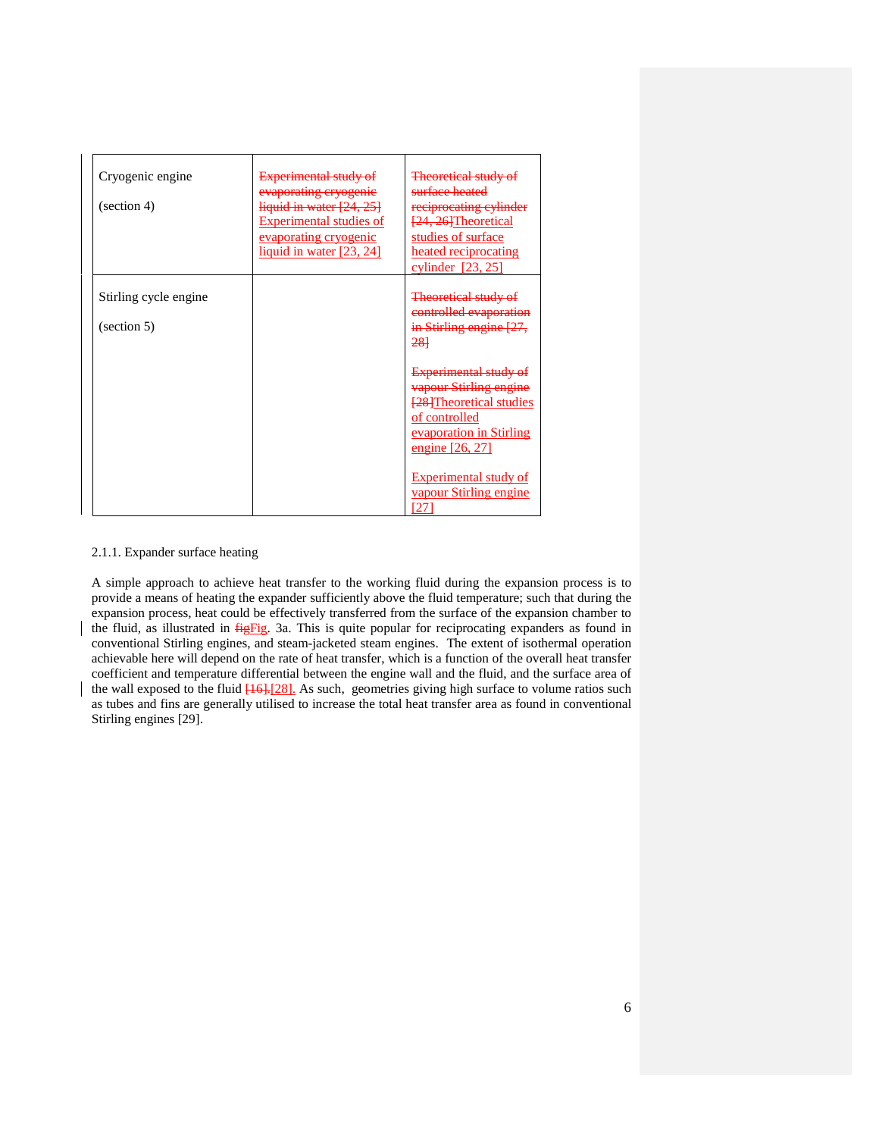| Cryogenic engine<br>$\left( \text{section } 4 \right)$ | Experimental study of<br>evaporating cryogenic<br>liquid in water [24, 25]<br>Experimental studies of<br>evaporating cryogenic<br>liquid in water [23, 24] | <b>Theoretical study of</b><br>surface heated<br>reciprocating cylinder<br>[24, 26] Theoretical<br>studies of surface<br>heated reciprocating<br>cylinder $[23, 25]$ |
|--------------------------------------------------------|------------------------------------------------------------------------------------------------------------------------------------------------------------|----------------------------------------------------------------------------------------------------------------------------------------------------------------------|
| Stirling cycle engine<br>$\left($ section 5)           |                                                                                                                                                            | <b>Theoretical study of</b><br>controlled evaporation<br>in Stirling engine [27,<br>281                                                                              |
|                                                        |                                                                                                                                                            | <b>Experimental study</b><br>vapour Stirling engine<br><b>[28]</b> Theoretical studies<br>of controlled<br>evaporation in Stirling<br>engine [26, 27]                |
|                                                        |                                                                                                                                                            | Experimental study of<br>vapour Stirling engine<br>27                                                                                                                |

### 2.1.1. Expander surface heating

A simple approach to achieve heat transfer to the working fluid during the expansion process is to provide a means of heating the expander sufficiently above the fluid temperature; such that during the expansion process, heat could be effectively transferred from the surface of the expansion chamber to the fluid, as illustrated in *figFig.* 3a. This is quite popular for reciprocating expanders as found in conventional Stirling engines, and steam-jacketed steam engines. The extent of isothermal operation achievable here will depend on the rate of heat transfer, which is a function of the overall heat transfer coefficient and temperature differential between the engine wall and the fluid, and the surface area of the wall exposed to the fluid  $[16]$ . [28]. As such, geometries giving high surface to volume ratios such as tubes and fins are generally utilised to increase the total heat transfer area as found in conventional Stirling engines [29].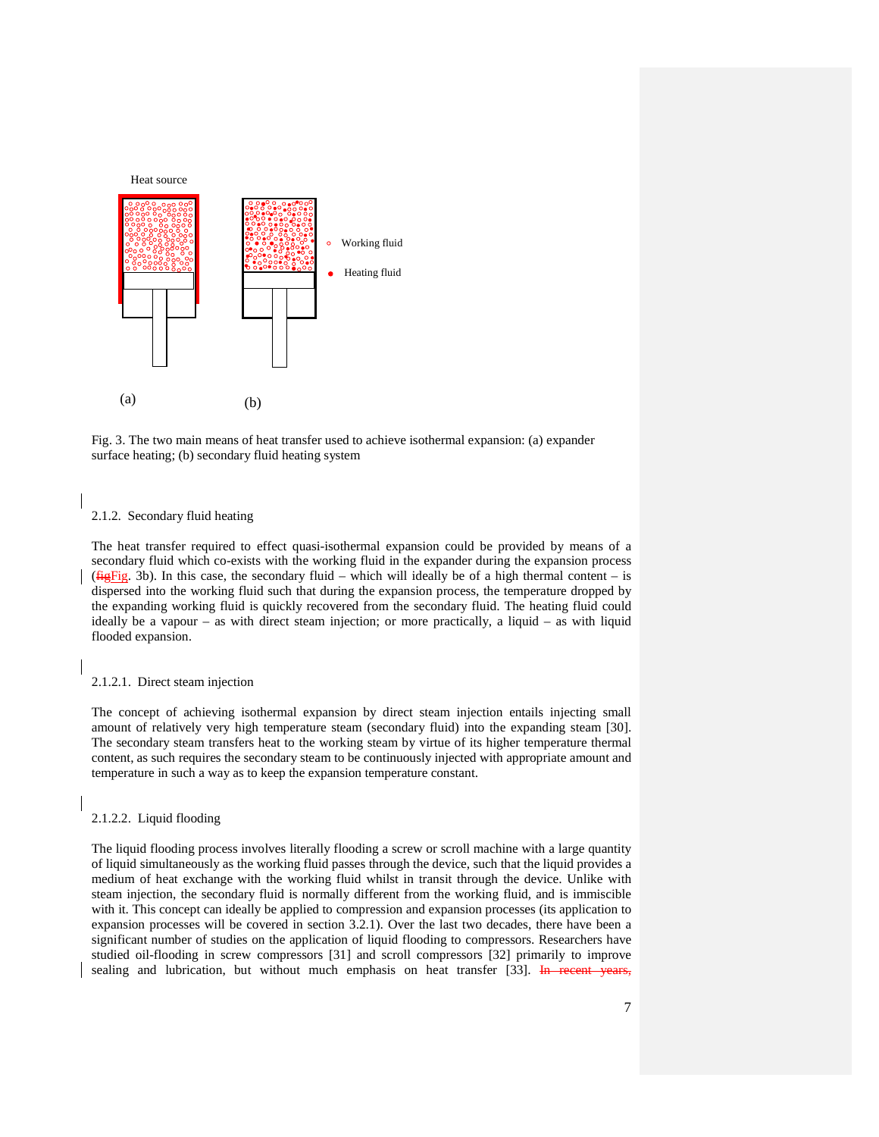



#### 2.1.2. Secondary fluid heating

The heat transfer required to effect quasi-isothermal expansion could be provided by means of a secondary fluid which co-exists with the working fluid in the expander during the expansion process ( $f{HgFig. 3b}$ ). In this case, the secondary fluid – which will ideally be of a high thermal content – is dispersed into the working fluid such that during the expansion process, the temperature dropped by the expanding working fluid is quickly recovered from the secondary fluid. The heating fluid could ideally be a vapour – as with direct steam injection; or more practically, a liquid – as with liquid flooded expansion.

#### 2.1.2.1. Direct steam injection

The concept of achieving isothermal expansion by direct steam injection entails injecting small amount of relatively very high temperature steam (secondary fluid) into the expanding steam [30]. The secondary steam transfers heat to the working steam by virtue of its higher temperature thermal content, as such requires the secondary steam to be continuously injected with appropriate amount and temperature in such a way as to keep the expansion temperature constant.

2.1.2.2. Liquid flooding

The liquid flooding process involves literally flooding a screw or scroll machine with a large quantity of liquid simultaneously as the working fluid passes through the device, such that the liquid provides a medium of heat exchange with the working fluid whilst in transit through the device. Unlike with steam injection, the secondary fluid is normally different from the working fluid, and is immiscible with it. This concept can ideally be applied to compression and expansion processes (its application to expansion processes will be covered in section 3.2.1). Over the last two decades, there have been a significant number of studies on the application of liquid flooding to compressors. Researchers have studied oil-flooding in screw compressors [31] and scroll compressors [32] primarily to improve sealing and lubrication, but without much emphasis on heat transfer [33]. In recent years,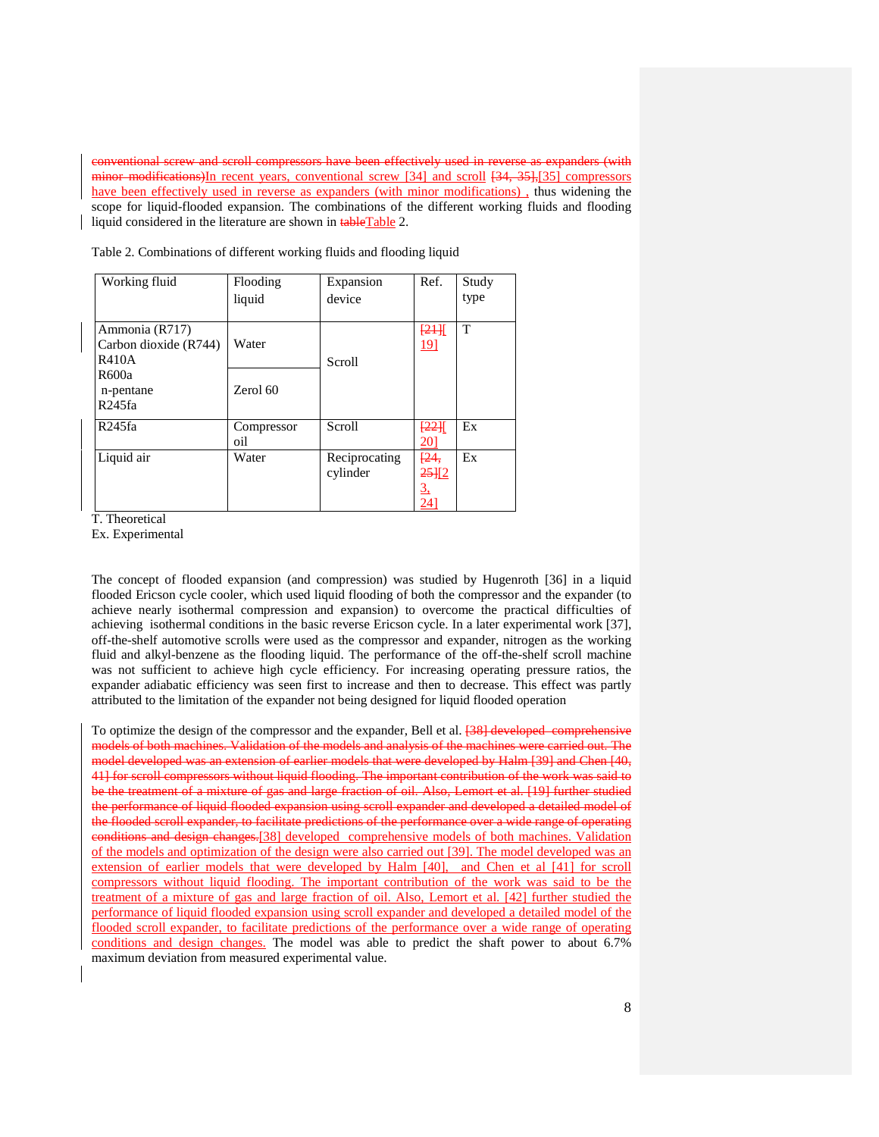compressors have been effectively used in reverse minor modifications)In recent years, conventional screw [34] and scroll [34, 35],[35] compressors have been effectively used in reverse as expanders (with minor modifications), thus widening the scope for liquid-flooded expansion. The combinations of the different working fluids and flooding liquid considered in the literature are shown in **tableTable** 2.

| Working fluid                                    | Flooding<br>liquid | Expansion<br>device       | Ref.                              | Study<br>type |
|--------------------------------------------------|--------------------|---------------------------|-----------------------------------|---------------|
| Ammonia (R717)<br>Carbon dioxide (R744)<br>R410A | Water              | Scroll                    | [24]<br><u> 191</u>               | T             |
| R600a<br>n-pentane<br>R <sub>245fa</sub>         | Zerol 60           |                           |                                   |               |
| R245fa                                           | Compressor<br>oil  | Scroll                    | [22]<br><u> 201</u>               | Ex            |
| Liquid air                                       | Water              | Reciprocating<br>cylinder | [24,<br>25112<br><u>3,</u><br>241 | Ex            |

Table 2. Combinations of different working fluids and flooding liquid

T. Theoretical

Ex. Experimental

The concept of flooded expansion (and compression) was studied by Hugenroth [36] in a liquid flooded Ericson cycle cooler, which used liquid flooding of both the compressor and the expander (to achieve nearly isothermal compression and expansion) to overcome the practical difficulties of achieving isothermal conditions in the basic reverse Ericson cycle. In a later experimental work [37], off-the-shelf automotive scrolls were used as the compressor and expander, nitrogen as the working fluid and alkyl-benzene as the flooding liquid. The performance of the off-the-shelf scroll machine was not sufficient to achieve high cycle efficiency. For increasing operating pressure ratios, the expander adiabatic efficiency was seen first to increase and then to decrease. This effect was partly attributed to the limitation of the expander not being designed for liquid flooded operation

To optimize the design of the compressor and the expander, Bell et al. **[38] developed comprehensive** models of both machines. Validation of the models and analysis of the machines were carried out. The model developed was an extension of earlier models that were developed by Halm [39] and Chen [40, 41] for scroll compressors without liquid flooding. The important contribution of the work was said to be the treatment of a mixture of gas and large fraction of oil. Also, Lemort et al. [19] further studied the performance of liquid flooded expansion using scroll expander and developed a detailed model of the flooded scroll expander, to facilitate predictions of the performance over a wide range of operating conditions and design changes.[38] developed comprehensive models of both machines. Validation of the models and optimization of the design were also carried out [39]. The model developed was an extension of earlier models that were developed by Halm [40], and Chen et al [41] for scroll compressors without liquid flooding. The important contribution of the work was said to be the treatment of a mixture of gas and large fraction of oil. Also, Lemort et al. [42] further studied the performance of liquid flooded expansion using scroll expander and developed a detailed model of the flooded scroll expander, to facilitate predictions of the performance over a wide range of operating conditions and design changes. The model was able to predict the shaft power to about 6.7% maximum deviation from measured experimental value.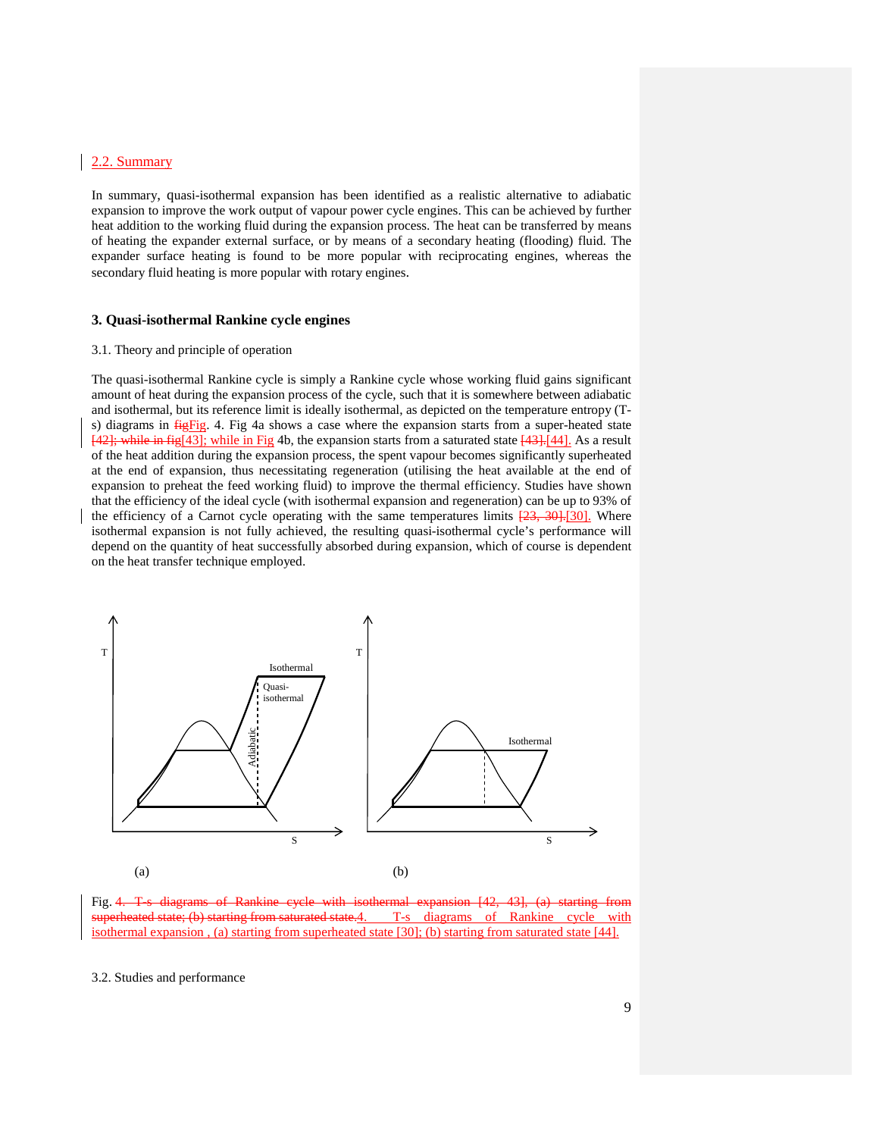### 2.2. Summary

In summary, quasi-isothermal expansion has been identified as a realistic alternative to adiabatic expansion to improve the work output of vapour power cycle engines. This can be achieved by further heat addition to the working fluid during the expansion process. The heat can be transferred by means of heating the expander external surface, or by means of a secondary heating (flooding) fluid. The expander surface heating is found to be more popular with reciprocating engines, whereas the secondary fluid heating is more popular with rotary engines.

#### **3. Quasi-isothermal Rankine cycle engines**

#### 3.1. Theory and principle of operation

The quasi-isothermal Rankine cycle is simply a Rankine cycle whose working fluid gains significant amount of heat during the expansion process of the cycle, such that it is somewhere between adiabatic and isothermal, but its reference limit is ideally isothermal, as depicted on the temperature entropy (Ts) diagrams in  $\frac{f_{12}f_{12}}{f_{12}}$ . 4. Fig 4a shows a case where the expansion starts from a super-heated state  $[42]$ ; while in fig[43]; while in Fig 4b, the expansion starts from a saturated state  $[43]$ .[44]. As a result of the heat addition during the expansion process, the spent vapour becomes significantly superheated at the end of expansion, thus necessitating regeneration (utilising the heat available at the end of expansion to preheat the feed working fluid) to improve the thermal efficiency. Studies have shown that the efficiency of the ideal cycle (with isothermal expansion and regeneration) can be up to 93% of the efficiency of a Carnot cycle operating with the same temperatures limits  $[23, 30]$ . Where isothermal expansion is not fully achieved, the resulting quasi-isothermal cycle's performance will depend on the quantity of heat successfully absorbed during expansion, which of course is dependent on the heat transfer technique employed.



Fig. 4. T-s diagrams of Rankine cycle with isothermal expansion [42, 43], (a) starting from aturated state.4. T-s diagrams of Rankine cycle with isothermal expansion , (a) starting from superheated state [30]; (b) starting from saturated state [44].

#### 3.2. Studies and performance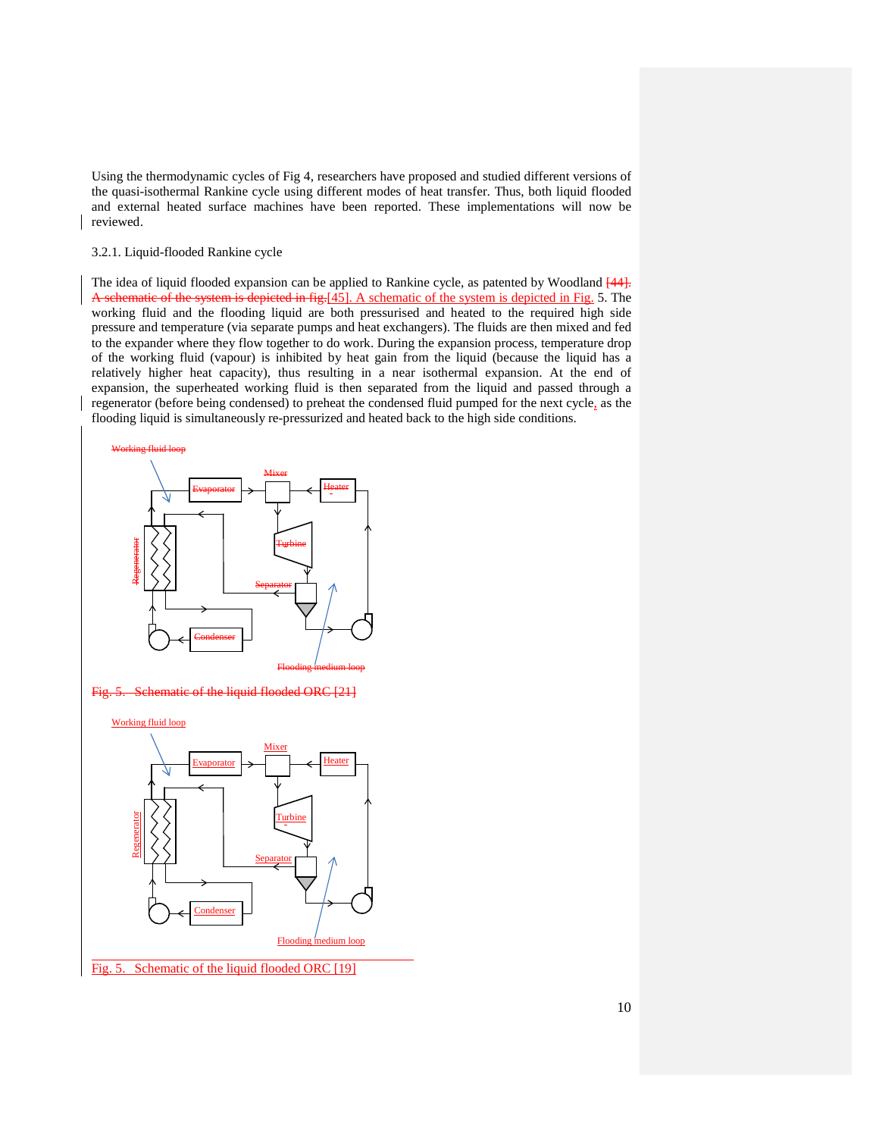Using the thermodynamic cycles of Fig 4, researchers have proposed and studied different versions of the quasi-isothermal Rankine cycle using different modes of heat transfer. Thus, both liquid flooded and external heated surface machines have been reported. These implementations will now be reviewed.

#### 3.2.1. Liquid-flooded Rankine cycle

The idea of liquid flooded expansion can be applied to Rankine cycle, as patented by Woodland  $[44]$ . A schematic of the system is depicted in fig.[45]. A schematic of the system is depicted in Fig. 5. The working fluid and the flooding liquid are both pressurised and heated to the required high side pressure and temperature (via separate pumps and heat exchangers). The fluids are then mixed and fed to the expander where they flow together to do work. During the expansion process, temperature drop of the working fluid (vapour) is inhibited by heat gain from the liquid (because the liquid has a relatively higher heat capacity), thus resulting in a near isothermal expansion. At the end of expansion, the superheated working fluid is then separated from the liquid and passed through a regenerator (before being condensed) to preheat the condensed fluid pumped for the next cycle, as the flooding liquid is simultaneously re-pressurized and heated back to the high side conditions.

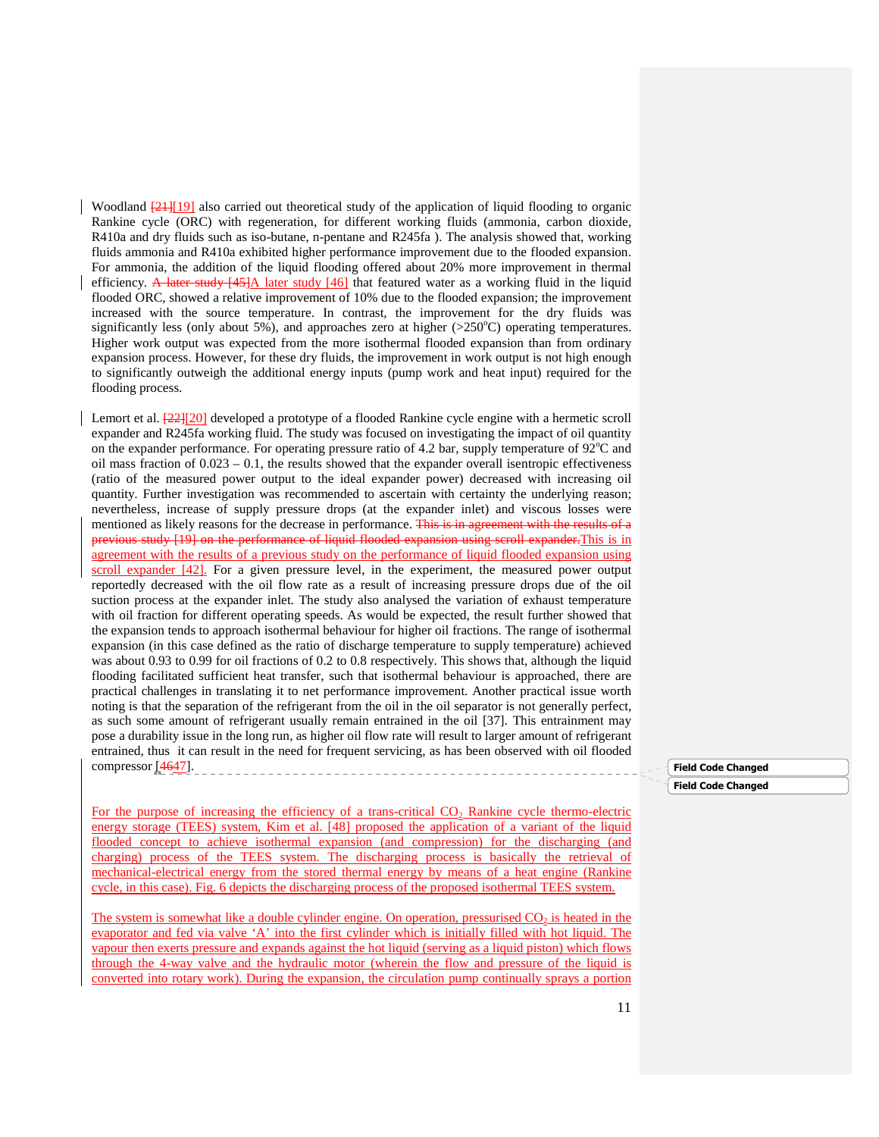Woodland  $\frac{21}{19}$  also carried out theoretical study of the application of liquid flooding to organic Rankine cycle (ORC) with regeneration, for different working fluids (ammonia, carbon dioxide, R410a and dry fluids such as iso-butane, n-pentane and R245fa ). The analysis showed that, working fluids ammonia and R410a exhibited higher performance improvement due to the flooded expansion. For ammonia, the addition of the liquid flooding offered about 20% more improvement in thermal efficiency. A later study  $[45]$  later study  $[46]$  that featured water as a working fluid in the liquid flooded ORC, showed a relative improvement of 10% due to the flooded expansion; the improvement increased with the source temperature. In contrast, the improvement for the dry fluids was significantly less (only about 5%), and approaches zero at higher  $(>250^{\circ}C)$  operating temperatures. Higher work output was expected from the more isothermal flooded expansion than from ordinary expansion process. However, for these dry fluids, the improvement in work output is not high enough to significantly outweigh the additional energy inputs (pump work and heat input) required for the flooding process.

Lemort et al.  $\frac{22}{20}$  developed a prototype of a flooded Rankine cycle engine with a hermetic scroll expander and R245fa working fluid. The study was focused on investigating the impact of oil quantity on the expander performance. For operating pressure ratio of 4.2 bar, supply temperature of  $92^{\circ}$ C and oil mass fraction of  $0.023 - 0.1$ , the results showed that the expander overall isentropic effectiveness (ratio of the measured power output to the ideal expander power) decreased with increasing oil quantity. Further investigation was recommended to ascertain with certainty the underlying reason; nevertheless, increase of supply pressure drops (at the expander inlet) and viscous losses were mentioned as likely reasons for the decrease in performance. This is in agreement with the results of a previous study [19] on the performance of liquid flooded expansion using scroll expander.This is in agreement with the results of a previous study on the performance of liquid flooded expansion using scroll expander [42]. For a given pressure level, in the experiment, the measured power output reportedly decreased with the oil flow rate as a result of increasing pressure drops due of the oil suction process at the expander inlet. The study also analysed the variation of exhaust temperature with oil fraction for different operating speeds. As would be expected, the result further showed that the expansion tends to approach isothermal behaviour for higher oil fractions. The range of isothermal expansion (in this case defined as the ratio of discharge temperature to supply temperature) achieved was about 0.93 to 0.99 for oil fractions of 0.2 to 0.8 respectively. This shows that, although the liquid flooding facilitated sufficient heat transfer, such that isothermal behaviour is approached, there are practical challenges in translating it to net performance improvement. Another practical issue worth noting is that the separation of the refrigerant from the oil in the oil separator is not generally perfect, as such some amount of refrigerant usually remain entrained in the oil [37]. This entrainment may pose a durability issue in the long run, as higher oil flow rate will result to larger amount of refrigerant entrained, thus it can result in the need for frequent servicing, as has been observed with oil flooded compressor [4647].

For the purpose of increasing the efficiency of a trans-critical  $CO<sub>2</sub>$  Rankine cycle thermo-electric energy storage (TEES) system, Kim et al. [48] proposed the application of a variant of the liquid flooded concept to achieve isothermal expansion (and compression) for the discharging (and charging) process of the TEES system. The discharging process is basically the retrieval of mechanical-electrical energy from the stored thermal energy by means of a heat engine (Rankine cycle, in this case). Fig. 6 depicts the discharging process of the proposed isothermal TEES system.

The system is somewhat like a double cylinder engine. On operation, pressurised CO<sub>2</sub> is heated in the evaporator and fed via valve 'A' into the first cylinder which is initially filled with hot liquid. The vapour then exerts pressure and expands against the hot liquid (serving as a liquid piston) which flows through the 4-way valve and the hydraulic motor (wherein the flow and pressure of the liquid is converted into rotary work). During the expansion, the circulation pump continually sprays a portion

#### Field Code Changed

#### Field Code Changed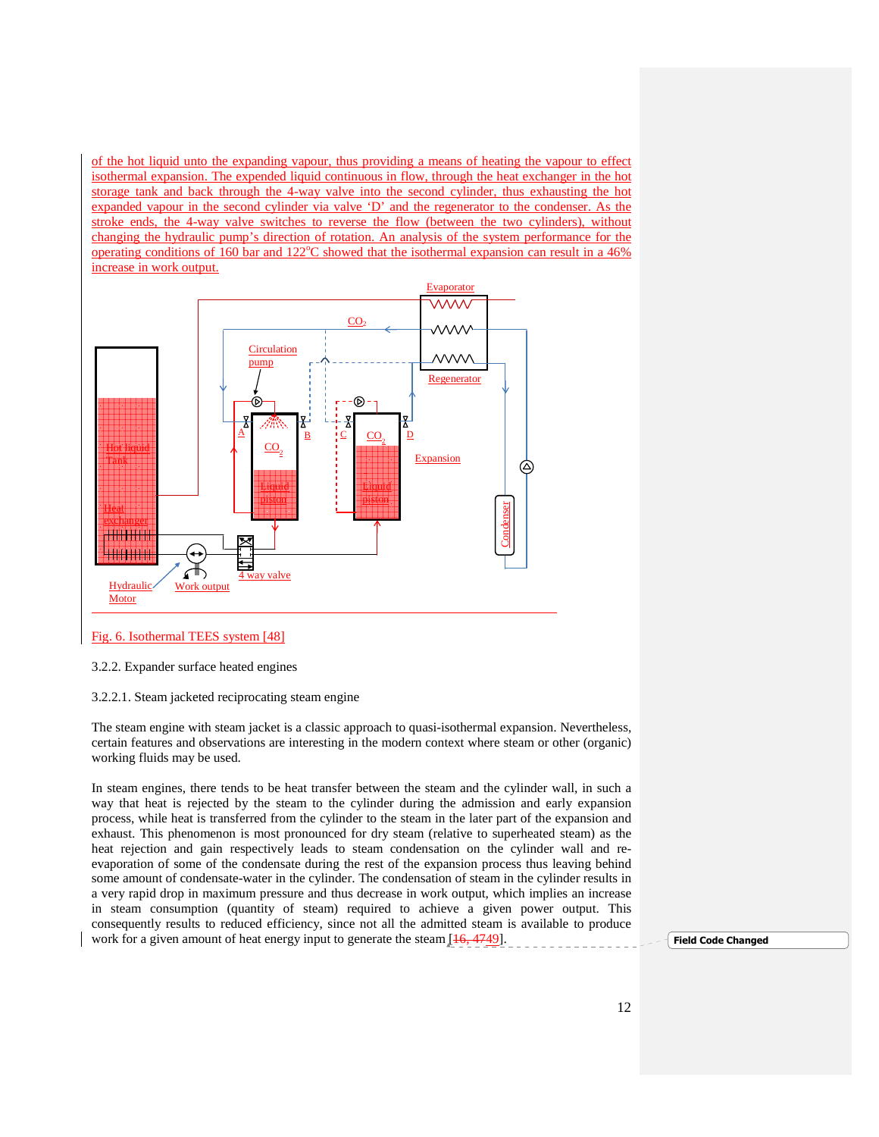of the hot liquid unto the expanding vapour, thus providing a means of heating the vapour to effect isothermal expansion. The expended liquid continuous in flow, through the heat exchanger in the hot storage tank and back through the 4-way valve into the second cylinder, thus exhausting the hot expanded vapour in the second cylinder via valve 'D' and the regenerator to the condenser. As the stroke ends, the 4-way valve switches to reverse the flow (between the two cylinders), without changing the hydraulic pump's direction of rotation. An analysis of the system performance for the operating conditions of 160 bar and 122 $^{\circ}$ C showed that the isothermal expansion can result in a 46% increase in work output.



#### Fig. 6. Isothermal TEES system [48]

3.2.2. Expander surface heated engines

3.2.2.1. Steam jacketed reciprocating steam engine

The steam engine with steam jacket is a classic approach to quasi-isothermal expansion. Nevertheless, certain features and observations are interesting in the modern context where steam or other (organic) working fluids may be used.

In steam engines, there tends to be heat transfer between the steam and the cylinder wall, in such a way that heat is rejected by the steam to the cylinder during the admission and early expansion process, while heat is transferred from the cylinder to the steam in the later part of the expansion and exhaust. This phenomenon is most pronounced for dry steam (relative to superheated steam) as the heat rejection and gain respectively leads to steam condensation on the cylinder wall and reevaporation of some of the condensate during the rest of the expansion process thus leaving behind some amount of condensate-water in the cylinder. The condensation of steam in the cylinder results in a very rapid drop in maximum pressure and thus decrease in work output, which implies an increase in steam consumption (quantity of steam) required to achieve a given power output. This consequently results to reduced efficiency, since not all the admitted steam is available to produce work for a given amount of heat energy input to generate the steam  $[16, 4749]$ .

Field Code Changed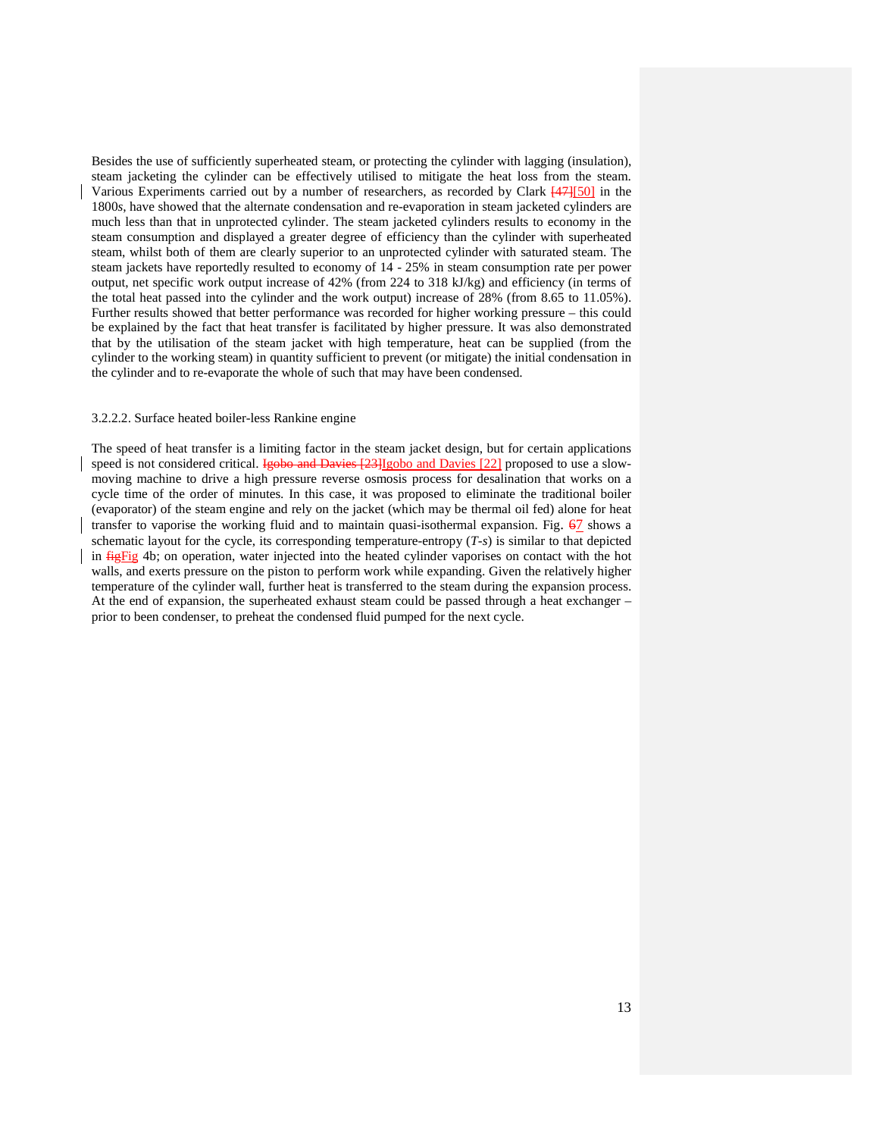Besides the use of sufficiently superheated steam, or protecting the cylinder with lagging (insulation), steam jacketing the cylinder can be effectively utilised to mitigate the heat loss from the steam. Various Experiments carried out by a number of researchers, as recorded by Clark [47][50] in the 1800*s*, have showed that the alternate condensation and re-evaporation in steam jacketed cylinders are much less than that in unprotected cylinder. The steam jacketed cylinders results to economy in the steam consumption and displayed a greater degree of efficiency than the cylinder with superheated steam, whilst both of them are clearly superior to an unprotected cylinder with saturated steam. The steam jackets have reportedly resulted to economy of 14 - 25% in steam consumption rate per power output, net specific work output increase of 42% (from 224 to 318 kJ/kg) and efficiency (in terms of the total heat passed into the cylinder and the work output) increase of 28% (from 8.65 to 11.05%). Further results showed that better performance was recorded for higher working pressure – this could be explained by the fact that heat transfer is facilitated by higher pressure. It was also demonstrated that by the utilisation of the steam jacket with high temperature, heat can be supplied (from the cylinder to the working steam) in quantity sufficient to prevent (or mitigate) the initial condensation in the cylinder and to re-evaporate the whole of such that may have been condensed.

#### 3.2.2.2. Surface heated boiler-less Rankine engine

The speed of heat transfer is a limiting factor in the steam jacket design, but for certain applications speed is not considered critical. Igobo and Davies [23]Igobo and Davies [22] proposed to use a slowmoving machine to drive a high pressure reverse osmosis process for desalination that works on a cycle time of the order of minutes. In this case, it was proposed to eliminate the traditional boiler (evaporator) of the steam engine and rely on the jacket (which may be thermal oil fed) alone for heat transfer to vaporise the working fluid and to maintain quasi-isothermal expansion. Fig.  $67$  shows a schematic layout for the cycle, its corresponding temperature-entropy (*T-s*) is similar to that depicted in **fightaria** 4b; on operation, water injected into the heated cylinder vaporises on contact with the hot walls, and exerts pressure on the piston to perform work while expanding. Given the relatively higher temperature of the cylinder wall, further heat is transferred to the steam during the expansion process. At the end of expansion, the superheated exhaust steam could be passed through a heat exchanger – prior to been condenser, to preheat the condensed fluid pumped for the next cycle.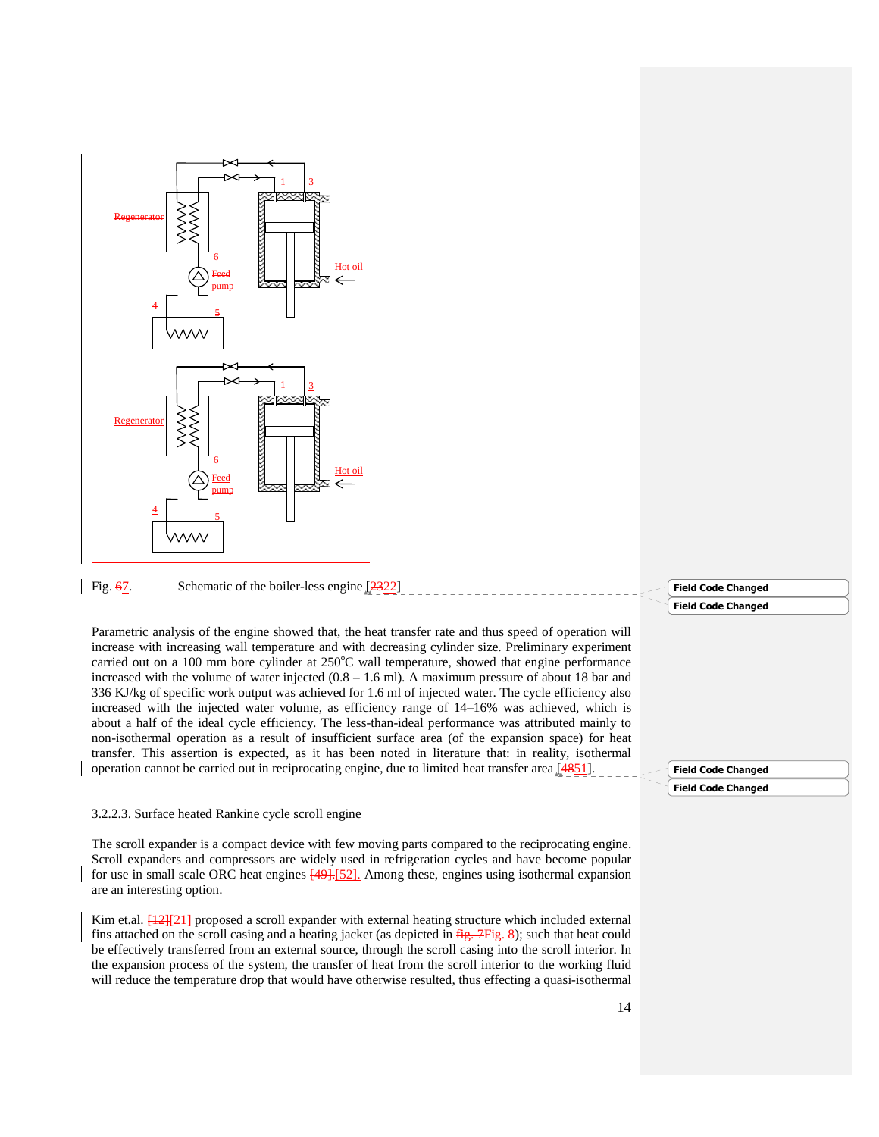

The scroll expander is a compact device with few moving parts compared to the reciprocating engine. Scroll expanders and compressors are widely used in refrigeration cycles and have become popular for use in small scale ORC heat engines  $\frac{49}{152}$ . Among these, engines using isothermal expansion are an interesting option.

Kim et.al.  $\frac{12}{22}$ [21] proposed a scroll expander with external heating structure which included external fins attached on the scroll casing and a heating jacket (as depicted in  $f{Hg}_{\rm r}$ ,  $F{Fig}_{\rm s}$ , 8); such that heat could be effectively transferred from an external source, through the scroll casing into the scroll interior. In the expansion process of the system, the transfer of heat from the scroll interior to the working fluid will reduce the temperature drop that would have otherwise resulted, thus effecting a quasi-isothermal

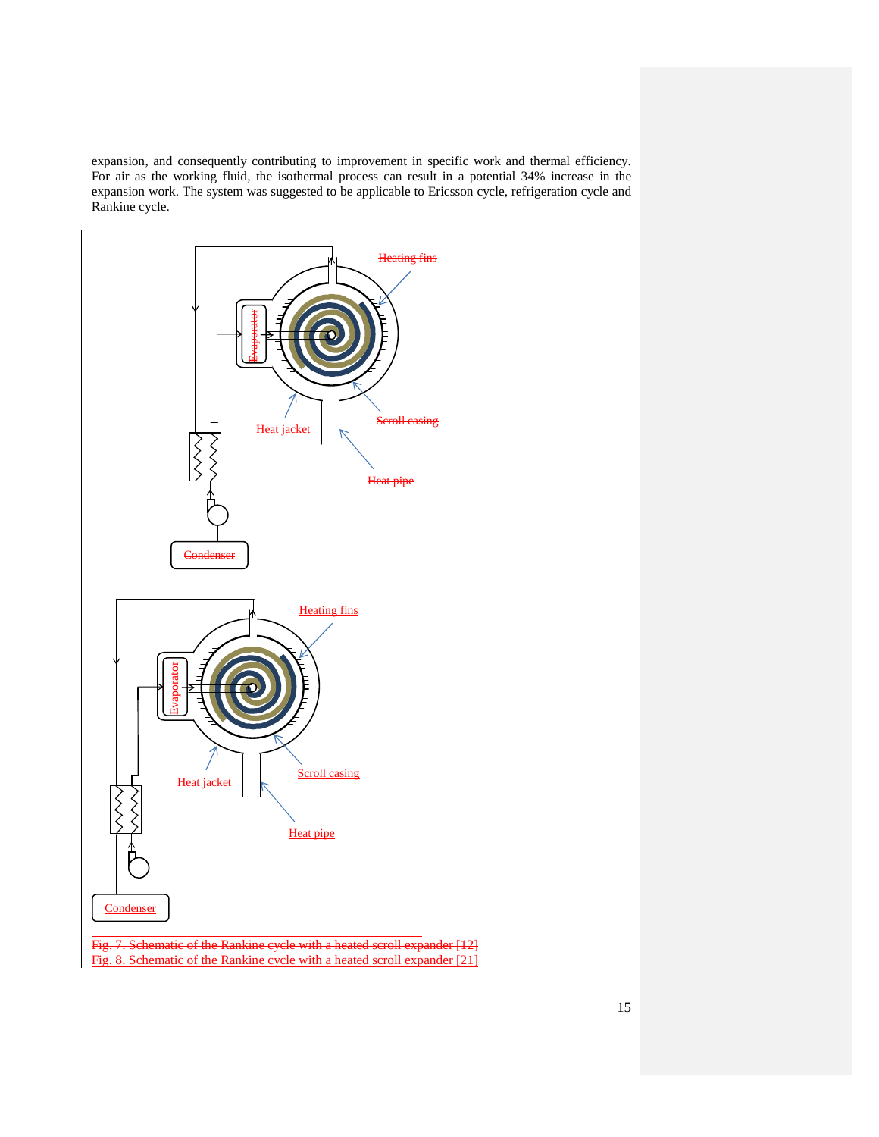expansion, and consequently contributing to improvement in specific work and thermal efficiency. For air as the working fluid, the isothermal process can result in a potential 34% increase in the expansion work. The system was suggested to be applicable to Ericsson cycle, refrigeration cycle and Rankine cycle.



Fig. 8. Schematic of the Rankine cycle with a heated scroll expander [21]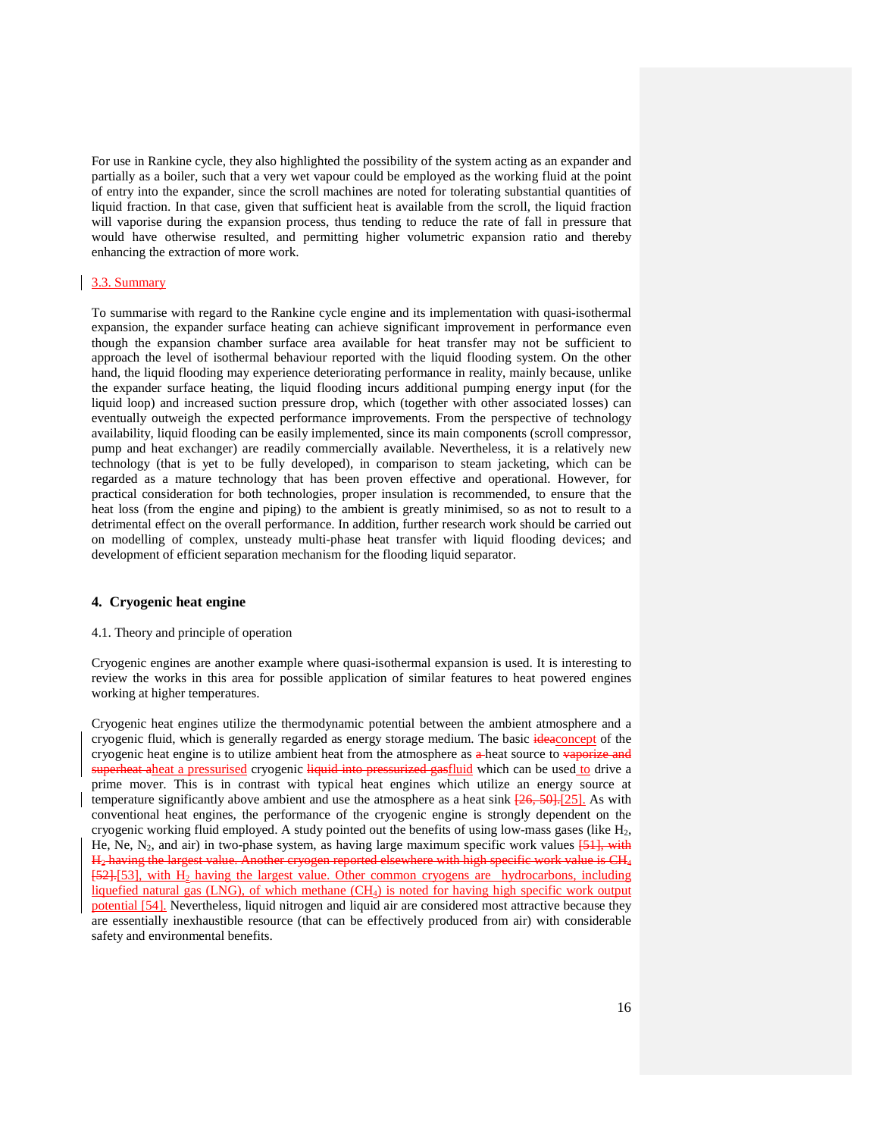For use in Rankine cycle, they also highlighted the possibility of the system acting as an expander and partially as a boiler, such that a very wet vapour could be employed as the working fluid at the point of entry into the expander, since the scroll machines are noted for tolerating substantial quantities of liquid fraction. In that case, given that sufficient heat is available from the scroll, the liquid fraction will vaporise during the expansion process, thus tending to reduce the rate of fall in pressure that would have otherwise resulted, and permitting higher volumetric expansion ratio and thereby enhancing the extraction of more work.

### 3.3. Summary

To summarise with regard to the Rankine cycle engine and its implementation with quasi-isothermal expansion, the expander surface heating can achieve significant improvement in performance even though the expansion chamber surface area available for heat transfer may not be sufficient to approach the level of isothermal behaviour reported with the liquid flooding system. On the other hand, the liquid flooding may experience deteriorating performance in reality, mainly because, unlike the expander surface heating, the liquid flooding incurs additional pumping energy input (for the liquid loop) and increased suction pressure drop, which (together with other associated losses) can eventually outweigh the expected performance improvements. From the perspective of technology availability, liquid flooding can be easily implemented, since its main components (scroll compressor, pump and heat exchanger) are readily commercially available. Nevertheless, it is a relatively new technology (that is yet to be fully developed), in comparison to steam jacketing, which can be regarded as a mature technology that has been proven effective and operational. However, for practical consideration for both technologies, proper insulation is recommended, to ensure that the heat loss (from the engine and piping) to the ambient is greatly minimised, so as not to result to a detrimental effect on the overall performance. In addition, further research work should be carried out on modelling of complex, unsteady multi-phase heat transfer with liquid flooding devices; and development of efficient separation mechanism for the flooding liquid separator.

#### **4. Cryogenic heat engine**

#### 4.1. Theory and principle of operation

Cryogenic engines are another example where quasi-isothermal expansion is used. It is interesting to review the works in this area for possible application of similar features to heat powered engines working at higher temperatures.

Cryogenic heat engines utilize the thermodynamic potential between the ambient atmosphere and a cryogenic fluid, which is generally regarded as energy storage medium. The basic ideaconcept of the cryogenic heat engine is to utilize ambient heat from the atmosphere as a-heat source to vaporize and superheat aheat a pressurised cryogenic liquid into pressurized gasfluid which can be used to drive a prime mover. This is in contrast with typical heat engines which utilize an energy source at temperature significantly above ambient and use the atmosphere as a heat sink  $[26, 50]$ . [25]. As with conventional heat engines, the performance of the cryogenic engine is strongly dependent on the cryogenic working fluid employed. A study pointed out the benefits of using low-mass gases (like  $H_2$ , He, Ne, N<sub>2</sub>, and air) in two-phase system, as having large maximum specific work values  $[51]$ , with H<sup>2</sup> having the largest value. Another cryogen reported elsewhere with high specific work value is CH<sup>4</sup>  $[52],[53]$ , with  $H_2$  having the largest value. Other common cryogens are hydrocarbons, including liquefied natural gas (LNG), of which methane (CH4) is noted for having high specific work output potential [54]. Nevertheless, liquid nitrogen and liquid air are considered most attractive because they are essentially inexhaustible resource (that can be effectively produced from air) with considerable safety and environmental benefits.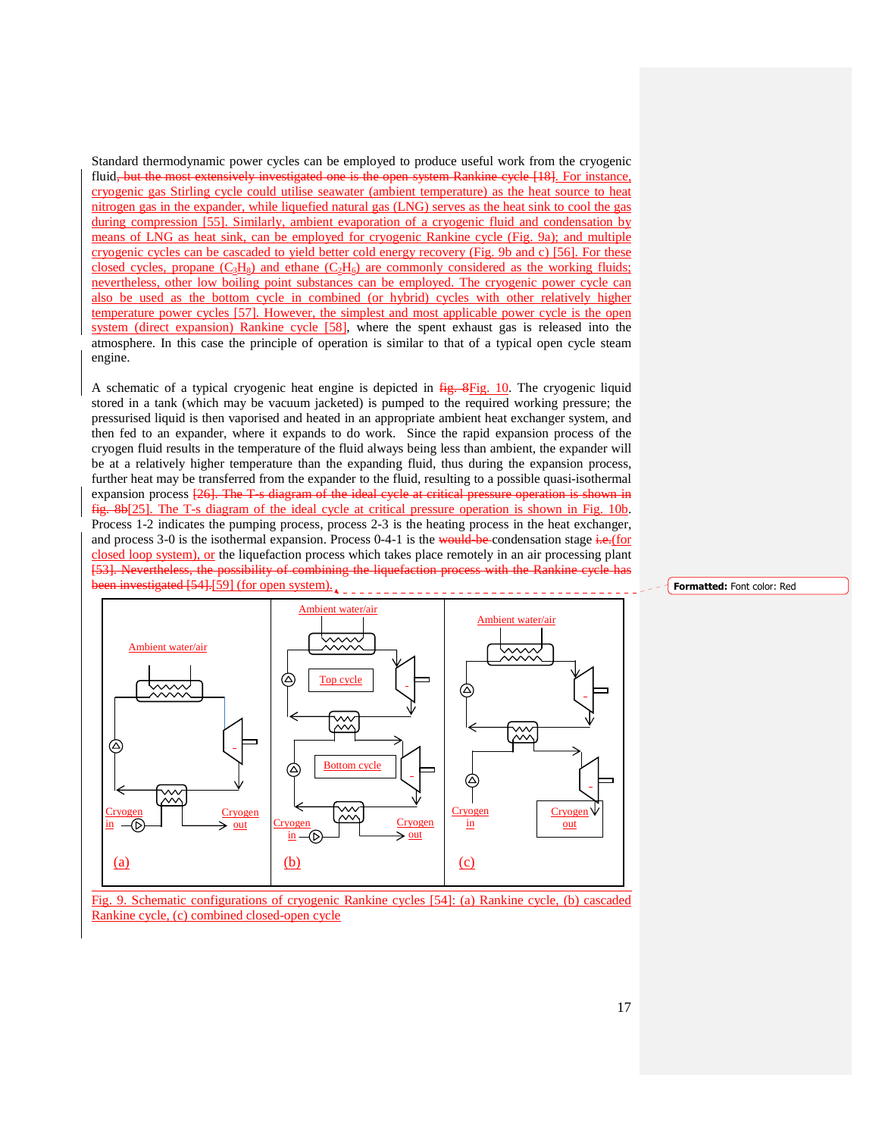Standard thermodynamic power cycles can be employed to produce useful work from the cryogenic fluid, but the most extensively investigated one is the open system Rankine cycle [18]. For instance, cryogenic gas Stirling cycle could utilise seawater (ambient temperature) as the heat source to heat nitrogen gas in the expander, while liquefied natural gas (LNG) serves as the heat sink to cool the gas during compression [55]. Similarly, ambient evaporation of a cryogenic fluid and condensation by means of LNG as heat sink, can be employed for cryogenic Rankine cycle (Fig. 9a); and multiple cryogenic cycles can be cascaded to yield better cold energy recovery (Fig. 9b and c) [56]. For these closed cycles, propane  $(C_3H_8)$  and ethane  $(C_2H_6)$  are commonly considered as the working fluids; nevertheless, other low boiling point substances can be employed. The cryogenic power cycle can also be used as the bottom cycle in combined (or hybrid) cycles with other relatively higher temperature power cycles [57]. However, the simplest and most applicable power cycle is the open system (direct expansion) Rankine cycle [58], where the spent exhaust gas is released into the atmosphere. In this case the principle of operation is similar to that of a typical open cycle steam engine.

A schematic of a typical cryogenic heat engine is depicted in  $\frac{fig.8Fig. 10}{fig.8}$ . The cryogenic liquid stored in a tank (which may be vacuum jacketed) is pumped to the required working pressure; the pressurised liquid is then vaporised and heated in an appropriate ambient heat exchanger system, and then fed to an expander, where it expands to do work. Since the rapid expansion process of the cryogen fluid results in the temperature of the fluid always being less than ambient, the expander will be at a relatively higher temperature than the expanding fluid, thus during the expansion process, further heat may be transferred from the expander to the fluid, resulting to a possible quasi-isothermal expansion process [26]. The T-s diagram of the ideal cycle at critical pressure operation is shown in fig. 8b[25]. The T-s diagram of the ideal cycle at critical pressure operation is shown in Fig. 10b. Process 1-2 indicates the pumping process, process 2-3 is the heating process in the heat exchanger, and process 3-0 is the isothermal expansion. Process  $0-4-1$  is the would-be-condensation stage i.e.(for closed loop system), or the liquefaction process which takes place remotely in an air processing plant ining the liquefaction proces been investigated [54].[59] (for open system).



Fig. 9. Schematic configurations of cryogenic Rankine cycles [54]: (a) Rankine cycle, (b) cascaded Rankine cycle, (c) combined closed-open cycle

#### Formatted: Font color: Red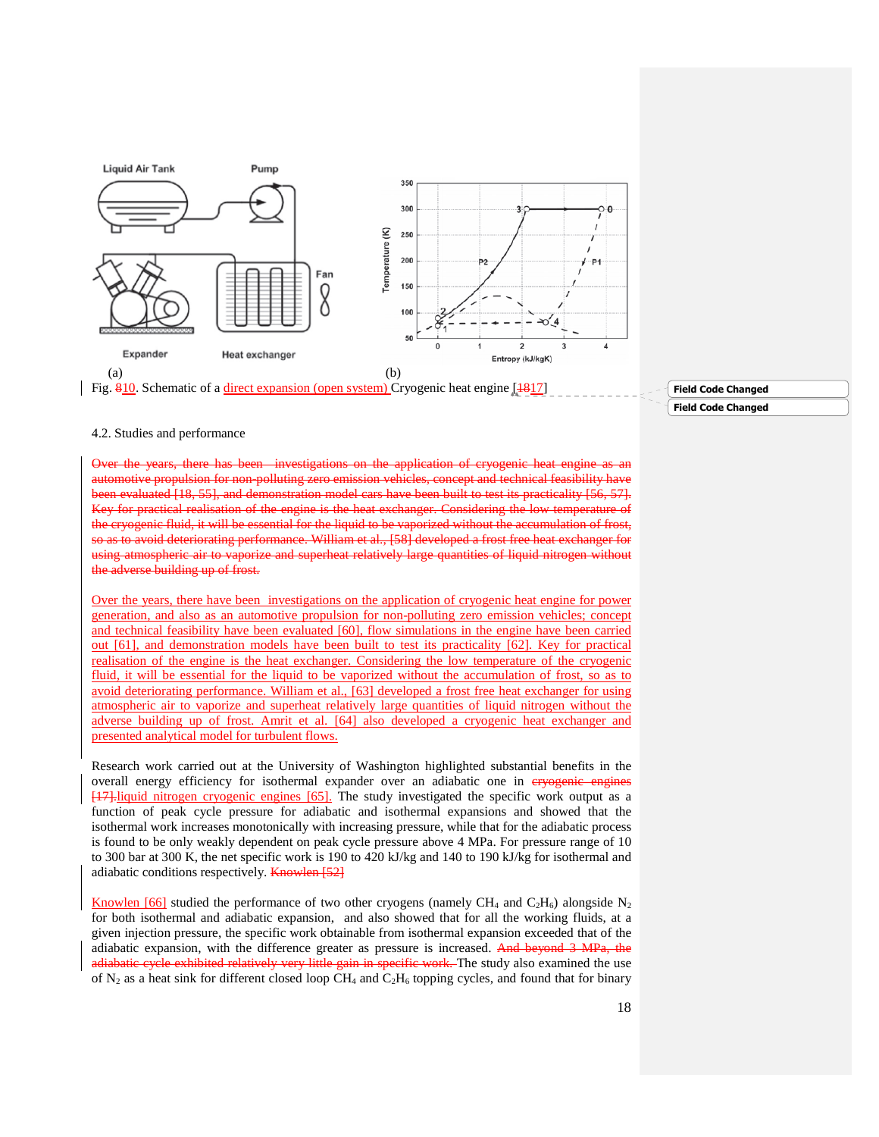

### Field Code Changed Field Code Changed

#### 4.2. Studies and performance

Over the years, there has been investigations on the application of cryogenic heat engine as an automotive propulsion for non-polluting zero emission vehicles, concept and technical feasibility have been evaluated [18, 55], and demonstration model cars have been built to test its practicality [56, 57]. Key for practical realisation of the engine is the heat exchanger. Considering the low temperature of the cryogenic fluid, it will be essential for the liquid to be vaporized without the accumulation of frost, so as to avoid deteriorating performance. William et al., [58] developed a frost free heat exchanger for using atmospheric air to vaporize and superheat relatively large quantities of liquid nitrogen without wilding up of fr

Over the years, there have been investigations on the application of cryogenic heat engine for power generation, and also as an automotive propulsion for non-polluting zero emission vehicles; concept and technical feasibility have been evaluated [60], flow simulations in the engine have been carried out [61], and demonstration models have been built to test its practicality [62]. Key for practical realisation of the engine is the heat exchanger. Considering the low temperature of the cryogenic fluid, it will be essential for the liquid to be vaporized without the accumulation of frost, so as to avoid deteriorating performance. William et al., [63] developed a frost free heat exchanger for using atmospheric air to vaporize and superheat relatively large quantities of liquid nitrogen without the adverse building up of frost. Amrit et al. [64] also developed a cryogenic heat exchanger and presented analytical model for turbulent flows.

Research work carried out at the University of Washington highlighted substantial benefits in the overall energy efficiency for isothermal expander over an adiabatic one in ervogenie engines [17].liquid nitrogen cryogenic engines [65]. The study investigated the specific work output as a function of peak cycle pressure for adiabatic and isothermal expansions and showed that the isothermal work increases monotonically with increasing pressure, while that for the adiabatic process is found to be only weakly dependent on peak cycle pressure above 4 MPa. For pressure range of 10 to 300 bar at 300 K, the net specific work is 190 to 420 kJ/kg and 140 to 190 kJ/kg for isothermal and adiabatic conditions respectively. **Knowlen** [52]

Knowlen [66] studied the performance of two other cryogens (namely CH<sub>4</sub> and C<sub>2</sub>H<sub>6</sub>) alongside N<sub>2</sub> for both isothermal and adiabatic expansion, and also showed that for all the working fluids, at a given injection pressure, the specific work obtainable from isothermal expansion exceeded that of the adiabatic expansion, with the difference greater as pressure is increased. And beyond 3 MPa, the adiabatic cycle exhibited relatively very little gain in specific work. The study also examined the use of  $N_2$  as a heat sink for different closed loop CH<sub>4</sub> and C<sub>2</sub>H<sub>6</sub> topping cycles, and found that for binary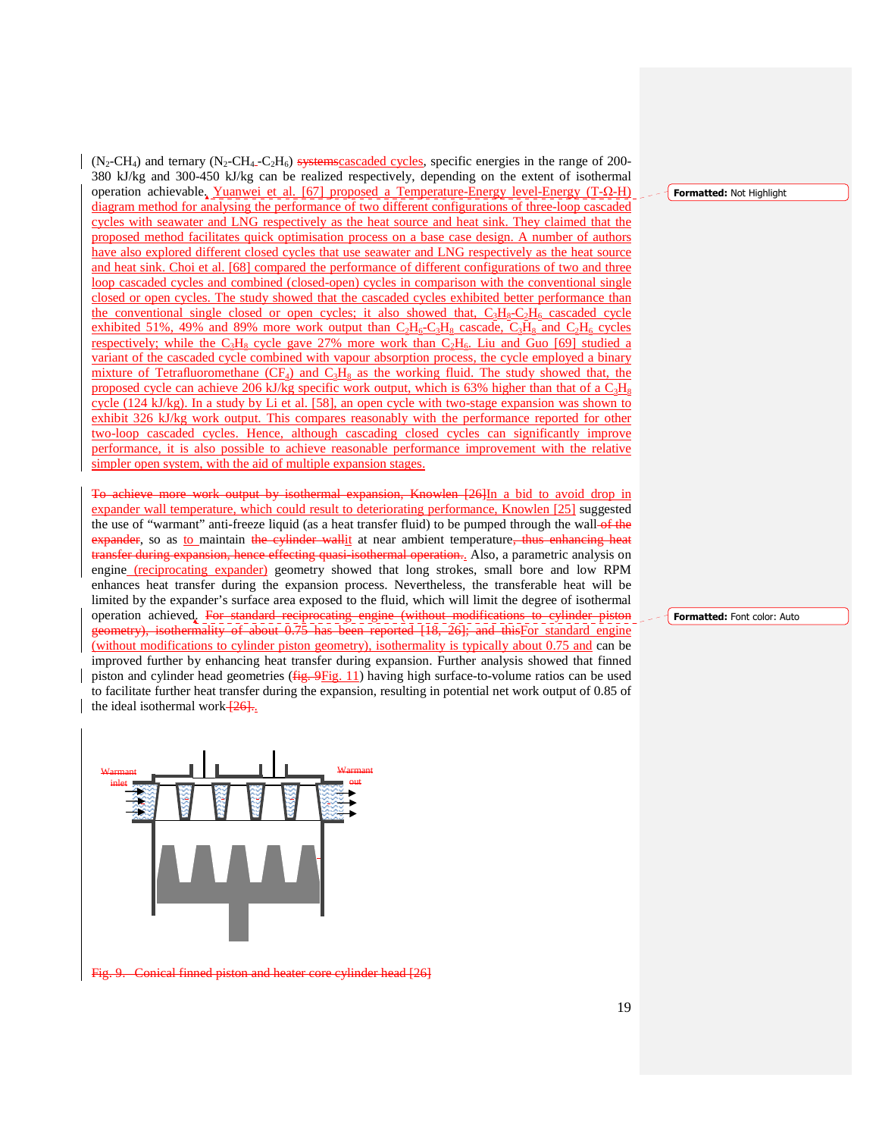$(N_2-CH_4)$  and ternary  $(N_2-CH_4-C_2H_6)$  systems cascaded cycles, specific energies in the range of 200-380 kJ/kg and 300-450 kJ/kg can be realized respectively, depending on the extent of isothermal operation achievable. Yuanwei et al. [67] proposed a Temperature-Energy level-Energy (T-Ω-H) diagram method for analysing the performance of two different configurations of three-loop cascaded cycles with seawater and LNG respectively as the heat source and heat sink. They claimed that the proposed method facilitates quick optimisation process on a base case design. A number of authors have also explored different closed cycles that use seawater and LNG respectively as the heat source and heat sink. Choi et al. [68] compared the performance of different configurations of two and three loop cascaded cycles and combined (closed-open) cycles in comparison with the conventional single closed or open cycles. The study showed that the cascaded cycles exhibited better performance than the conventional single closed or open cycles; it also showed that,  $C_3H_8-C_2H_6$  cascaded cycle exhibited 51%, 49% and 89% more work output than  $C_2H_6-C_3H_8$  cascade,  $C_3H_8$  and  $C_2H_6$  cycles respectively; while the C<sub>3</sub>H<sub>8</sub> cycle gave 27% more work than  $C_2H_6$ . Liu and Guo [69] studied a variant of the cascaded cycle combined with vapour absorption process, the cycle employed a binary mixture of Tetrafluoromethane  $(CF_4)$  and  $C_3H_8$  as the working fluid. The study showed that, the proposed cycle can achieve 206 kJ/kg specific work output, which is 63% higher than that of a  $C_3H_8$ cycle (124 kJ/kg). In a study by Li et al. [58], an open cycle with two-stage expansion was shown to exhibit 326 kJ/kg work output. This compares reasonably with the performance reported for other two-loop cascaded cycles. Hence, although cascading closed cycles can significantly improve performance, it is also possible to achieve reasonable performance improvement with the relative simpler open system, with the aid of multiple expansion stages.

To achieve more work output by isothermal expansion, Knowlen [26]In a bid to avoid drop in expander wall temperature, which could result to deteriorating performance, Knowlen [25] suggested the use of "warmant" anti-freeze liquid (as a heat transfer fluid) to be pumped through the wall-of the expander, so as to maintain the cylinder wallit at near ambient temperature, thus enhancing heat transfer during expansion, hence effecting quasi-isothermal operation... Also, a parametric analysis on engine (reciprocating expander) geometry showed that long strokes, small bore and low RPM enhances heat transfer during the expansion process. Nevertheless, the transferable heat will be limited by the expander's surface area exposed to the fluid, which will limit the degree of isothermal operation achieved. For standard reciprocating engine (without modifications to cylinder piston geometry), isothermality of about 0.75 has been reported [18, 26]; and thisFor standard engine (without modifications to cylinder piston geometry), isothermality is typically about 0.75 and can be improved further by enhancing heat transfer during expansion. Further analysis showed that finned piston and cylinder head geometries ( $fig. 9Fig. 11$ ) having high surface-to-volume ratios can be used to facilitate further heat transfer during the expansion, resulting in potential net work output of 0.85 of the ideal isothermal work $\frac{26}{126}$ .



Fig. 9. Conical finned piston and heater core cylinder head [26]

Formatted: Not Highlight

Formatted: Font color: Auto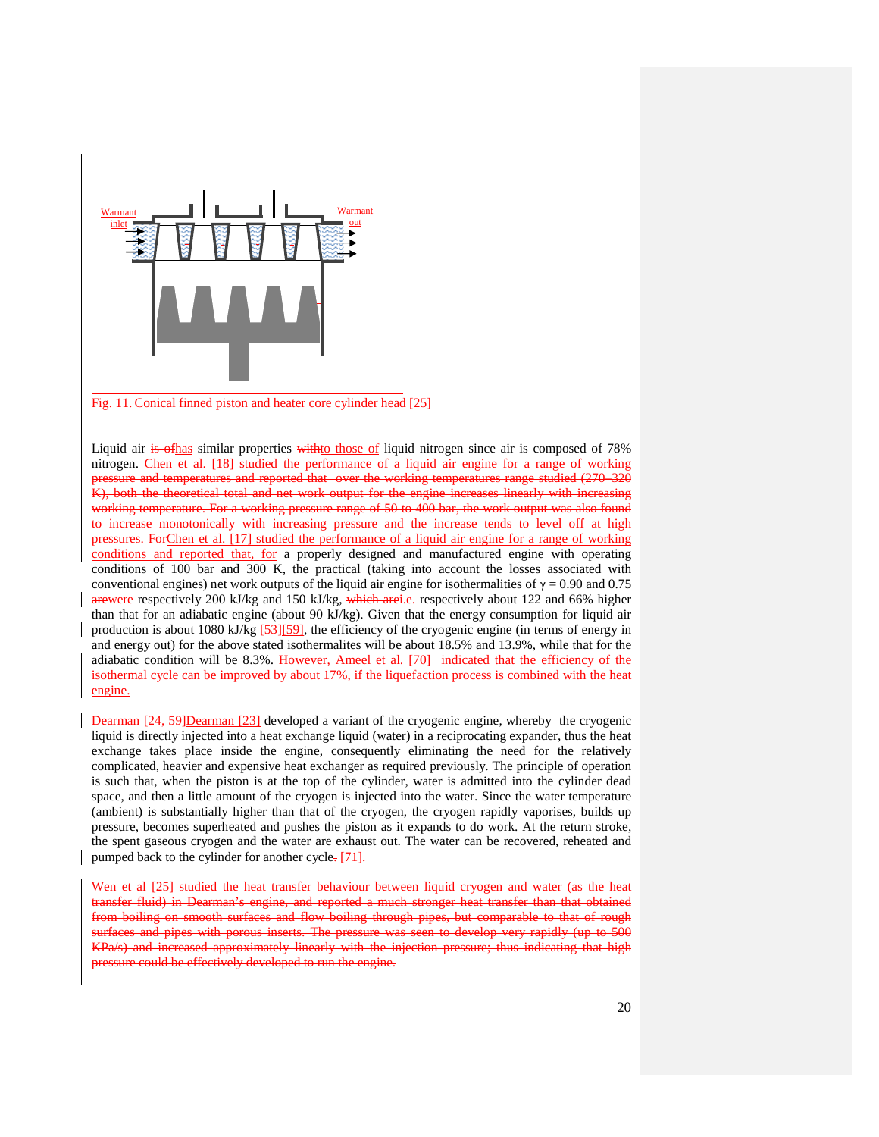

Fig. 11. Conical finned piston and heater core cylinder head [25]

Liquid air is of has similar properties with to those of liquid nitrogen since air is composed of 78% nitrogen. Chen et al. [18] studied the performance of a liquid air engine for a range of working and temperatures and reported that over the working temperatures range studied (270–320 eoretical total and net work output for the engine increases linearly with increasing working temperature. For a working pressure range of 50 to 400 bar, the work output was also found to increase monotonically with increasing pressure and the increase tends to level off at high pressures. ForChen et al. [17] studied the performance of a liquid air engine for a range of working conditions and reported that, for a properly designed and manufactured engine with operating conditions of 100 bar and 300 K, the practical (taking into account the losses associated with conventional engines) net work outputs of the liquid air engine for isothermalities of  $\gamma = 0.90$  and 0.75 arewere respectively 200 kJ/kg and 150 kJ/kg, which arei.e. respectively about 122 and 66% higher than that for an adiabatic engine (about 90 kJ/kg). Given that the energy consumption for liquid air production is about 1080 kJ/kg  $\frac{53}{159}$ , the efficiency of the cryogenic engine (in terms of energy in and energy out) for the above stated isothermalites will be about 18.5% and 13.9%, while that for the adiabatic condition will be 8.3%. However, Ameel et al. [70] indicated that the efficiency of the isothermal cycle can be improved by about 17%, if the liquefaction process is combined with the heat engine.

Dearman [24, 59]Dearman [23] developed a variant of the cryogenic engine, whereby the cryogenic liquid is directly injected into a heat exchange liquid (water) in a reciprocating expander, thus the heat exchange takes place inside the engine, consequently eliminating the need for the relatively complicated, heavier and expensive heat exchanger as required previously. The principle of operation is such that, when the piston is at the top of the cylinder, water is admitted into the cylinder dead space, and then a little amount of the cryogen is injected into the water. Since the water temperature (ambient) is substantially higher than that of the cryogen, the cryogen rapidly vaporises, builds up pressure, becomes superheated and pushes the piston as it expands to do work. At the return stroke, the spent gaseous cryogen and the water are exhaust out. The water can be recovered, reheated and pumped back to the cylinder for another cycle. [71].

Wen et al [25] studied the heat transfer behaviour between liquid cryogen and water (as the heat in Dearman's engine, and smooth surfaces and flow boiling through pipes, but comparable to pipes with porous inserts. The pressure was seen to develop very rapidly (up KPa/s) and increased approximately linearly with the injection pressure; thus indicating that high e could be effectively developed to run the engine.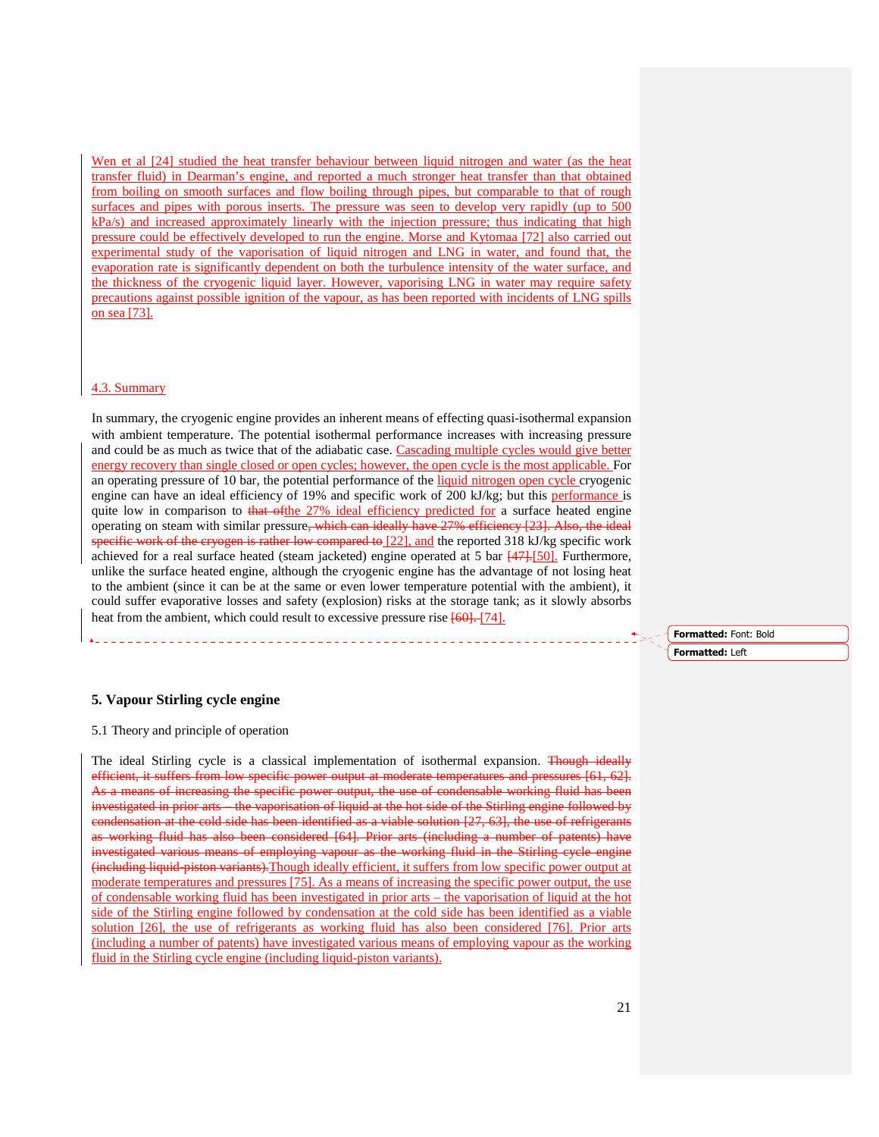Wen et al [24] studied the heat transfer behaviour between liquid nitrogen and water (as the heat transfer fluid) in Dearman's engine, and reported a much stronger heat transfer than that obtained from boiling on smooth surfaces and flow boiling through pipes, but comparable to that of rough surfaces and pipes with porous inserts. The pressure was seen to develop very rapidly (up to 500) kPa/s) and increased approximately linearly with the injection pressure; thus indicating that high pressure could be effectively developed to run the engine. Morse and Kytomaa [72] also carried out experimental study of the vaporisation of liquid nitrogen and LNG in water, and found that, the evaporation rate is significantly dependent on both the turbulence intensity of the water surface, and the thickness of the cryogenic liquid layer. However, vaporising LNG in water may require safety precautions against possible ignition of the vapour, as has been reported with incidents of LNG spills on sea [73].

#### 4.3. Summary

In summary, the cryogenic engine provides an inherent means of effecting quasi-isothermal expansion with ambient temperature. The potential isothermal performance increases with increasing pressure and could be as much as twice that of the adiabatic case. Cascading multiple cycles would give better energy recovery than single closed or open cycles; however, the open cycle is the most applicable. For an operating pressure of 10 bar, the potential performance of the liquid nitrogen open cycle cryogenic engine can have an ideal efficiency of 19% and specific work of 200 kJ/kg; but this performance is quite low in comparison to that of the 27% ideal efficiency predicted for a surface heated engine operating on steam with similar pressure, which can ideally have 27% efficiency [23]. Also, the ideal specific work of the cryogen is rather low compared to [22], and the reported 318 kJ/kg specific work achieved for a real surface heated (steam jacketed) engine operated at 5 bar  $\frac{447}{150}$ . Furthermore, unlike the surface heated engine, although the cryogenic engine has the advantage of not losing heat to the ambient (since it can be at the same or even lower temperature potential with the ambient), it could suffer evaporative losses and safety (explosion) risks at the storage tank; as it slowly absorbs heat from the ambient, which could result to excessive pressure rise  $[60]$ . [74].

#### **5. Vapour Stirling cycle engine**

5.1 Theory and principle of operation

The ideal Stirling cycle is a classical implementation of isothermal expansion. Though ideally efficient, it suffers from low specific power output at moderate temperatures and pressures [61, 62]. As a means of increasing the specific power output, the use of condensable working fluid has been investigated in prior arts – the vaporisation of liquid at the hot side of the Stirling engine followed by condensation at the cold side has been identified as a viable solution [27, 63], the use of refrigerants as working fluid has also been considered [64]. Prior arts (including a number of patents) have investigated various means of employing vapour as the working fluid in the Stirling eyele engine (including liquid-piston variants).Though ideally efficient, it suffers from low specific power output at moderate temperatures and pressures [75]. As a means of increasing the specific power output, the use of condensable working fluid has been investigated in prior arts – the vaporisation of liquid at the hot side of the Stirling engine followed by condensation at the cold side has been identified as a viable solution [26], the use of refrigerants as working fluid has also been considered [76]. Prior arts (including a number of patents) have investigated various means of employing vapour as the working fluid in the Stirling cycle engine (including liquid-piston variants).

Formatted: Font: Bold Formatted: Left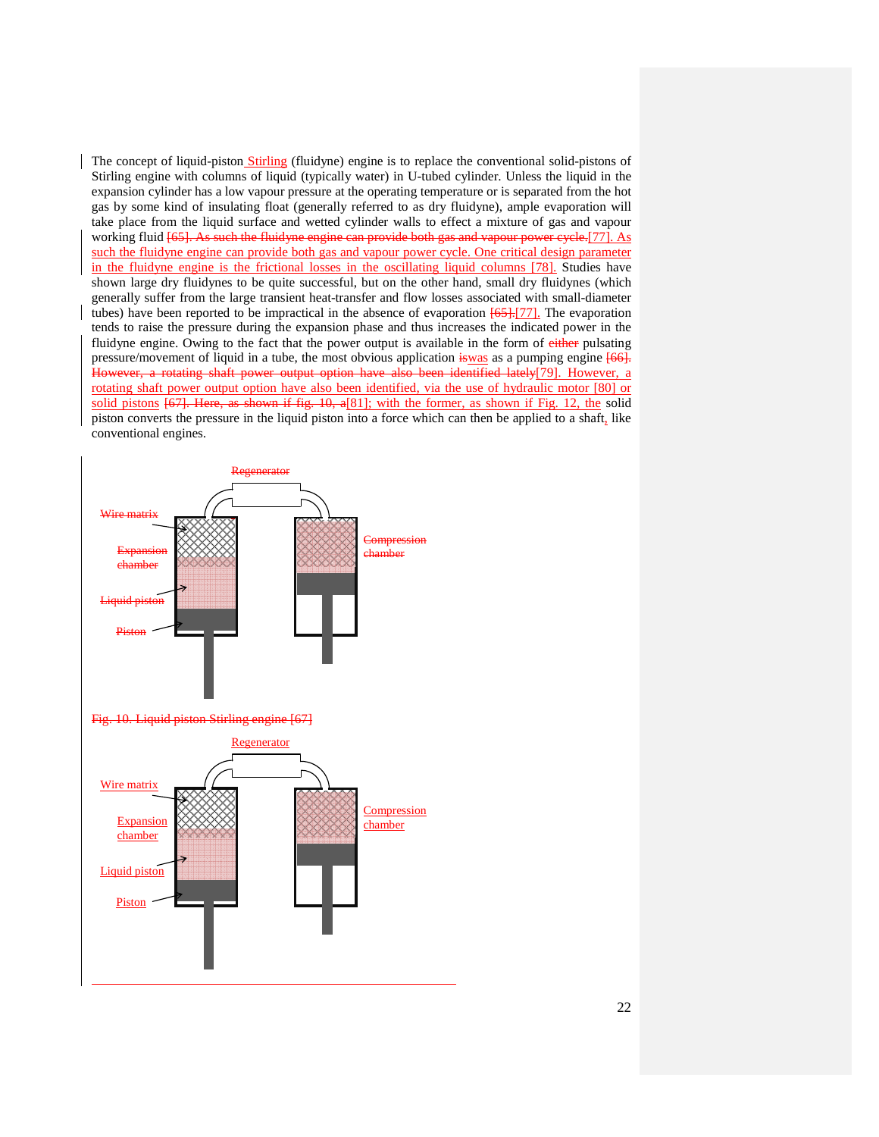The concept of liquid-piston Stirling (fluidyne) engine is to replace the conventional solid-pistons of Stirling engine with columns of liquid (typically water) in U-tubed cylinder. Unless the liquid in the expansion cylinder has a low vapour pressure at the operating temperature or is separated from the hot gas by some kind of insulating float (generally referred to as dry fluidyne), ample evaporation will take place from the liquid surface and wetted cylinder walls to effect a mixture of gas and vapour working fluid [65]. As such the fluidyne engine can provide both gas and vapour power cycle.[77]. As such the fluidyne engine can provide both gas and vapour power cycle. One critical design parameter in the fluidyne engine is the frictional losses in the oscillating liquid columns [78]. Studies have shown large dry fluidynes to be quite successful, but on the other hand, small dry fluidynes (which generally suffer from the large transient heat-transfer and flow losses associated with small-diameter tubes) have been reported to be impractical in the absence of evaporation  $[65]$ .[77]. The evaporation tends to raise the pressure during the expansion phase and thus increases the indicated power in the fluidyne engine. Owing to the fact that the power output is available in the form of either pulsating pressure/movement of liquid in a tube, the most obvious application is was as a pumping engine  $[66]$ . However, a rotating shaft power output option have also been identified lately[79]. However, a rotating shaft power output option have also been identified, via the use of hydraulic motor [80] or solid pistons [67]. Here, as shown if fig. 10, a[81]; with the former, as shown if Fig. 12, the solid piston converts the pressure in the liquid piston into a force which can then be applied to a shaft, like conventional engines.

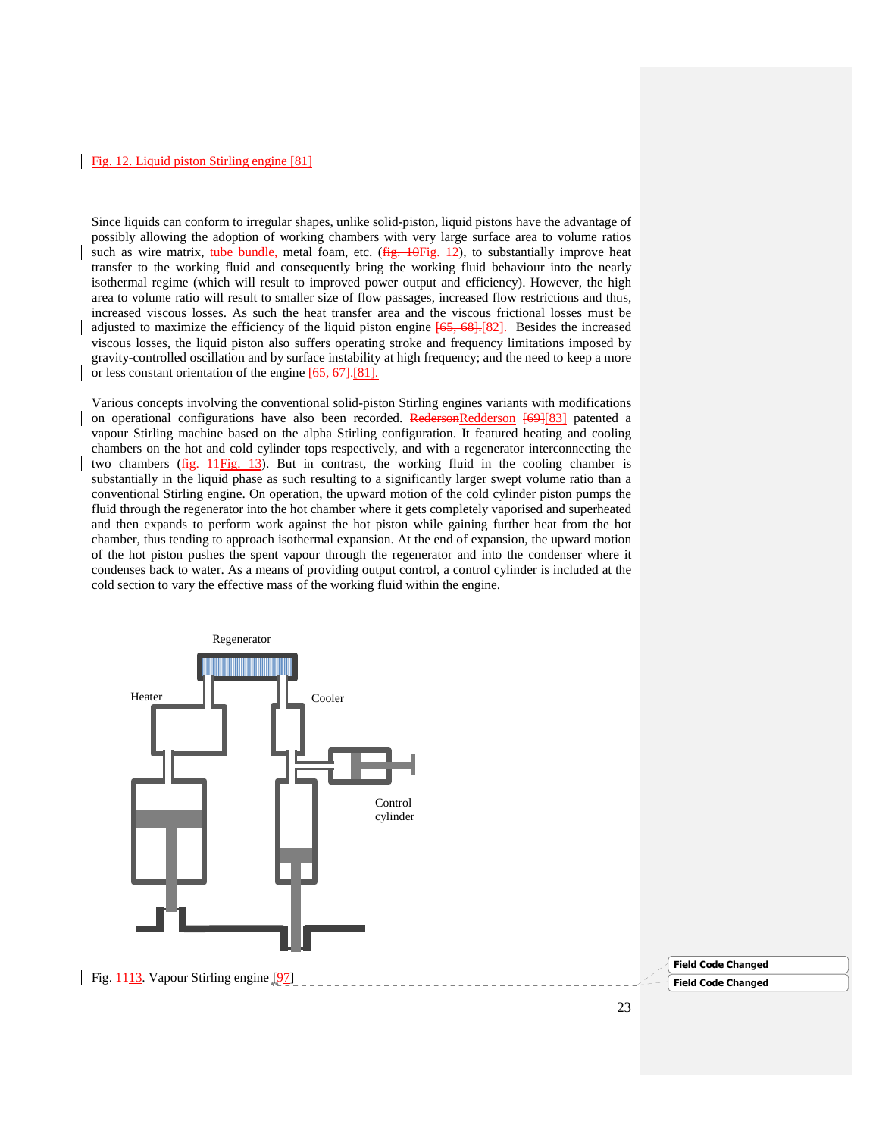### Fig. 12. Liquid piston Stirling engine [81]

Since liquids can conform to irregular shapes, unlike solid-piston, liquid pistons have the advantage of possibly allowing the adoption of working chambers with very large surface area to volume ratios such as wire matrix, tube bundle, metal foam, etc. ( $fig. 10Fig. 12$ ), to substantially improve heat transfer to the working fluid and consequently bring the working fluid behaviour into the nearly isothermal regime (which will result to improved power output and efficiency). However, the high area to volume ratio will result to smaller size of flow passages, increased flow restrictions and thus, increased viscous losses. As such the heat transfer area and the viscous frictional losses must be adjusted to maximize the efficiency of the liquid piston engine [65, 68].[82]. Besides the increased viscous losses, the liquid piston also suffers operating stroke and frequency limitations imposed by gravity-controlled oscillation and by surface instability at high frequency; and the need to keep a more or less constant orientation of the engine [65, 67].[81].

Various concepts involving the conventional solid-piston Stirling engines variants with modifications on operational configurations have also been recorded. RedersonRedderson [69][83] patented a vapour Stirling machine based on the alpha Stirling configuration. It featured heating and cooling chambers on the hot and cold cylinder tops respectively, and with a regenerator interconnecting the two chambers  $(f_ig, 11)$ . But in contrast, the working fluid in the cooling chamber is substantially in the liquid phase as such resulting to a significantly larger swept volume ratio than a conventional Stirling engine. On operation, the upward motion of the cold cylinder piston pumps the fluid through the regenerator into the hot chamber where it gets completely vaporised and superheated and then expands to perform work against the hot piston while gaining further heat from the hot chamber, thus tending to approach isothermal expansion. At the end of expansion, the upward motion of the hot piston pushes the spent vapour through the regenerator and into the condenser where it condenses back to water. As a means of providing output control, a control cylinder is included at the cold section to vary the effective mass of the working fluid within the engine.

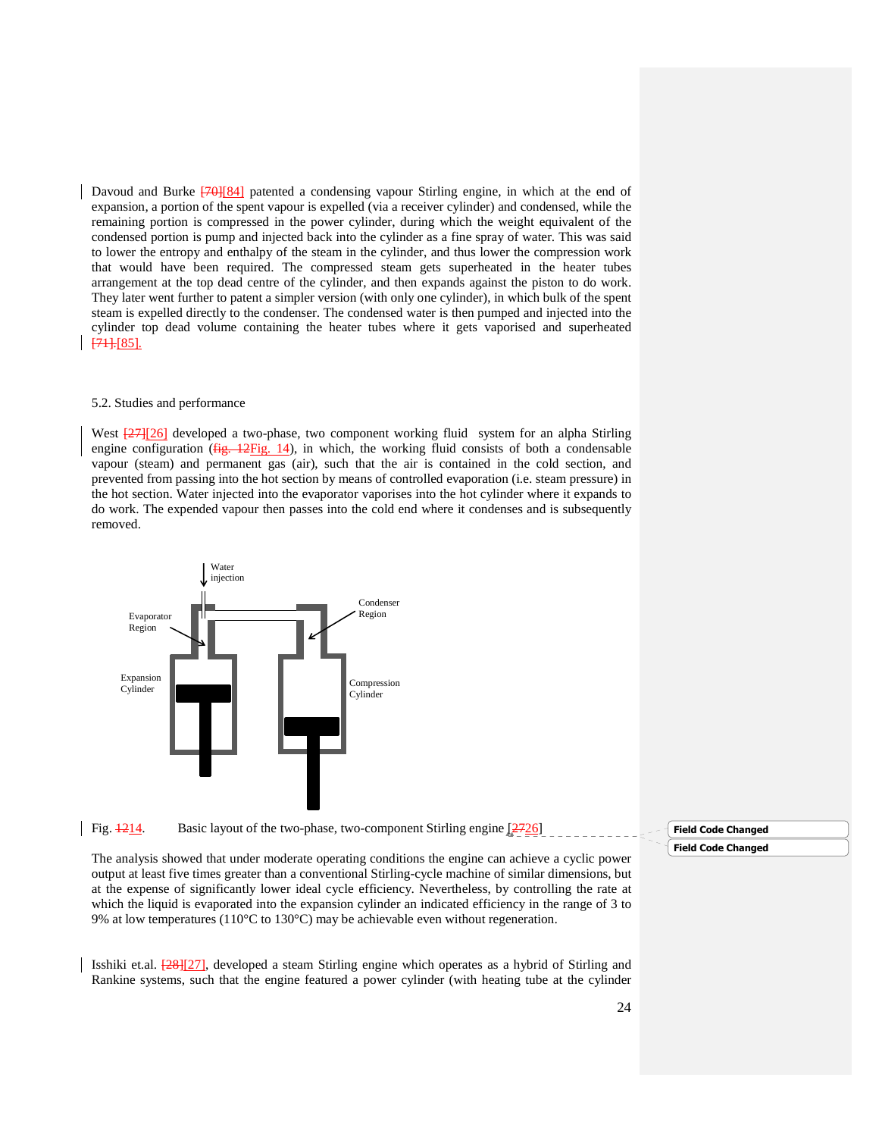Davoud and Burke  $\frac{70}{184}$  patented a condensing vapour Stirling engine, in which at the end of expansion, a portion of the spent vapour is expelled (via a receiver cylinder) and condensed, while the remaining portion is compressed in the power cylinder, during which the weight equivalent of the condensed portion is pump and injected back into the cylinder as a fine spray of water. This was said to lower the entropy and enthalpy of the steam in the cylinder, and thus lower the compression work that would have been required. The compressed steam gets superheated in the heater tubes arrangement at the top dead centre of the cylinder, and then expands against the piston to do work. They later went further to patent a simpler version (with only one cylinder), in which bulk of the spent steam is expelled directly to the condenser. The condensed water is then pumped and injected into the cylinder top dead volume containing the heater tubes where it gets vaporised and superheated [71]*.*[85]*.*

#### 5.2. Studies and performance

West  $\frac{27}{26}$  developed a two-phase, two component working fluid system for an alpha Stirling engine configuration ( $f$ ig. 12Fig. 14), in which, the working fluid consists of both a condensable vapour (steam) and permanent gas (air), such that the air is contained in the cold section, and prevented from passing into the hot section by means of controlled evaporation (i.e. steam pressure) in the hot section. Water injected into the evaporator vaporises into the hot cylinder where it expands to do work. The expended vapour then passes into the cold end where it condenses and is subsequently removed.



## Fig.  $\frac{1214}{2726}$ . Basic layout of the two-phase, two-component Stirling engine [2726]

The analysis showed that under moderate operating conditions the engine can achieve a cyclic power output at least five times greater than a conventional Stirling-cycle machine of similar dimensions, but at the expense of significantly lower ideal cycle efficiency. Nevertheless, by controlling the rate at which the liquid is evaporated into the expansion cylinder an indicated efficiency in the range of 3 to 9% at low temperatures (110°C to 130°C) may be achievable even without regeneration.

Isshiki et.al. [28][27], developed a steam Stirling engine which operates as a hybrid of Stirling and Rankine systems, such that the engine featured a power cylinder (with heating tube at the cylinder

### Field Code Changed Field Code Changed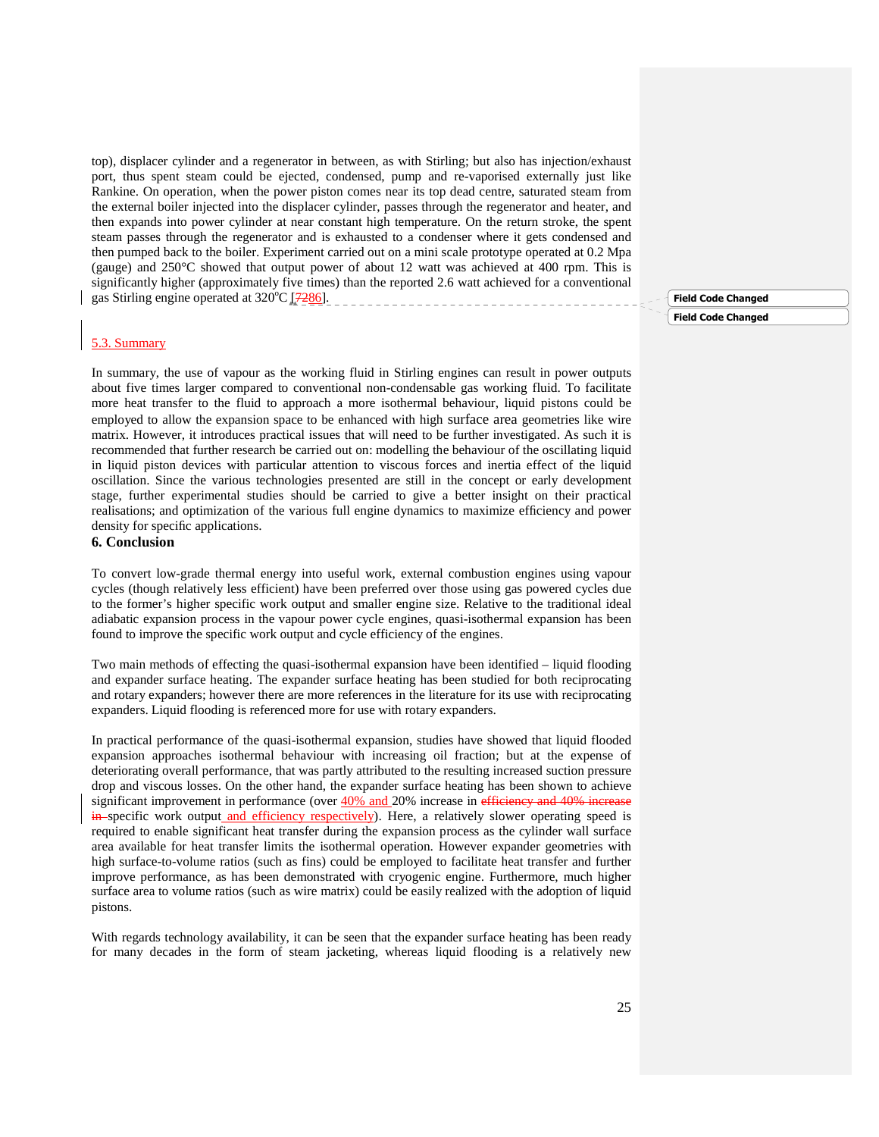top), displacer cylinder and a regenerator in between, as with Stirling; but also has injection/exhaust port, thus spent steam could be ejected, condensed, pump and re-vaporised externally just like Rankine. On operation, when the power piston comes near its top dead centre, saturated steam from the external boiler injected into the displacer cylinder, passes through the regenerator and heater, and then expands into power cylinder at near constant high temperature. On the return stroke, the spent steam passes through the regenerator and is exhausted to a condenser where it gets condensed and then pumped back to the boiler. Experiment carried out on a mini scale prototype operated at 0.2 Mpa (gauge) and 250°C showed that output power of about 12 watt was achieved at 400 rpm. This is significantly higher (approximately five times) than the reported 2.6 watt achieved for a conventional gas Stirling engine operated at  $320^{\circ}$ C  $\left[7286\right]$ .

#### 5.3. Summary

In summary, the use of vapour as the working fluid in Stirling engines can result in power outputs about five times larger compared to conventional non-condensable gas working fluid. To facilitate more heat transfer to the fluid to approach a more isothermal behaviour, liquid pistons could be employed to allow the expansion space to be enhanced with high surface area geometries like wire matrix. However, it introduces practical issues that will need to be further investigated. As such it is recommended that further research be carried out on: modelling the behaviour of the oscillating liquid in liquid piston devices with particular attention to viscous forces and inertia effect of the liquid oscillation. Since the various technologies presented are still in the concept or early development stage, further experimental studies should be carried to give a better insight on their practical realisations; and optimization of the various full engine dynamics to maximize efficiency and power density for specific applications.

#### **6. Conclusion**

To convert low-grade thermal energy into useful work, external combustion engines using vapour cycles (though relatively less efficient) have been preferred over those using gas powered cycles due to the former's higher specific work output and smaller engine size. Relative to the traditional ideal adiabatic expansion process in the vapour power cycle engines, quasi-isothermal expansion has been found to improve the specific work output and cycle efficiency of the engines.

Two main methods of effecting the quasi-isothermal expansion have been identified – liquid flooding and expander surface heating. The expander surface heating has been studied for both reciprocating and rotary expanders; however there are more references in the literature for its use with reciprocating expanders. Liquid flooding is referenced more for use with rotary expanders.

In practical performance of the quasi-isothermal expansion, studies have showed that liquid flooded expansion approaches isothermal behaviour with increasing oil fraction; but at the expense of deteriorating overall performance, that was partly attributed to the resulting increased suction pressure drop and viscous losses. On the other hand, the expander surface heating has been shown to achieve significant improvement in performance (over  $\frac{40\% \text{ and } 20\% \text{ increase in efficiency and } 40\% \text{ increase}}{1000 \text{ m}}$ in specific work output and efficiency respectively). Here, a relatively slower operating speed is required to enable significant heat transfer during the expansion process as the cylinder wall surface area available for heat transfer limits the isothermal operation. However expander geometries with high surface-to-volume ratios (such as fins) could be employed to facilitate heat transfer and further improve performance, as has been demonstrated with cryogenic engine. Furthermore, much higher surface area to volume ratios (such as wire matrix) could be easily realized with the adoption of liquid pistons.

With regards technology availability, it can be seen that the expander surface heating has been ready for many decades in the form of steam jacketing, whereas liquid flooding is a relatively new Field Code Changed

Field Code Changed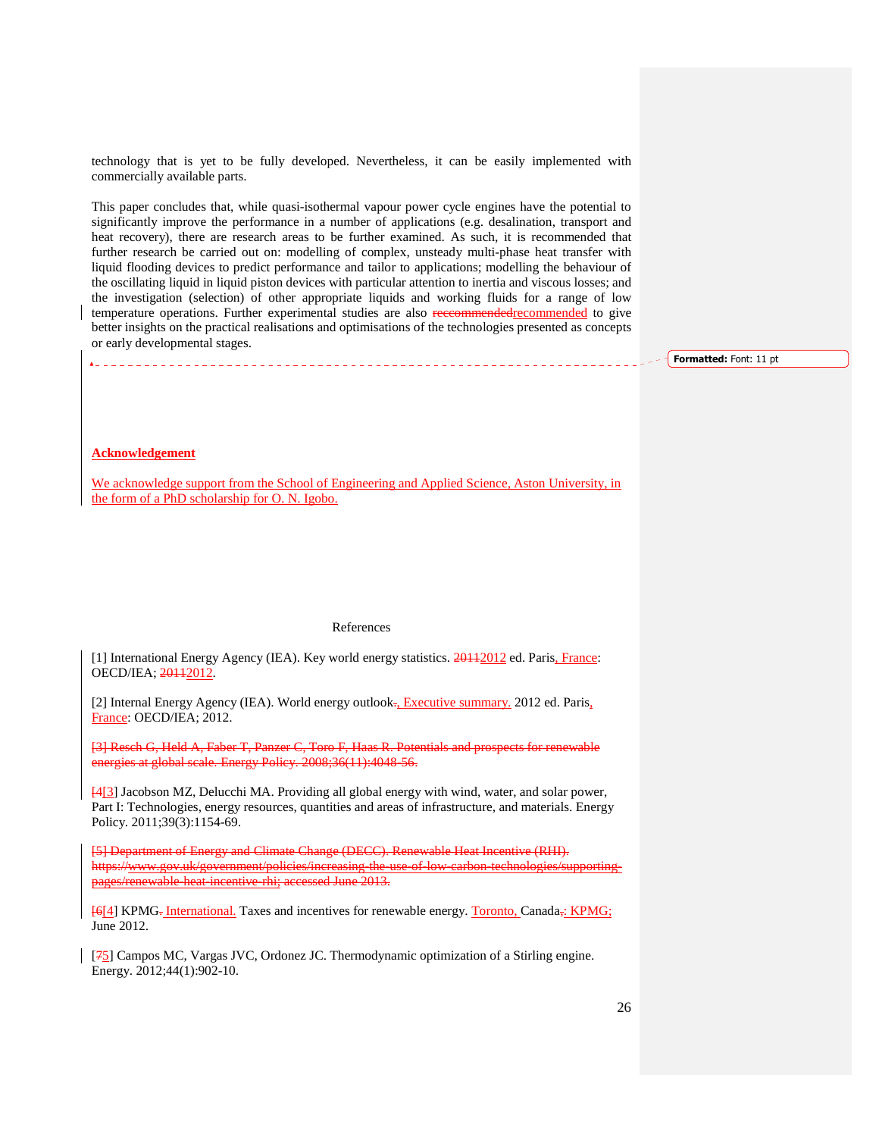technology that is yet to be fully developed. Nevertheless, it can be easily implemented with commercially available parts.

This paper concludes that, while quasi-isothermal vapour power cycle engines have the potential to significantly improve the performance in a number of applications (e.g. desalination, transport and heat recovery), there are research areas to be further examined. As such, it is recommended that further research be carried out on: modelling of complex, unsteady multi-phase heat transfer with liquid flooding devices to predict performance and tailor to applications; modelling the behaviour of the oscillating liquid in liquid piston devices with particular attention to inertia and viscous losses; and the investigation (selection) of other appropriate liquids and working fluids for a range of low temperature operations. Further experimental studies are also receommendedrecommended to give better insights on the practical realisations and optimisations of the technologies presented as concepts or early developmental stages.

Formatted: Font: 11 pt

#### **Acknowledgement**

We acknowledge support from the School of Engineering and Applied Science, Aston University, in the form of a PhD scholarship for O. N. Igobo.

#### References

[1] International Energy Agency (IEA). Key world energy statistics. 20112012 ed. Paris, France: OECD/IEA; 20112012.

[2] Internal Energy Agency (IEA). World energy outlook. Executive summary. 2012 ed. Paris, France: OECD/IEA; 2012.

[3] Resch G, Held A, Faber T, Panzer C, Toro F, Haas R. Potentials and prospects for renewable energies at global scale. Energy Policy. 2008;36(11):4048-56.

[4[3] Jacobson MZ, Delucchi MA. Providing all global energy with wind, water, and solar power, Part I: Technologies, energy resources, quantities and areas of infrastructure, and materials. Energy Policy. 2011;39(3):1154-69.

[5] Department of Energy and Climate Change (DECC). Renewable Heat Incentive (RHI). https://www.gov.uk/government/policies/increasing-the-use-of-low-carbon-technologies/supportingpages/renewable-heat-incentive-rhi; accessed June 2013.

[6[4] KPMG<sub>7</sub> International. Taxes and incentives for renewable energy. Toronto, Canada<sub>7</sub>: KPMG; June 2012.

 $[75]$  Campos MC, Vargas JVC, Ordonez JC. Thermodynamic optimization of a Stirling engine. Energy. 2012;44(1):902-10.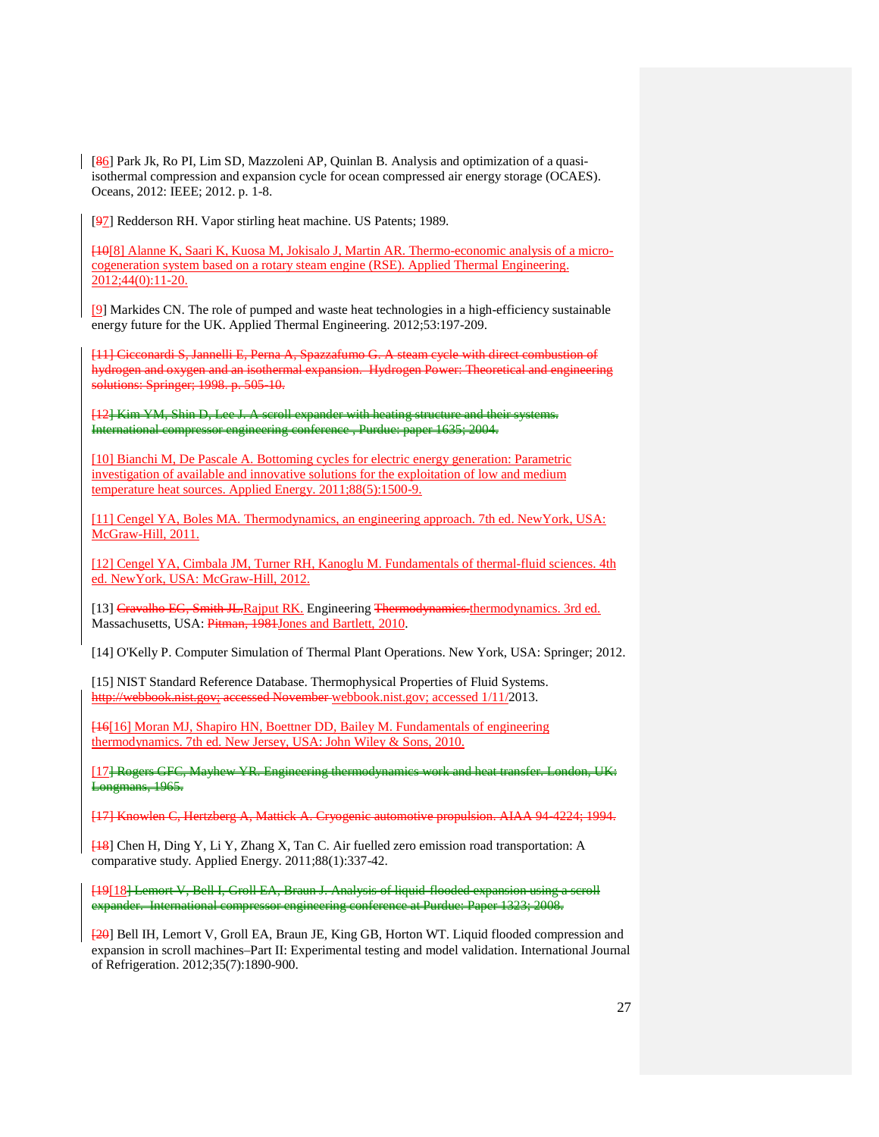[86] Park Jk, Ro PI, Lim SD, Mazzoleni AP, Quinlan B. Analysis and optimization of a quasiisothermal compression and expansion cycle for ocean compressed air energy storage (OCAES). Oceans, 2012: IEEE; 2012. p. 1-8.

[97] Redderson RH. Vapor stirling heat machine. US Patents; 1989.

[10[8] Alanne K, Saari K, Kuosa M, Jokisalo J, Martin AR. Thermo-economic analysis of a microcogeneration system based on a rotary steam engine (RSE). Applied Thermal Engineering. 2012;44(0):11-20.

[9] Markides CN. The role of pumped and waste heat technologies in a high-efficiency sustainable energy future for the UK. Applied Thermal Engineering. 2012;53:197-209.

[11] Cicconardi S, Jannelli E, Perna A, Spazzafumo G. A steam cycle with direct combustion of hydrogen and oxygen and an isothermal expansion. Hydrogen Power: Theoretical and engineering solutions: Springer; 1998. p. 505-10.

[12] Kim YM, Shin D, Lee J. A scroll expander with heating structure and their systems. International compressor engineering conference , Purdue: paper 1635; 2004.

[10] Bianchi M, De Pascale A. Bottoming cycles for electric energy generation: Parametric investigation of available and innovative solutions for the exploitation of low and medium temperature heat sources. Applied Energy. 2011;88(5):1500-9.

[11] Cengel YA, Boles MA. Thermodynamics, an engineering approach. 7th ed. NewYork, USA: McGraw-Hill, 2011.

[12] Cengel YA, Cimbala JM, Turner RH, Kanoglu M. Fundamentals of thermal-fluid sciences. 4th ed. NewYork, USA: McGraw-Hill, 2012.

[13] Cravalho EG, Smith JL.Rajput RK. Engineering Thermodynamics.thermodynamics. 3rd ed. Massachusetts, USA: Pitman, 1981 Jones and Bartlett, 2010.

[14] O'Kelly P. Computer Simulation of Thermal Plant Operations. New York, USA: Springer; 2012.

[15] NIST Standard Reference Database. Thermophysical Properties of Fluid Systems. http://webbook.nist.gov; accessed November webbook.nist.gov; accessed 1/11/2013.

[16[16] Moran MJ, Shapiro HN, Boettner DD, Bailey M. Fundamentals of engineering thermodynamics. 7th ed. New Jersey, USA: John Wiley & Sons, 2010.

[17] Rogers GFC, Mayhew YR. Engineering thermodynamics work and heat transfer. London, UK: Longmans, 1965.

[17] Knowlen C, Hertzberg A, Mattick A. Cryogenic automotive propulsion. AIAA 94-4224; 1994.

[18] Chen H, Ding Y, Li Y, Zhang X, Tan C. Air fuelled zero emission road transportation: A comparative study. Applied Energy. 2011;88(1):337-42.

[19[18] Lemort V, Bell I, Groll EA, Braun J. Analysis of liquid-flooded expansion using a scroll expander. International compressor engineering conference at Purdue: Paper 1323; 2008.

[20] Bell IH, Lemort V, Groll EA, Braun JE, King GB, Horton WT. Liquid flooded compression and expansion in scroll machines–Part II: Experimental testing and model validation. International Journal of Refrigeration. 2012;35(7):1890-900.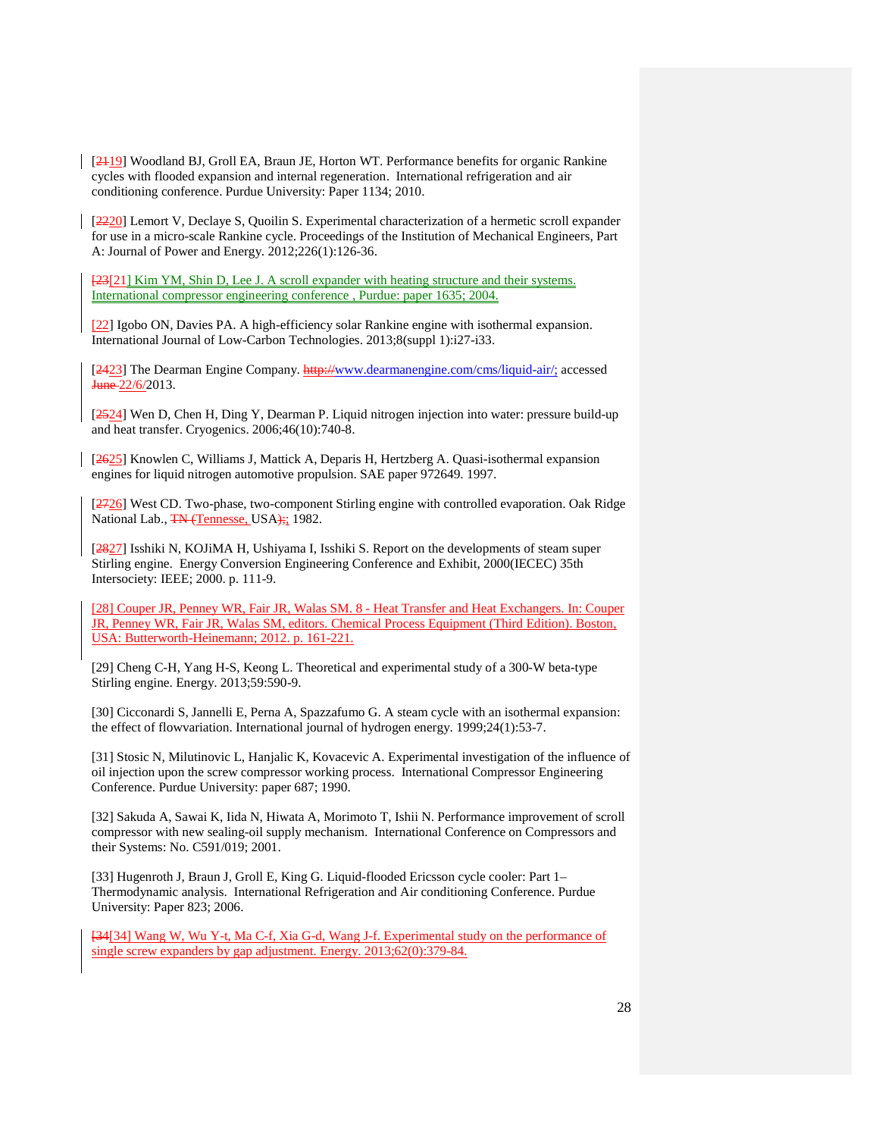[2119] Woodland BJ, Groll EA, Braun JE, Horton WT. Performance benefits for organic Rankine cycles with flooded expansion and internal regeneration. International refrigeration and air conditioning conference. Purdue University: Paper 1134; 2010.

[2220] Lemort V, Declaye S, Quoilin S. Experimental characterization of a hermetic scroll expander for use in a micro-scale Rankine cycle. Proceedings of the Institution of Mechanical Engineers, Part A: Journal of Power and Energy. 2012;226(1):126-36.

[23] 21] Kim YM, Shin D, Lee J. A scroll expander with heating structure and their systems. International compressor engineering conference , Purdue: paper 1635; 2004.

[22] Igobo ON, Davies PA. A high-efficiency solar Rankine engine with isothermal expansion. International Journal of Low-Carbon Technologies. 2013;8(suppl 1):i27-i33.

[2423] The Dearman Engine Company. http://www.dearmanengine.com/cms/liquid-air/; accessed June 22/6/2013.

[2524] Wen D, Chen H, Ding Y, Dearman P. Liquid nitrogen injection into water: pressure build-up and heat transfer. Cryogenics. 2006;46(10):740-8.

[2625] Knowlen C, Williams J, Mattick A, Deparis H, Hertzberg A. Quasi-isothermal expansion engines for liquid nitrogen automotive propulsion. SAE paper 972649. 1997.

[2726] West CD. Two-phase, two-component Stirling engine with controlled evaporation. Oak Ridge National Lab., TN (Tennesse, USA);; 1982.

[2827] Isshiki N, KOJiMA H, Ushiyama I, Isshiki S. Report on the developments of steam super Stirling engine. Energy Conversion Engineering Conference and Exhibit, 2000(IECEC) 35th Intersociety: IEEE; 2000. p. 111-9.

[28] Couper JR, Penney WR, Fair JR, Walas SM. 8 - Heat Transfer and Heat Exchangers. In: Couper JR, Penney WR, Fair JR, Walas SM, editors. Chemical Process Equipment (Third Edition). Boston, USA: Butterworth-Heinemann; 2012. p. 161-221.

[29] Cheng C-H, Yang H-S, Keong L. Theoretical and experimental study of a 300-W beta-type Stirling engine. Energy. 2013;59:590-9.

[30] Cicconardi S, Jannelli E, Perna A, Spazzafumo G. A steam cycle with an isothermal expansion: the effect of flowvariation. International journal of hydrogen energy. 1999;24(1):53-7.

[31] Stosic N, Milutinovic L, Hanjalic K, Kovacevic A. Experimental investigation of the influence of oil injection upon the screw compressor working process. International Compressor Engineering Conference. Purdue University: paper 687; 1990.

[32] Sakuda A, Sawai K, Iida N, Hiwata A, Morimoto T, Ishii N. Performance improvement of scroll compressor with new sealing-oil supply mechanism. International Conference on Compressors and their Systems: No. C591/019; 2001.

[33] Hugenroth J, Braun J, Groll E, King G. Liquid-flooded Ericsson cycle cooler: Part 1– Thermodynamic analysis. International Refrigeration and Air conditioning Conference. Purdue University: Paper 823; 2006.

[34[34] Wang W, Wu Y-t, Ma C-f, Xia G-d, Wang J-f. Experimental study on the performance of single screw expanders by gap adjustment. Energy. 2013;62(0):379-84.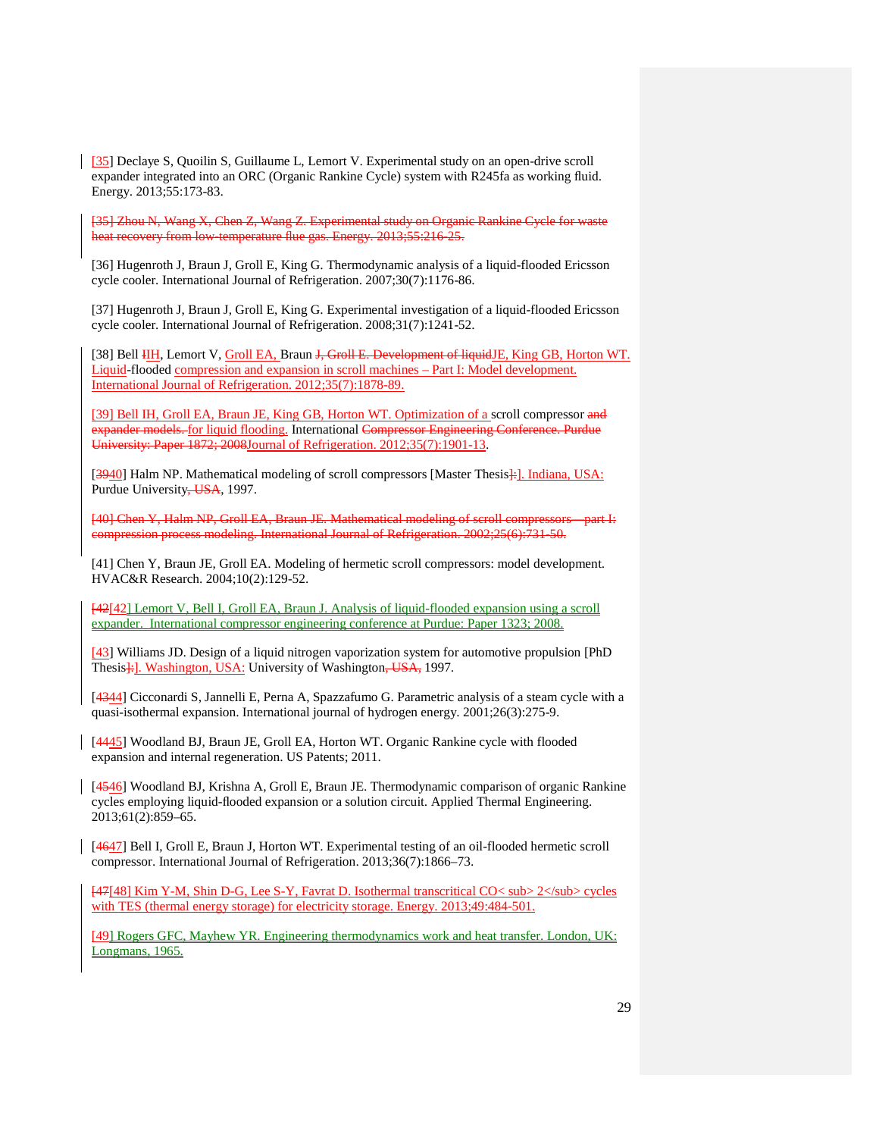[35] Declaye S, Quoilin S, Guillaume L, Lemort V. Experimental study on an open-drive scroll expander integrated into an ORC (Organic Rankine Cycle) system with R245fa as working fluid. Energy. 2013;55:173-83.

[35] Zhou N, Wang X, Chen Z, Wang Z. Experimental study on Organic Rankine Cycle for waste heat recovery from low-temperature flue gas. Energy. 2013;55:216-25.

[36] Hugenroth J, Braun J, Groll E, King G. Thermodynamic analysis of a liquid-flooded Ericsson cycle cooler. International Journal of Refrigeration. 2007;30(7):1176-86.

[37] Hugenroth J, Braun J, Groll E, King G. Experimental investigation of a liquid-flooded Ericsson cycle cooler. International Journal of Refrigeration. 2008;31(7):1241-52.

[38] Bell III, Lemort V, Groll EA, Braun J, Groll E. Development of liquidJE, King GB, Horton WT. Liquid-flooded compression and expansion in scroll machines – Part I: Model development. International Journal of Refrigeration. 2012;35(7):1878-89.

[39] Bell IH, Groll EA, Braun JE, King GB, Horton WT. Optimization of a scroll compressor and expander models. for liquid flooding. International Compressor Engineering Conference. Purdue University: Paper 1872; 2008Journal of Refrigeration. 2012;35(7):1901-13.

[3940] Halm NP. Mathematical modeling of scroll compressors [Master Thesis]: *I. Indiana, USA:* Purdue University, USA, 1997.

[40] Chen Y, Halm NP, Groll EA, Braun JE. Mathematical modeling of scroll compressors—part I: compression process modeling. International Journal of Refrigeration. 2002;25(6):731-50.

[41] Chen Y, Braun JE, Groll EA. Modeling of hermetic scroll compressors: model development. HVAC&R Research. 2004;10(2):129-52.

[42[42] Lemort V, Bell I, Groll EA, Braun J. Analysis of liquid-flooded expansion using a scroll expander. International compressor engineering conference at Purdue: Paper 1323; 2008.

[43] Williams JD. Design of a liquid nitrogen vaporization system for automotive propulsion [PhD Thesis<sup>1</sup>: Washington, USA: University of Washington, USA, 1997.

[4344] Cicconardi S, Jannelli E, Perna A, Spazzafumo G. Parametric analysis of a steam cycle with a quasi-isothermal expansion. International journal of hydrogen energy. 2001;26(3):275-9.

[4445] Woodland BJ, Braun JE, Groll EA, Horton WT. Organic Rankine cycle with flooded expansion and internal regeneration. US Patents; 2011.

[4546] Woodland BJ, Krishna A, Groll E, Braun JE. Thermodynamic comparison of organic Rankine cycles employing liquid-flooded expansion or a solution circuit. Applied Thermal Engineering. 2013;61(2):859–65.

[4647] Bell I, Groll E, Braun J, Horton WT. Experimental testing of an oil-flooded hermetic scroll compressor. International Journal of Refrigeration. 2013;36(7):1866–73.

[47[48] Kim Y-M, Shin D-G, Lee S-Y, Favrat D. Isothermal transcritical CO< sub> 2</sub> cycles with TES (thermal energy storage) for electricity storage. Energy. 2013;49:484-501.

[49] Rogers GFC, Mayhew YR. Engineering thermodynamics work and heat transfer. London, UK: Longmans, 1965.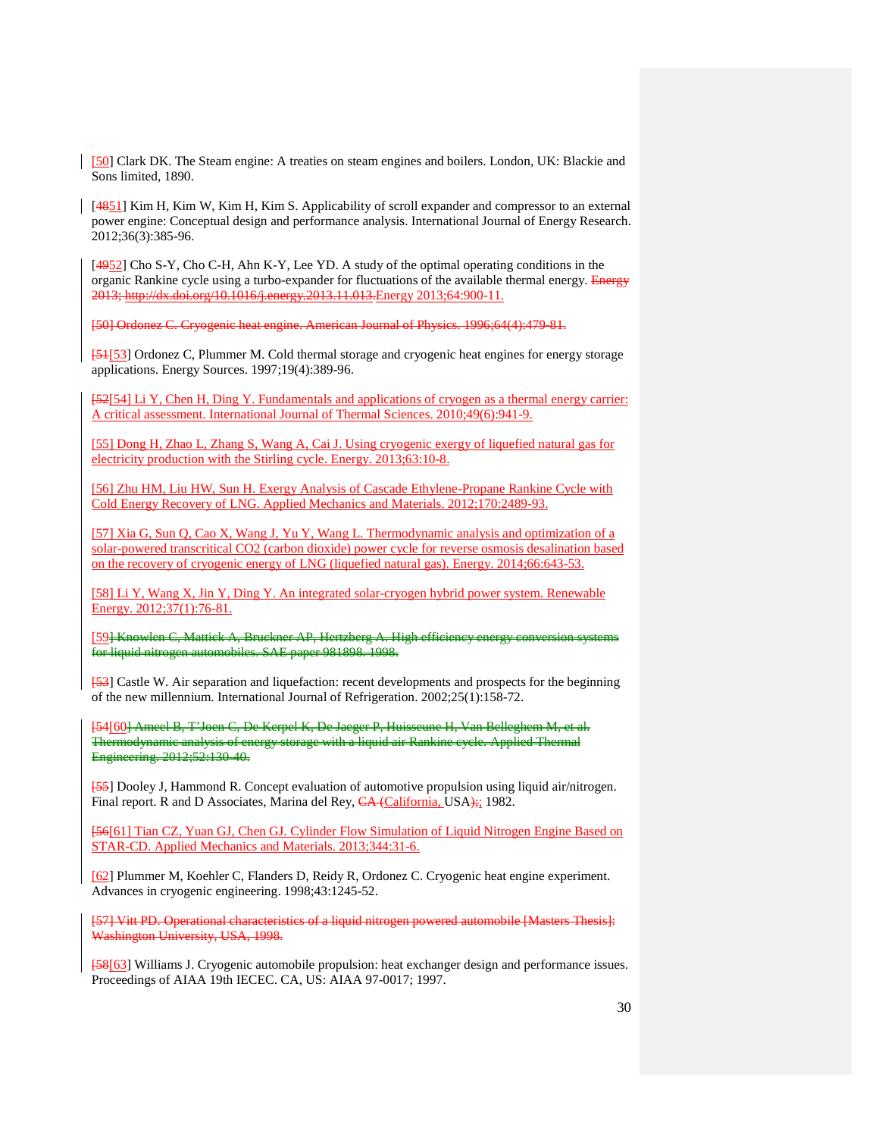[50] Clark DK. The Steam engine: A treaties on steam engines and boilers. London, UK: Blackie and Sons limited, 1890.

[4851] Kim H, Kim W, Kim H, Kim S. Applicability of scroll expander and compressor to an external power engine: Conceptual design and performance analysis. International Journal of Energy Research. 2012;36(3):385-96.

[4952] Cho S-Y, Cho C-H, Ahn K-Y, Lee YD. A study of the optimal operating conditions in the organic Rankine cycle using a turbo-expander for fluctuations of the available thermal energy. Energy 2013; http://dx.doi.org/10.1016/j.energy.2013.11.013.Energy 2013;64:900-11.

[50] Ordonez C. Cryogenic heat engine. American Journal of Physics. 1996;64(4):479-81.

[51[53] Ordonez C, Plummer M. Cold thermal storage and cryogenic heat engines for energy storage applications. Energy Sources. 1997;19(4):389-96.

[52[54] Li Y, Chen H, Ding Y. Fundamentals and applications of cryogen as a thermal energy carrier: A critical assessment. International Journal of Thermal Sciences. 2010;49(6):941-9.

[55] Dong H, Zhao L, Zhang S, Wang A, Cai J. Using cryogenic exergy of liquefied natural gas for electricity production with the Stirling cycle. Energy. 2013;63:10-8.

[56] Zhu HM, Liu HW, Sun H. Exergy Analysis of Cascade Ethylene-Propane Rankine Cycle with Cold Energy Recovery of LNG. Applied Mechanics and Materials. 2012;170:2489-93.

[57] Xia G, Sun Q, Cao X, Wang J, Yu Y, Wang L. Thermodynamic analysis and optimization of a solar-powered transcritical CO2 (carbon dioxide) power cycle for reverse osmosis desalination based on the recovery of cryogenic energy of LNG (liquefied natural gas). Energy. 2014;66:643-53.

[58] Li Y, Wang X, Jin Y, Ding Y. An integrated solar-cryogen hybrid power system. Renewable Energy. 2012;37(1):76-81.

[59] Knowlen C, Mattick A, Bruckner AP, Hertzberg A. High efficiency energy conversion systems for liquid nitrogen automobiles. SAE paper 981898. 1998.

[53] Castle W. Air separation and liquefaction: recent developments and prospects for the beginning of the new millennium. International Journal of Refrigeration. 2002;25(1):158-72.

[54[60] Ameel B, T'Joen C, De Kerpel K, De Jaeger P, Huisseune H, Van Belleghem M, et al. Thermodynamic analysis of energy storage with a liquid air Rankine cycle. Applied Thermal Engineering. 2012;52:130-40.

[55] Dooley J, Hammond R. Concept evaluation of automotive propulsion using liquid air/nitrogen. Final report. R and D Associates, Marina del Rey, CA (California, USA); 1982.

[56[61] Tian CZ, Yuan GJ, Chen GJ. Cylinder Flow Simulation of Liquid Nitrogen Engine Based on STAR-CD. Applied Mechanics and Materials. 2013;344:31-6.

[62] Plummer M, Koehler C, Flanders D, Reidy R, Ordonez C. Cryogenic heat engine experiment. Advances in cryogenic engineering. 1998;43:1245-52.

[57] Vitt PD. Operational characteristics of a liquid nitrogen powered automobile [Masters Thesis]: Washington University, USA, 1998.

[58[63] Williams J. Cryogenic automobile propulsion: heat exchanger design and performance issues. Proceedings of AIAA 19th IECEC. CA, US: AIAA 97-0017; 1997.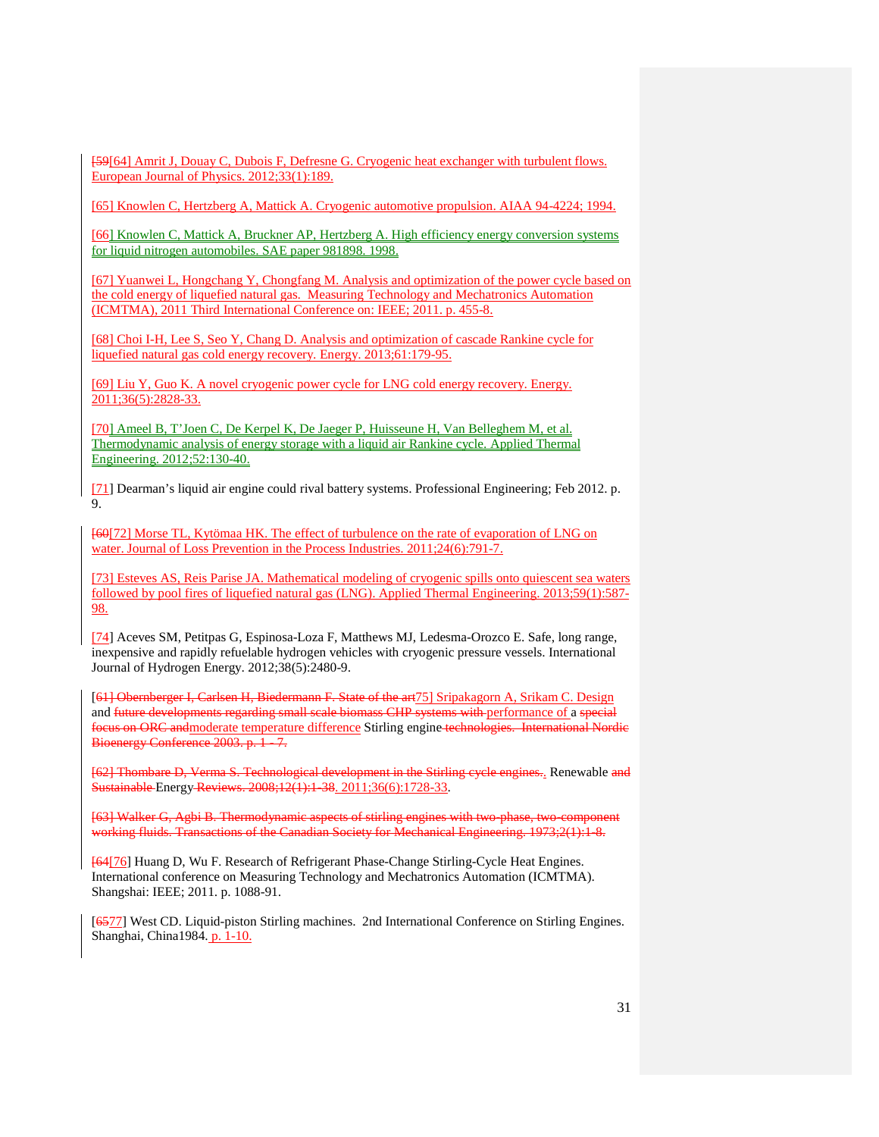[59[64] Amrit J, Douay C, Dubois F, Defresne G. Cryogenic heat exchanger with turbulent flows. European Journal of Physics. 2012;33(1):189.

[65] Knowlen C, Hertzberg A, Mattick A. Cryogenic automotive propulsion. AIAA 94-4224; 1994.

[66] Knowlen C, Mattick A, Bruckner AP, Hertzberg A. High efficiency energy conversion systems for liquid nitrogen automobiles. SAE paper 981898. 1998.

[67] Yuanwei L, Hongchang Y, Chongfang M. Analysis and optimization of the power cycle based on the cold energy of liquefied natural gas. Measuring Technology and Mechatronics Automation (ICMTMA), 2011 Third International Conference on: IEEE; 2011. p. 455-8.

[68] Choi I-H, Lee S, Seo Y, Chang D. Analysis and optimization of cascade Rankine cycle for liquefied natural gas cold energy recovery. Energy. 2013;61:179-95.

[69] Liu Y, Guo K. A novel cryogenic power cycle for LNG cold energy recovery. Energy. 2011;36(5):2828-33.

[70] Ameel B, T'Joen C, De Kerpel K, De Jaeger P, Huisseune H, Van Belleghem M, et al. Thermodynamic analysis of energy storage with a liquid air Rankine cycle. Applied Thermal Engineering. 2012;52:130-40.

[71] Dearman's liquid air engine could rival battery systems. Professional Engineering; Feb 2012. p. 9.

[60[72] Morse TL, Kytömaa HK. The effect of turbulence on the rate of evaporation of LNG on water. Journal of Loss Prevention in the Process Industries. 2011;24(6):791-7.

[73] Esteves AS, Reis Parise JA. Mathematical modeling of cryogenic spills onto quiescent sea waters followed by pool fires of liquefied natural gas (LNG). Applied Thermal Engineering. 2013;59(1):587- 98.

[74] Aceves SM, Petitpas G, Espinosa-Loza F, Matthews MJ, Ledesma-Orozco E. Safe, long range, inexpensive and rapidly refuelable hydrogen vehicles with cryogenic pressure vessels. International Journal of Hydrogen Energy. 2012;38(5):2480-9.

[61] Obernberger I, Carlsen H, Biedermann F. State of the art75] Sripakagorn A, Srikam C. Design and future developments regarding small scale biomass CHP systems with performance of a special focus on ORC andmoderate temperature difference Stirling engine technologies. International Nordic Bioenergy Conference 2003. p. 1 - 7.

[62] Thombare D, Verma S. Technological development in the Stirling cycle engines.. Renewable and Sustainable Energy Reviews. 2008;12(1):1-38. 2011;36(6):1728-33.

[63] Walker G, Agbi B. Thermodynamic aspects of stirling engines with two-phase, two-component working fluids. Transactions of the Canadian Society for Mechanical Engineering. 1973;2(1):1-8.

[64[76] Huang D, Wu F. Research of Refrigerant Phase-Change Stirling-Cycle Heat Engines. International conference on Measuring Technology and Mechatronics Automation (ICMTMA). Shangshai: IEEE; 2011. p. 1088-91.

[6577] West CD. Liquid-piston Stirling machines. 2nd International Conference on Stirling Engines. Shanghai, China1984. p. 1-10.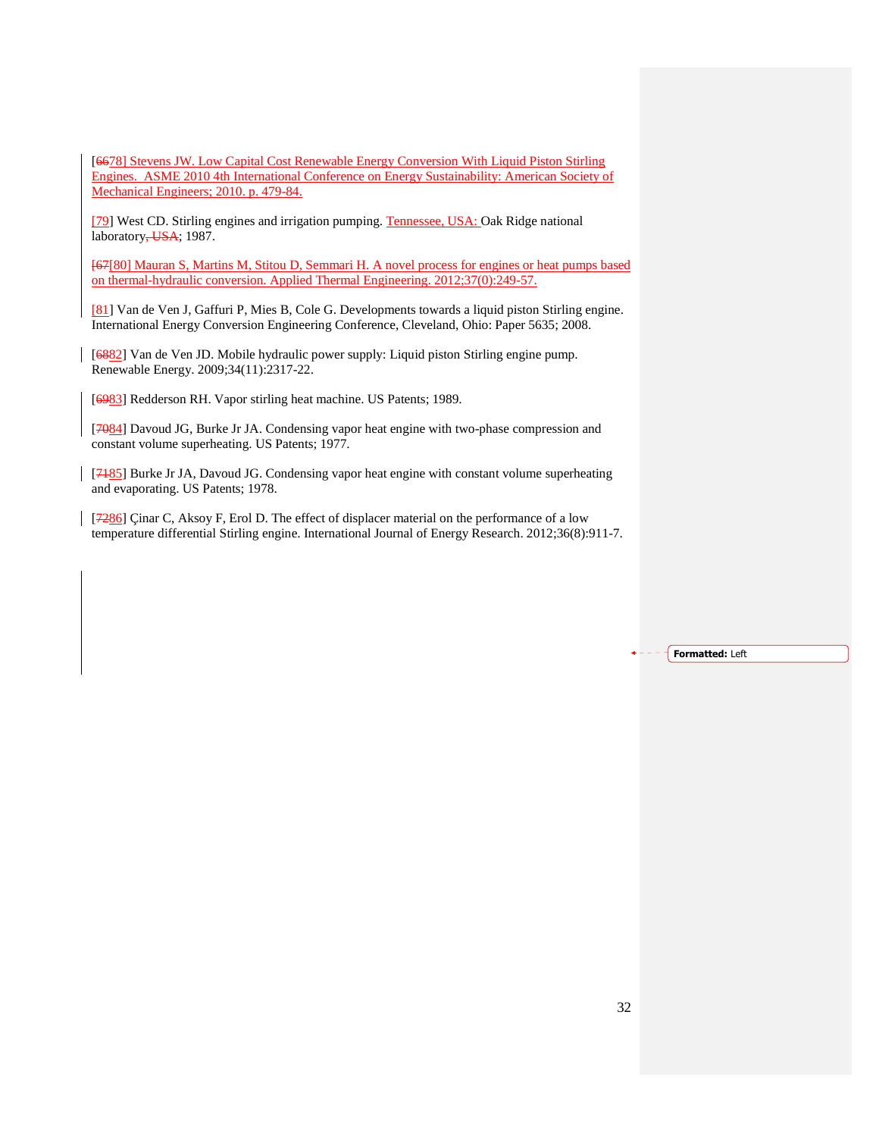[6678] Stevens JW. Low Capital Cost Renewable Energy Conversion With Liquid Piston Stirling Engines. ASME 2010 4th International Conference on Energy Sustainability: American Society of Mechanical Engineers; 2010. p. 479-84.

[79] West CD. Stirling engines and irrigation pumping. Tennessee, USA: Oak Ridge national laboratory, USA; 1987.

[67[80] Mauran S, Martins M, Stitou D, Semmari H. A novel process for engines or heat pumps based on thermal-hydraulic conversion. Applied Thermal Engineering. 2012;37(0):249-57.

[81] Van de Ven J, Gaffuri P, Mies B, Cole G. Developments towards a liquid piston Stirling engine. International Energy Conversion Engineering Conference, Cleveland, Ohio: Paper 5635; 2008.

[6882] Van de Ven JD. Mobile hydraulic power supply: Liquid piston Stirling engine pump. Renewable Energy. 2009;34(11):2317-22.

[6983] Redderson RH. Vapor stirling heat machine. US Patents; 1989.

[7084] Davoud JG, Burke Jr JA. Condensing vapor heat engine with two-phase compression and constant volume superheating. US Patents; 1977.

[7185] Burke Jr JA, Davoud JG. Condensing vapor heat engine with constant volume superheating and evaporating. US Patents; 1978.

[7286] Çinar C, Aksoy F, Erol D. The effect of displacer material on the performance of a low temperature differential Stirling engine. International Journal of Energy Research. 2012;36(8):911-7.

Formatted: Left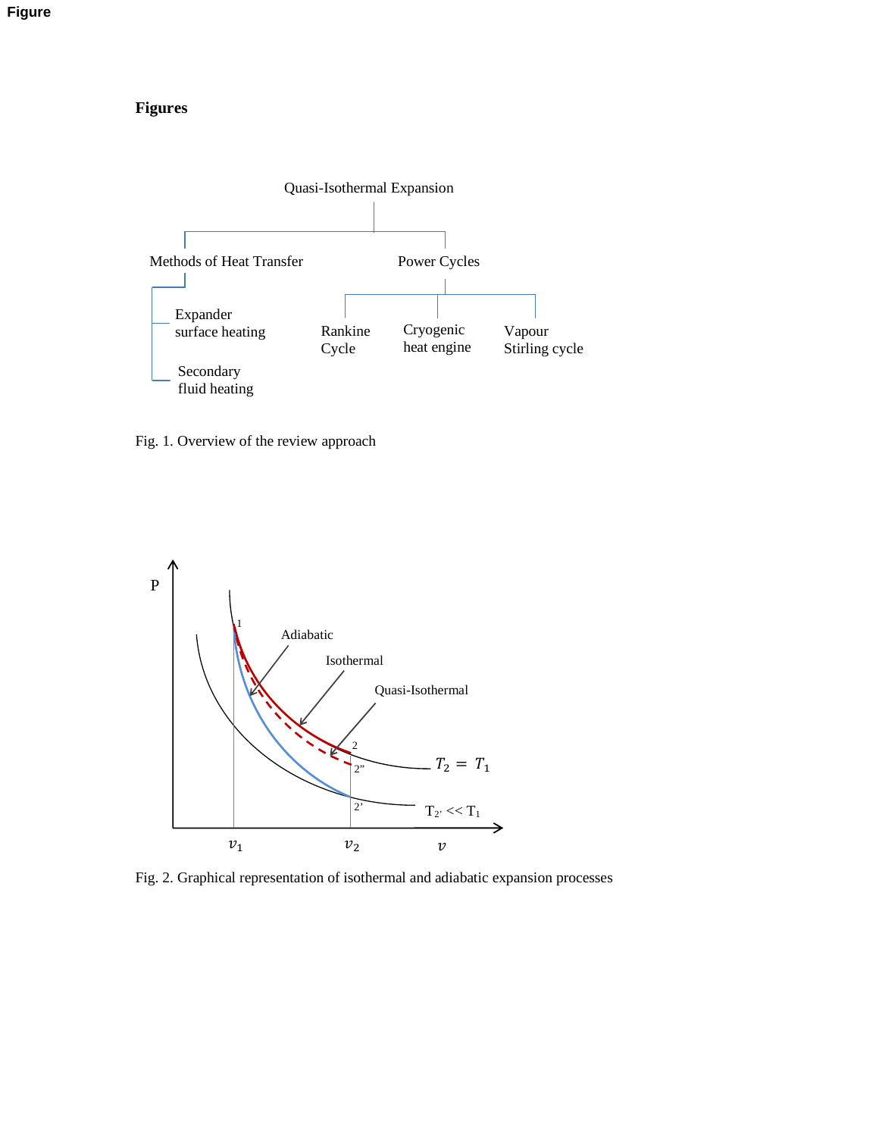# **Figures**



Fig. 1. Overview of the review approach



Fig. 2. Graphical representation of isothermal and adiabatic expansion processes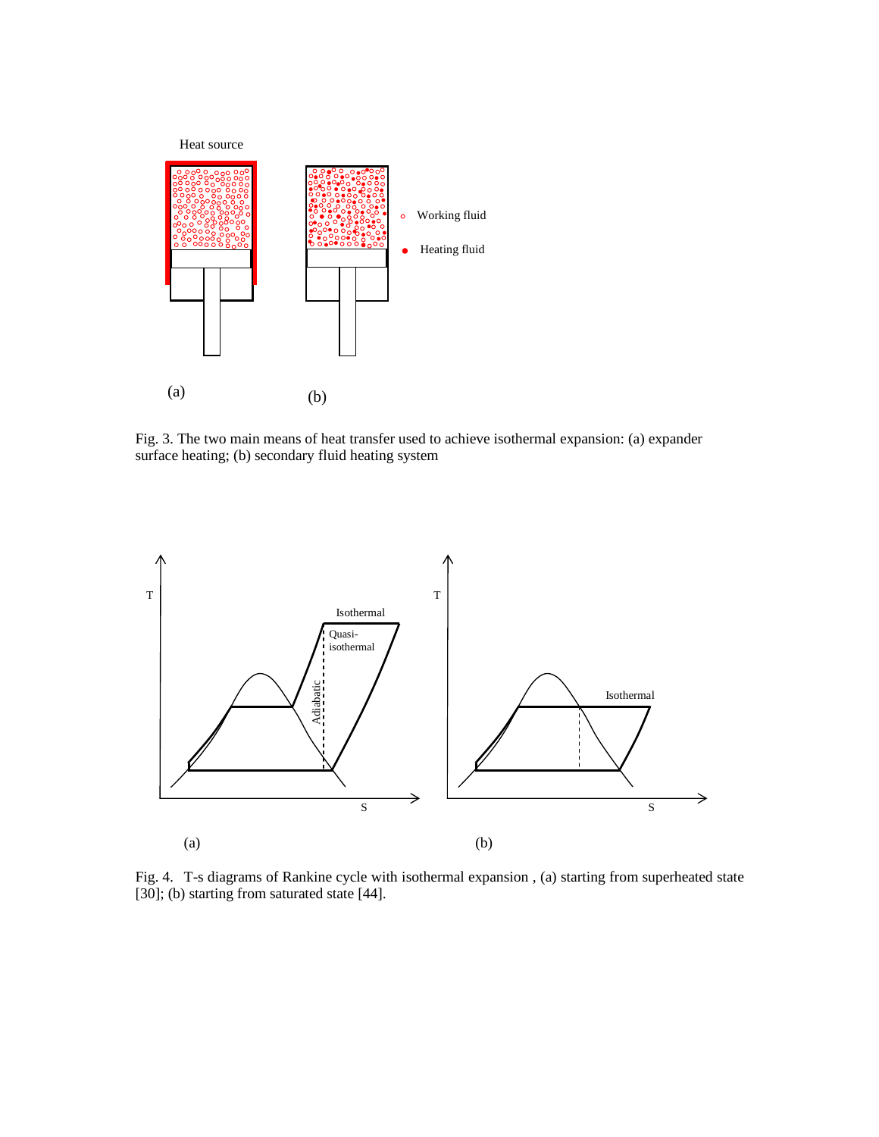

Fig. 3. The two main means of heat transfer used to achieve isothermal expansion: (a) expander surface heating; (b) secondary fluid heating system



Fig. 4. T-s diagrams of Rankine cycle with isothermal expansion , (a) starting from superheated state [30]; (b) starting from saturated state [44].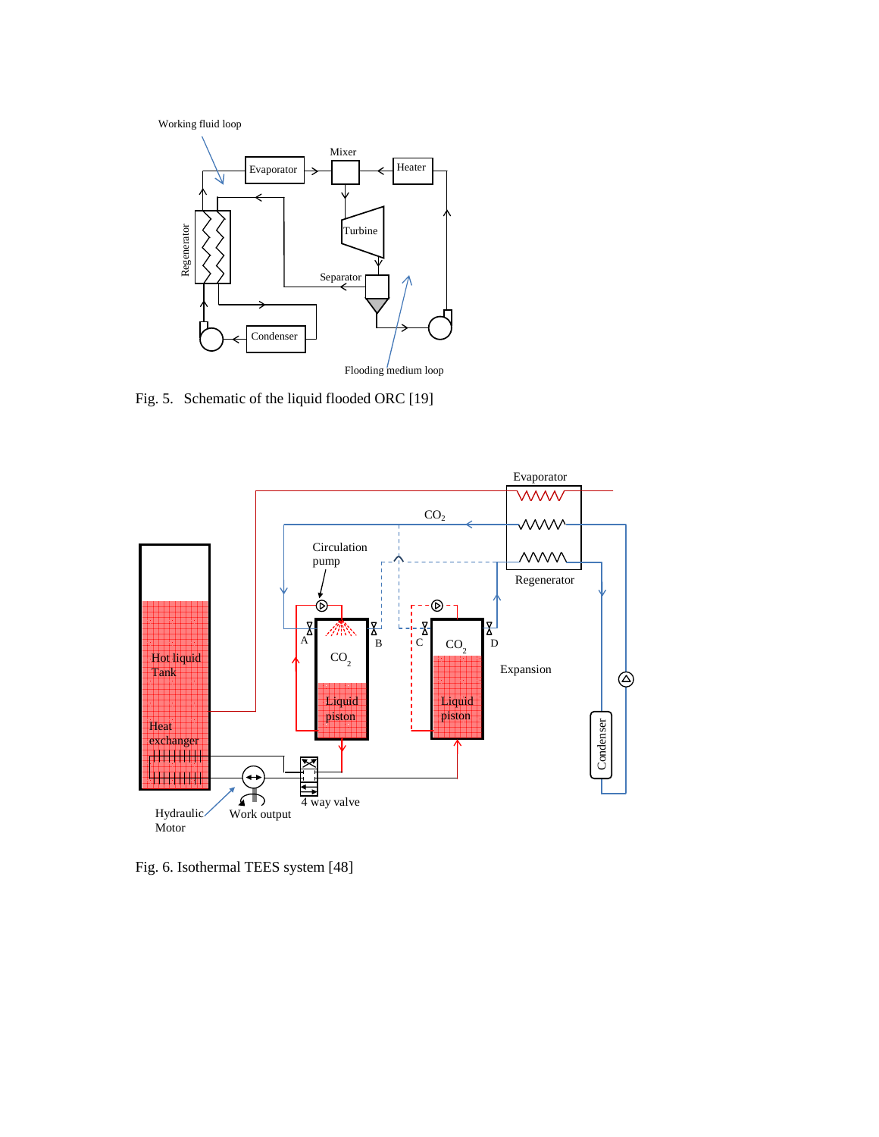Working fluid loop



Fig. 5. Schematic of the liquid flooded ORC [19]



Fig. 6. Isothermal TEES system [48]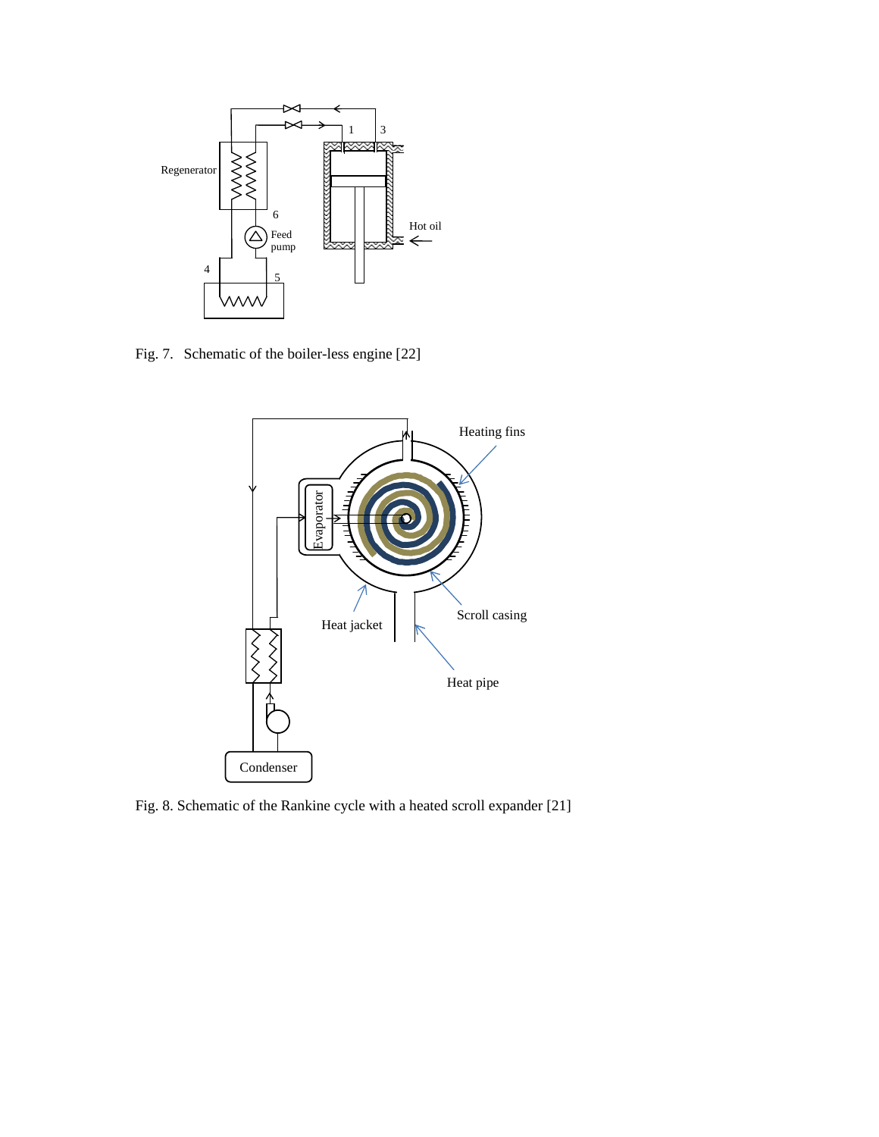

Fig. 7. Schematic of the boiler-less engine [22]



Fig. 8. Schematic of the Rankine cycle with a heated scroll expander [21]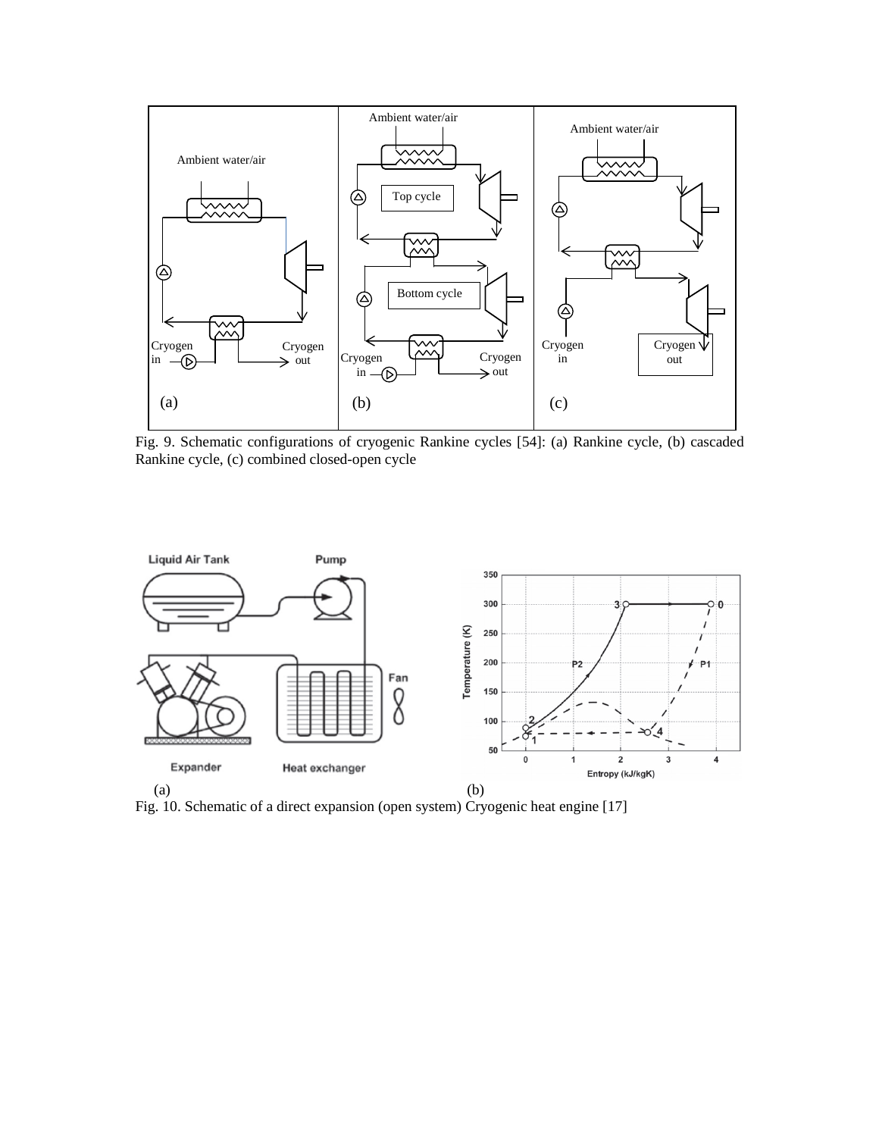

Fig. 9. Schematic configurations of cryogenic Rankine cycles [54]: (a) Rankine cycle, (b) cascaded Rankine cycle, (c) combined closed-open cycle



Fig. 10. Schematic of a direct expansion (open system) Cryogenic heat engine [17]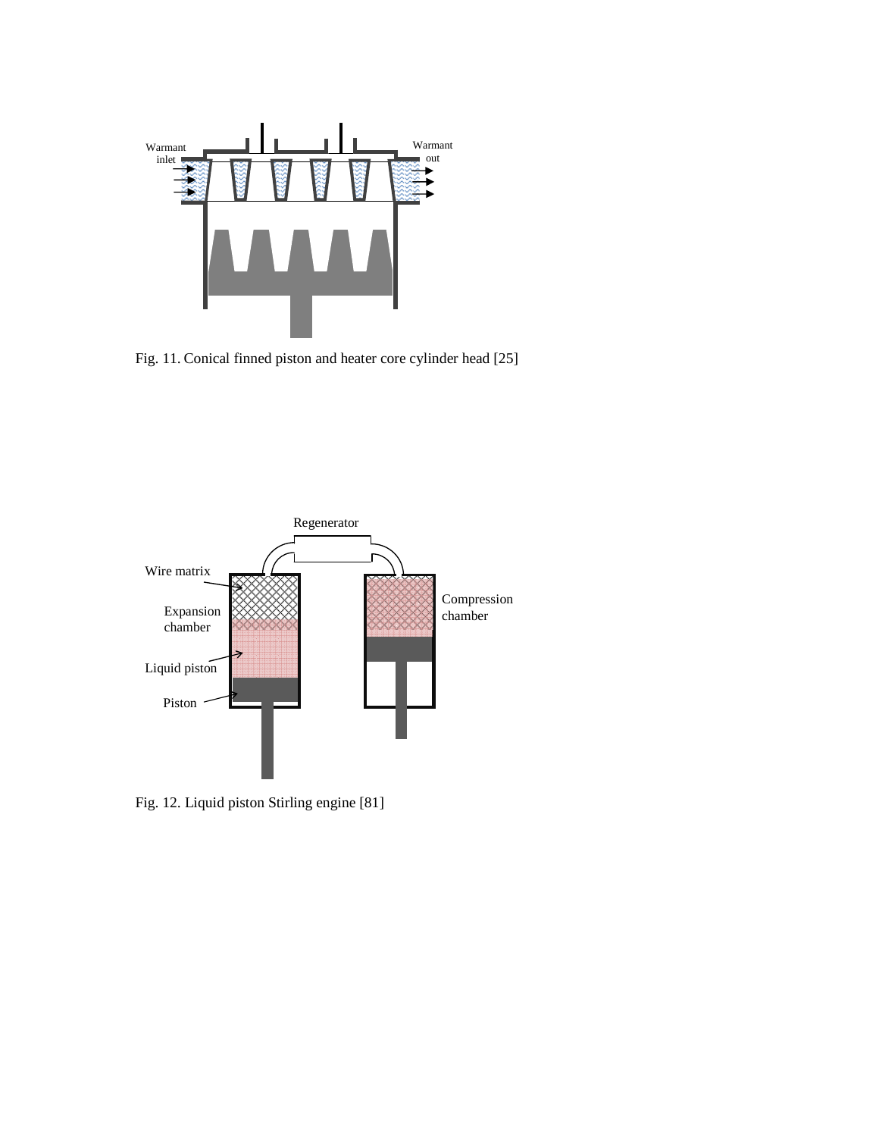

Fig. 11. Conical finned piston and heater core cylinder head [25]



Fig. 12. Liquid piston Stirling engine [81]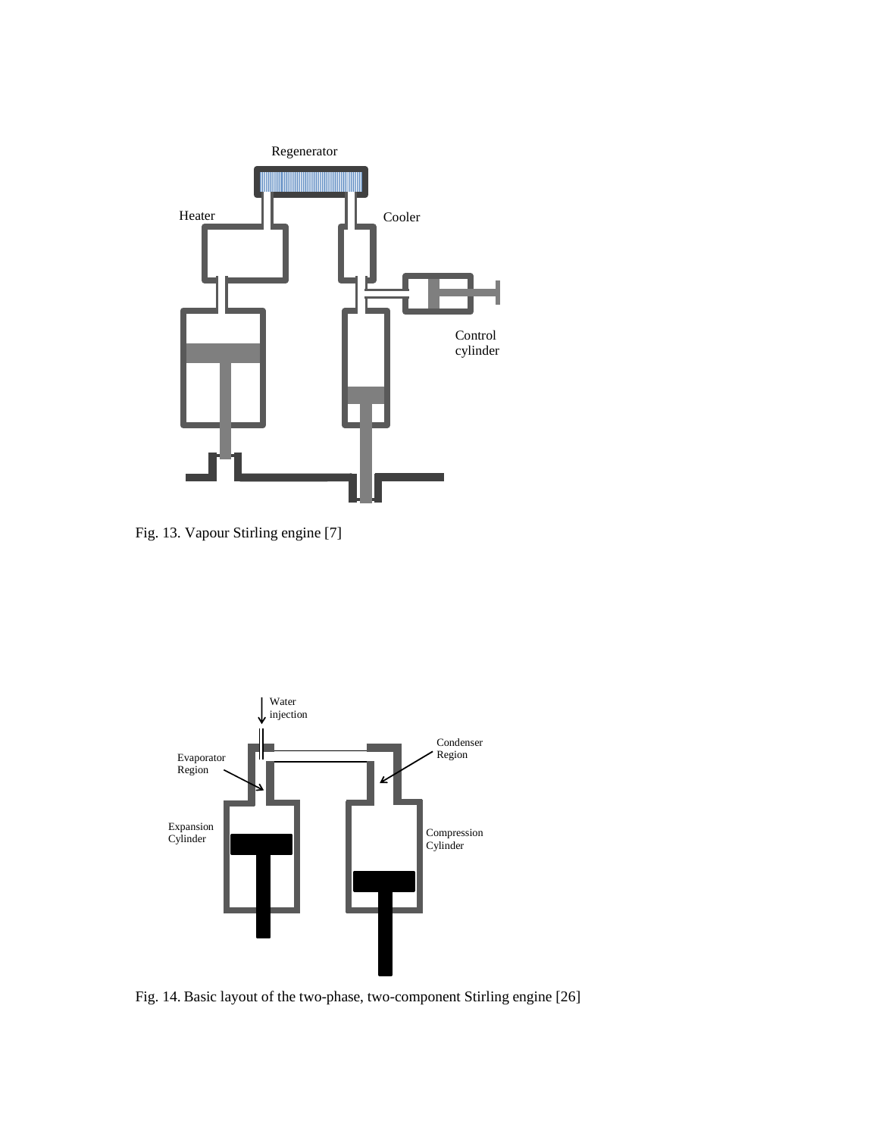

Fig. 13. Vapour Stirling engine [7]



Fig. 14. Basic layout of the two-phase, two-component Stirling engine [26]